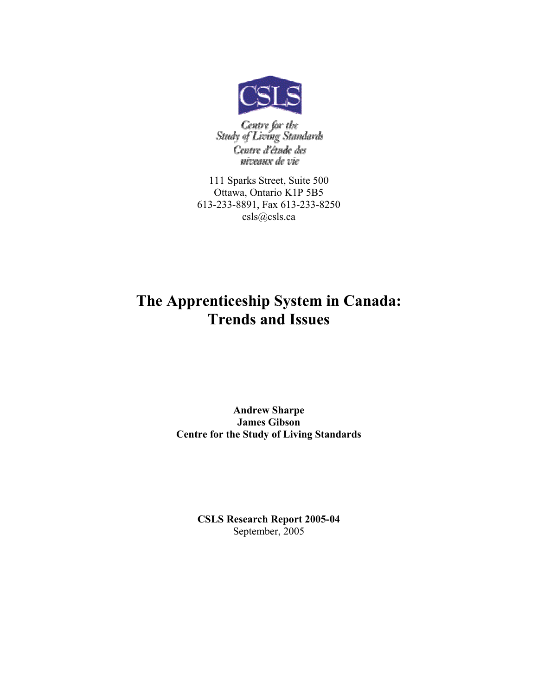

Centre for the<br>Study of Living Standards Centre d'étude des niveaux de vie

111 Sparks Street, Suite 500 Ottawa, Ontario K1P 5B5 613-233-8891, Fax 613-233-8250 csls@csls.ca

## The Apprenticeship System in Canada: Trends and Issues

### Andrew Sharpe James Gibson Centre for the Study of Living Standards

CSLS Research Report 2005-04 September, 2005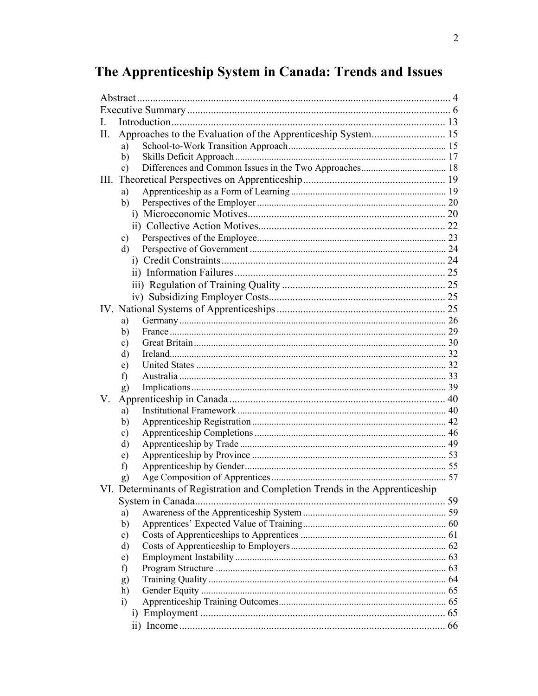# The Apprenticeship System in Canada: Trends and Issues

| $\mathbf{L}$ |                                                                              |  |  |  |  |  |  |
|--------------|------------------------------------------------------------------------------|--|--|--|--|--|--|
| Π.           |                                                                              |  |  |  |  |  |  |
|              | a)                                                                           |  |  |  |  |  |  |
|              | b)                                                                           |  |  |  |  |  |  |
|              | $\mathbf{c})$                                                                |  |  |  |  |  |  |
| Ш.           |                                                                              |  |  |  |  |  |  |
|              | a)                                                                           |  |  |  |  |  |  |
|              | b)                                                                           |  |  |  |  |  |  |
|              |                                                                              |  |  |  |  |  |  |
|              |                                                                              |  |  |  |  |  |  |
|              | $\mathbf{c})$                                                                |  |  |  |  |  |  |
|              | d)                                                                           |  |  |  |  |  |  |
|              |                                                                              |  |  |  |  |  |  |
|              |                                                                              |  |  |  |  |  |  |
|              |                                                                              |  |  |  |  |  |  |
|              |                                                                              |  |  |  |  |  |  |
|              |                                                                              |  |  |  |  |  |  |
|              |                                                                              |  |  |  |  |  |  |
|              | a)                                                                           |  |  |  |  |  |  |
|              | b)                                                                           |  |  |  |  |  |  |
|              | c)                                                                           |  |  |  |  |  |  |
|              | d)                                                                           |  |  |  |  |  |  |
|              | e)                                                                           |  |  |  |  |  |  |
|              | f)                                                                           |  |  |  |  |  |  |
|              | g)                                                                           |  |  |  |  |  |  |
| V.           |                                                                              |  |  |  |  |  |  |
|              | a)                                                                           |  |  |  |  |  |  |
|              | b)                                                                           |  |  |  |  |  |  |
|              | $\mathbf{c})$                                                                |  |  |  |  |  |  |
|              | d)                                                                           |  |  |  |  |  |  |
|              | e)                                                                           |  |  |  |  |  |  |
|              | f)                                                                           |  |  |  |  |  |  |
|              | g)                                                                           |  |  |  |  |  |  |
|              | VI. Determinants of Registration and Completion Trends in the Apprenticeship |  |  |  |  |  |  |
|              |                                                                              |  |  |  |  |  |  |
|              | a)                                                                           |  |  |  |  |  |  |
|              | b)                                                                           |  |  |  |  |  |  |
|              | $\mathbf{c})$                                                                |  |  |  |  |  |  |
|              | d)                                                                           |  |  |  |  |  |  |
|              | e)                                                                           |  |  |  |  |  |  |
|              | f)                                                                           |  |  |  |  |  |  |
|              | g)                                                                           |  |  |  |  |  |  |
|              | h)                                                                           |  |  |  |  |  |  |
|              | $\ddot{1}$                                                                   |  |  |  |  |  |  |
|              |                                                                              |  |  |  |  |  |  |
|              |                                                                              |  |  |  |  |  |  |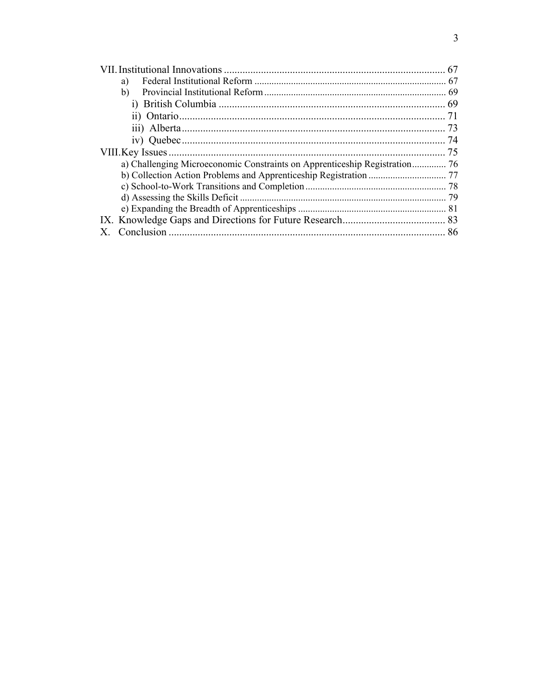| a) |  |  |  |  |  |
|----|--|--|--|--|--|
| b) |  |  |  |  |  |
|    |  |  |  |  |  |
|    |  |  |  |  |  |
|    |  |  |  |  |  |
|    |  |  |  |  |  |
|    |  |  |  |  |  |
|    |  |  |  |  |  |
|    |  |  |  |  |  |
|    |  |  |  |  |  |
|    |  |  |  |  |  |
|    |  |  |  |  |  |
|    |  |  |  |  |  |
|    |  |  |  |  |  |
|    |  |  |  |  |  |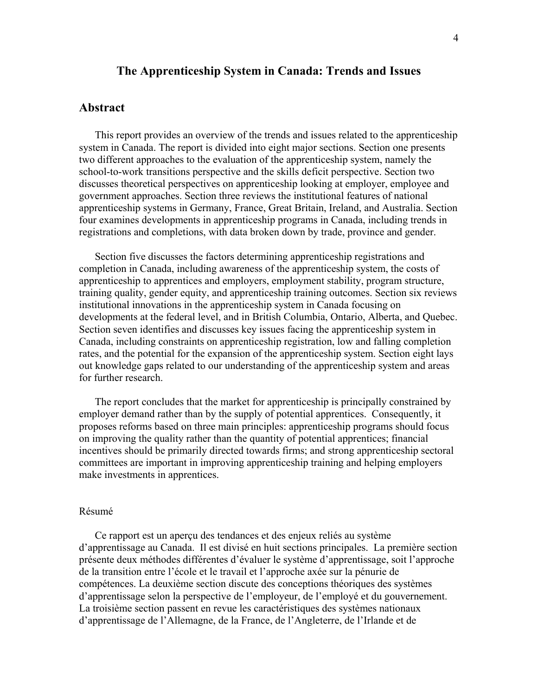### The Apprenticeship System in Canada: Trends and Issues

### Abstract

This report provides an overview of the trends and issues related to the apprenticeship system in Canada. The report is divided into eight major sections. Section one presents two different approaches to the evaluation of the apprenticeship system, namely the school-to-work transitions perspective and the skills deficit perspective. Section two discusses theoretical perspectives on apprenticeship looking at employer, employee and government approaches. Section three reviews the institutional features of national apprenticeship systems in Germany, France, Great Britain, Ireland, and Australia. Section four examines developments in apprenticeship programs in Canada, including trends in registrations and completions, with data broken down by trade, province and gender.

Section five discusses the factors determining apprenticeship registrations and completion in Canada, including awareness of the apprenticeship system, the costs of apprenticeship to apprentices and employers, employment stability, program structure, training quality, gender equity, and apprenticeship training outcomes. Section six reviews institutional innovations in the apprenticeship system in Canada focusing on developments at the federal level, and in British Columbia, Ontario, Alberta, and Quebec. Section seven identifies and discusses key issues facing the apprenticeship system in Canada, including constraints on apprenticeship registration, low and falling completion rates, and the potential for the expansion of the apprenticeship system. Section eight lays out knowledge gaps related to our understanding of the apprenticeship system and areas for further research.

The report concludes that the market for apprenticeship is principally constrained by employer demand rather than by the supply of potential apprentices. Consequently, it proposes reforms based on three main principles: apprenticeship programs should focus on improving the quality rather than the quantity of potential apprentices; financial incentives should be primarily directed towards firms; and strong apprenticeship sectoral committees are important in improving apprenticeship training and helping employers make investments in apprentices.

#### Résumé

Ce rapport est un aperçu des tendances et des enjeux reliés au système d'apprentissage au Canada. Il est divisé en huit sections principales. La première section présente deux méthodes différentes d'évaluer le système d'apprentissage, soit l'approche de la transition entre l'école et le travail et l'approche axée sur la pénurie de compétences. La deuxième section discute des conceptions théoriques des systèmes d'apprentissage selon la perspective de l'employeur, de l'employé et du gouvernement. La troisième section passent en revue les caractéristiques des systèmes nationaux d'apprentissage de l'Allemagne, de la France, de l'Angleterre, de l'Irlande et de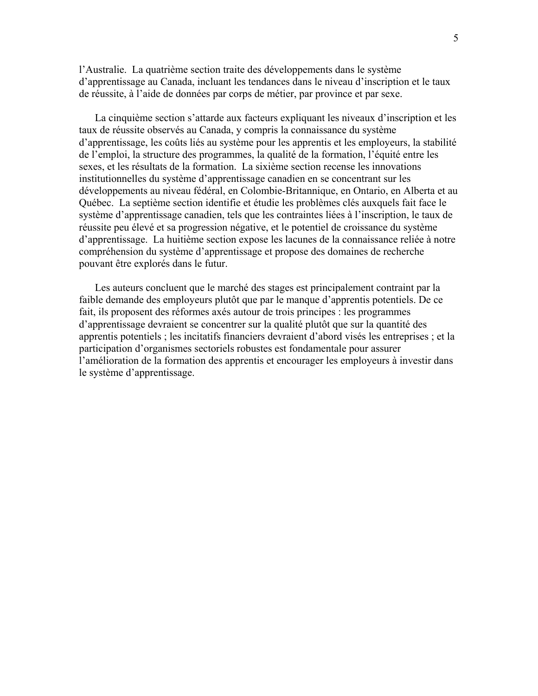l'Australie. La quatrième section traite des développements dans le système d'apprentissage au Canada, incluant les tendances dans le niveau d'inscription et le taux de réussite, à l'aide de données par corps de métier, par province et par sexe.

La cinquième section s'attarde aux facteurs expliquant les niveaux d'inscription et les taux de réussite observés au Canada, y compris la connaissance du système d'apprentissage, les coûts liés au système pour les apprentis et les employeurs, la stabilité de l'emploi, la structure des programmes, la qualité de la formation, l'équité entre les sexes, et les résultats de la formation. La sixième section recense les innovations institutionnelles du système d'apprentissage canadien en se concentrant sur les développements au niveau fédéral, en Colombie-Britannique, en Ontario, en Alberta et au Québec. La septième section identifie et étudie les problèmes clés auxquels fait face le système d'apprentissage canadien, tels que les contraintes liées à l'inscription, le taux de réussite peu élevé et sa progression négative, et le potentiel de croissance du système d'apprentissage. La huitième section expose les lacunes de la connaissance reliée à notre compréhension du système d'apprentissage et propose des domaines de recherche pouvant être explorés dans le futur.

Les auteurs concluent que le marché des stages est principalement contraint par la faible demande des employeurs plutôt que par le manque d'apprentis potentiels. De ce fait, ils proposent des réformes axés autour de trois principes : les programmes d'apprentissage devraient se concentrer sur la qualité plutôt que sur la quantité des apprentis potentiels ; les incitatifs financiers devraient d'abord visés les entreprises ; et la participation d'organismes sectoriels robustes est fondamentale pour assurer l'amélioration de la formation des apprentis et encourager les employeurs à investir dans le système d'apprentissage.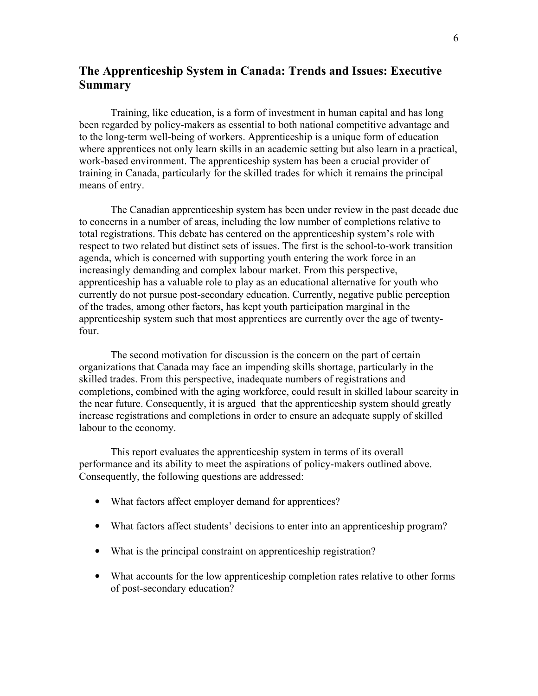### The Apprenticeship System in Canada: Trends and Issues: Executive **Summary**

Training, like education, is a form of investment in human capital and has long been regarded by policy-makers as essential to both national competitive advantage and to the long-term well-being of workers. Apprenticeship is a unique form of education where apprentices not only learn skills in an academic setting but also learn in a practical, work-based environment. The apprenticeship system has been a crucial provider of training in Canada, particularly for the skilled trades for which it remains the principal means of entry.

The Canadian apprenticeship system has been under review in the past decade due to concerns in a number of areas, including the low number of completions relative to total registrations. This debate has centered on the apprenticeship system's role with respect to two related but distinct sets of issues. The first is the school-to-work transition agenda, which is concerned with supporting youth entering the work force in an increasingly demanding and complex labour market. From this perspective, apprenticeship has a valuable role to play as an educational alternative for youth who currently do not pursue post-secondary education. Currently, negative public perception of the trades, among other factors, has kept youth participation marginal in the apprenticeship system such that most apprentices are currently over the age of twentyfour.

The second motivation for discussion is the concern on the part of certain organizations that Canada may face an impending skills shortage, particularly in the skilled trades. From this perspective, inadequate numbers of registrations and completions, combined with the aging workforce, could result in skilled labour scarcity in the near future. Consequently, it is argued that the apprenticeship system should greatly increase registrations and completions in order to ensure an adequate supply of skilled labour to the economy.

This report evaluates the apprenticeship system in terms of its overall performance and its ability to meet the aspirations of policy-makers outlined above. Consequently, the following questions are addressed:

- What factors affect employer demand for apprentices?
- What factors affect students' decisions to enter into an apprenticeship program?
- What is the principal constraint on apprenticeship registration?
- What accounts for the low apprenticeship completion rates relative to other forms of post-secondary education?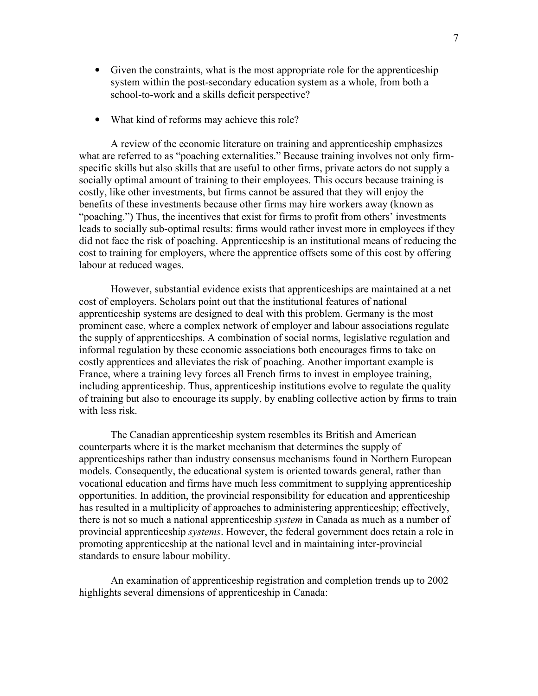- Given the constraints, what is the most appropriate role for the apprenticeship system within the post-secondary education system as a whole, from both a school-to-work and a skills deficit perspective?
- What kind of reforms may achieve this role?

A review of the economic literature on training and apprenticeship emphasizes what are referred to as "poaching externalities." Because training involves not only firmspecific skills but also skills that are useful to other firms, private actors do not supply a socially optimal amount of training to their employees. This occurs because training is costly, like other investments, but firms cannot be assured that they will enjoy the benefits of these investments because other firms may hire workers away (known as "poaching.") Thus, the incentives that exist for firms to profit from others' investments leads to socially sub-optimal results: firms would rather invest more in employees if they did not face the risk of poaching. Apprenticeship is an institutional means of reducing the cost to training for employers, where the apprentice offsets some of this cost by offering labour at reduced wages.

However, substantial evidence exists that apprenticeships are maintained at a net cost of employers. Scholars point out that the institutional features of national apprenticeship systems are designed to deal with this problem. Germany is the most prominent case, where a complex network of employer and labour associations regulate the supply of apprenticeships. A combination of social norms, legislative regulation and informal regulation by these economic associations both encourages firms to take on costly apprentices and alleviates the risk of poaching. Another important example is France, where a training levy forces all French firms to invest in employee training, including apprenticeship. Thus, apprenticeship institutions evolve to regulate the quality of training but also to encourage its supply, by enabling collective action by firms to train with less risk.

The Canadian apprenticeship system resembles its British and American counterparts where it is the market mechanism that determines the supply of apprenticeships rather than industry consensus mechanisms found in Northern European models. Consequently, the educational system is oriented towards general, rather than vocational education and firms have much less commitment to supplying apprenticeship opportunities. In addition, the provincial responsibility for education and apprenticeship has resulted in a multiplicity of approaches to administering apprenticeship; effectively, there is not so much a national apprenticeship system in Canada as much as a number of provincial apprenticeship systems. However, the federal government does retain a role in promoting apprenticeship at the national level and in maintaining inter-provincial standards to ensure labour mobility.

An examination of apprenticeship registration and completion trends up to 2002 highlights several dimensions of apprenticeship in Canada: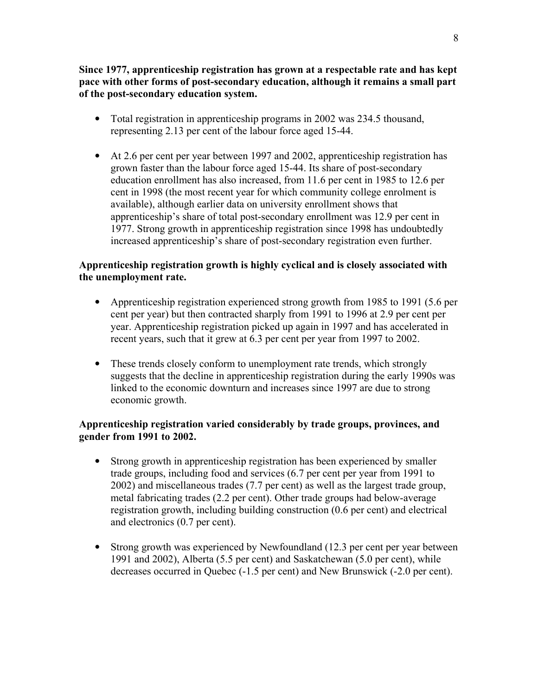Since 1977, apprenticeship registration has grown at a respectable rate and has kept pace with other forms of post-secondary education, although it remains a small part of the post-secondary education system.

- Total registration in apprenticeship programs in 2002 was 234.5 thousand, representing 2.13 per cent of the labour force aged 15-44.
- At 2.6 per cent per year between 1997 and 2002, apprenticeship registration has grown faster than the labour force aged 15-44. Its share of post-secondary education enrollment has also increased, from 11.6 per cent in 1985 to 12.6 per cent in 1998 (the most recent year for which community college enrolment is available), although earlier data on university enrollment shows that apprenticeship's share of total post-secondary enrollment was 12.9 per cent in 1977. Strong growth in apprenticeship registration since 1998 has undoubtedly increased apprenticeship's share of post-secondary registration even further.

### Apprenticeship registration growth is highly cyclical and is closely associated with the unemployment rate.

- Apprenticeship registration experienced strong growth from 1985 to 1991 (5.6 per cent per year) but then contracted sharply from 1991 to 1996 at 2.9 per cent per year. Apprenticeship registration picked up again in 1997 and has accelerated in recent years, such that it grew at 6.3 per cent per year from 1997 to 2002.
- These trends closely conform to unemployment rate trends, which strongly suggests that the decline in apprenticeship registration during the early 1990s was linked to the economic downturn and increases since 1997 are due to strong economic growth.

### Apprenticeship registration varied considerably by trade groups, provinces, and gender from 1991 to 2002.

- Strong growth in apprenticeship registration has been experienced by smaller trade groups, including food and services (6.7 per cent per year from 1991 to 2002) and miscellaneous trades (7.7 per cent) as well as the largest trade group, metal fabricating trades (2.2 per cent). Other trade groups had below-average registration growth, including building construction (0.6 per cent) and electrical and electronics (0.7 per cent).
- Strong growth was experienced by Newfoundland (12.3 per cent per year between 1991 and 2002), Alberta (5.5 per cent) and Saskatchewan (5.0 per cent), while decreases occurred in Quebec (-1.5 per cent) and New Brunswick (-2.0 per cent).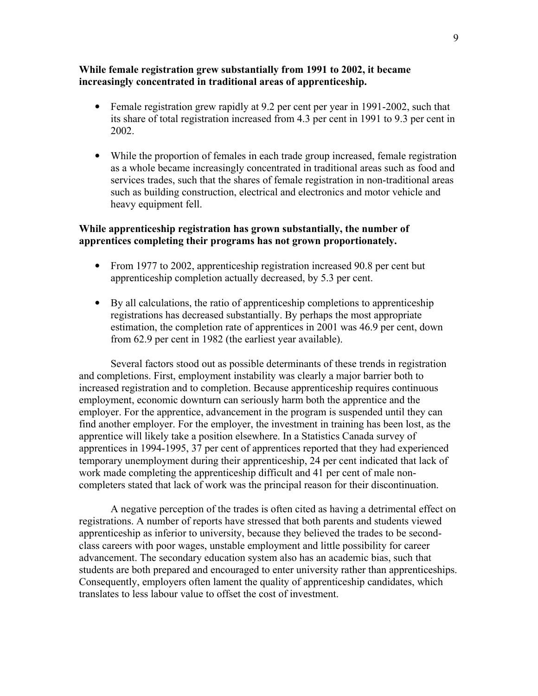### While female registration grew substantially from 1991 to 2002, it became increasingly concentrated in traditional areas of apprenticeship.

- Female registration grew rapidly at 9.2 per cent per year in 1991-2002, such that its share of total registration increased from 4.3 per cent in 1991 to 9.3 per cent in 2002.
- While the proportion of females in each trade group increased, female registration as a whole became increasingly concentrated in traditional areas such as food and services trades, such that the shares of female registration in non-traditional areas such as building construction, electrical and electronics and motor vehicle and heavy equipment fell.

### While apprenticeship registration has grown substantially, the number of apprentices completing their programs has not grown proportionately.

- From 1977 to 2002, apprenticeship registration increased 90.8 per cent but apprenticeship completion actually decreased, by 5.3 per cent.
- By all calculations, the ratio of apprenticeship completions to apprenticeship registrations has decreased substantially. By perhaps the most appropriate estimation, the completion rate of apprentices in 2001 was 46.9 per cent, down from 62.9 per cent in 1982 (the earliest year available).

Several factors stood out as possible determinants of these trends in registration and completions. First, employment instability was clearly a major barrier both to increased registration and to completion. Because apprenticeship requires continuous employment, economic downturn can seriously harm both the apprentice and the employer. For the apprentice, advancement in the program is suspended until they can find another employer. For the employer, the investment in training has been lost, as the apprentice will likely take a position elsewhere. In a Statistics Canada survey of apprentices in 1994-1995, 37 per cent of apprentices reported that they had experienced temporary unemployment during their apprenticeship, 24 per cent indicated that lack of work made completing the apprenticeship difficult and 41 per cent of male noncompleters stated that lack of work was the principal reason for their discontinuation.

A negative perception of the trades is often cited as having a detrimental effect on registrations. A number of reports have stressed that both parents and students viewed apprenticeship as inferior to university, because they believed the trades to be secondclass careers with poor wages, unstable employment and little possibility for career advancement. The secondary education system also has an academic bias, such that students are both prepared and encouraged to enter university rather than apprenticeships. Consequently, employers often lament the quality of apprenticeship candidates, which translates to less labour value to offset the cost of investment.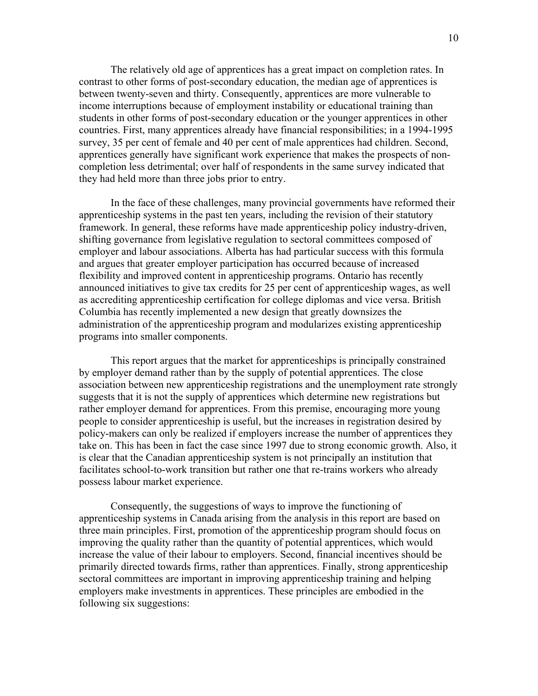The relatively old age of apprentices has a great impact on completion rates. In contrast to other forms of post-secondary education, the median age of apprentices is between twenty-seven and thirty. Consequently, apprentices are more vulnerable to income interruptions because of employment instability or educational training than students in other forms of post-secondary education or the younger apprentices in other countries. First, many apprentices already have financial responsibilities; in a 1994-1995 survey, 35 per cent of female and 40 per cent of male apprentices had children. Second, apprentices generally have significant work experience that makes the prospects of noncompletion less detrimental; over half of respondents in the same survey indicated that they had held more than three jobs prior to entry.

In the face of these challenges, many provincial governments have reformed their apprenticeship systems in the past ten years, including the revision of their statutory framework. In general, these reforms have made apprenticeship policy industry-driven, shifting governance from legislative regulation to sectoral committees composed of employer and labour associations. Alberta has had particular success with this formula and argues that greater employer participation has occurred because of increased flexibility and improved content in apprenticeship programs. Ontario has recently announced initiatives to give tax credits for 25 per cent of apprenticeship wages, as well as accrediting apprenticeship certification for college diplomas and vice versa. British Columbia has recently implemented a new design that greatly downsizes the administration of the apprenticeship program and modularizes existing apprenticeship programs into smaller components.

This report argues that the market for apprenticeships is principally constrained by employer demand rather than by the supply of potential apprentices. The close association between new apprenticeship registrations and the unemployment rate strongly suggests that it is not the supply of apprentices which determine new registrations but rather employer demand for apprentices. From this premise, encouraging more young people to consider apprenticeship is useful, but the increases in registration desired by policy-makers can only be realized if employers increase the number of apprentices they take on. This has been in fact the case since 1997 due to strong economic growth. Also, it is clear that the Canadian apprenticeship system is not principally an institution that facilitates school-to-work transition but rather one that re-trains workers who already possess labour market experience.

Consequently, the suggestions of ways to improve the functioning of apprenticeship systems in Canada arising from the analysis in this report are based on three main principles. First, promotion of the apprenticeship program should focus on improving the quality rather than the quantity of potential apprentices, which would increase the value of their labour to employers. Second, financial incentives should be primarily directed towards firms, rather than apprentices. Finally, strong apprenticeship sectoral committees are important in improving apprenticeship training and helping employers make investments in apprentices. These principles are embodied in the following six suggestions: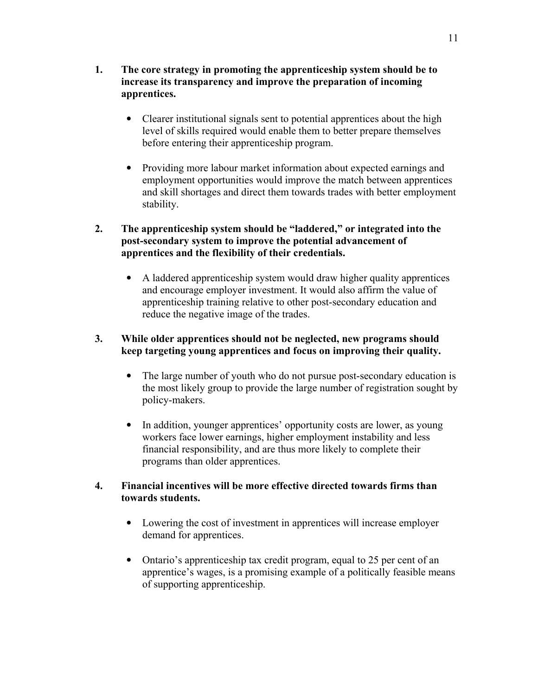- Clearer institutional signals sent to potential apprentices about the high level of skills required would enable them to better prepare themselves before entering their apprenticeship program.
- Providing more labour market information about expected earnings and employment opportunities would improve the match between apprentices and skill shortages and direct them towards trades with better employment stability.

2. The apprenticeship system should be "laddered," or integrated into the post-secondary system to improve the potential advancement of apprentices and the flexibility of their credentials.

• A laddered apprenticeship system would draw higher quality apprentices and encourage employer investment. It would also affirm the value of apprenticeship training relative to other post-secondary education and reduce the negative image of the trades.

### 3. While older apprentices should not be neglected, new programs should keep targeting young apprentices and focus on improving their quality.

- The large number of youth who do not pursue post-secondary education is the most likely group to provide the large number of registration sought by policy-makers.
- In addition, younger apprentices' opportunity costs are lower, as young workers face lower earnings, higher employment instability and less financial responsibility, and are thus more likely to complete their programs than older apprentices.

### 4. Financial incentives will be more effective directed towards firms than towards students.

- Lowering the cost of investment in apprentices will increase employer demand for apprentices.
- Ontario's apprenticeship tax credit program, equal to 25 per cent of an apprentice's wages, is a promising example of a politically feasible means of supporting apprenticeship.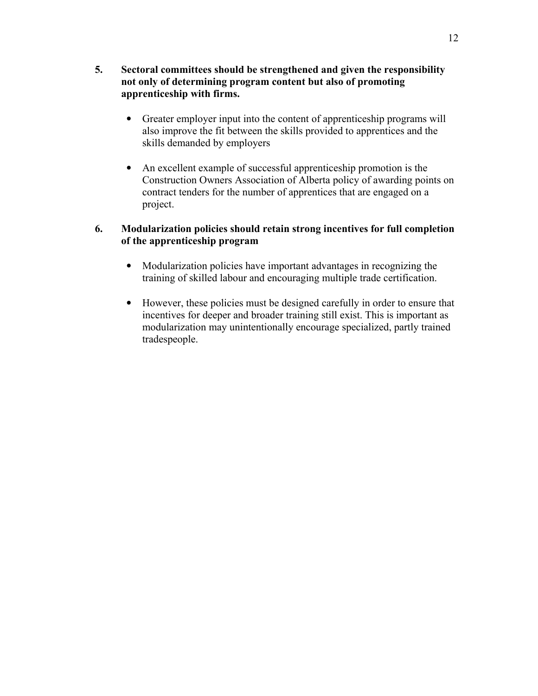- 5. Sectoral committees should be strengthened and given the responsibility not only of determining program content but also of promoting apprenticeship with firms.
	- Greater employer input into the content of apprenticeship programs will also improve the fit between the skills provided to apprentices and the skills demanded by employers
	- An excellent example of successful apprenticeship promotion is the Construction Owners Association of Alberta policy of awarding points on contract tenders for the number of apprentices that are engaged on a project.

### 6. Modularization policies should retain strong incentives for full completion of the apprenticeship program

- Modularization policies have important advantages in recognizing the training of skilled labour and encouraging multiple trade certification.
- However, these policies must be designed carefully in order to ensure that incentives for deeper and broader training still exist. This is important as modularization may unintentionally encourage specialized, partly trained tradespeople.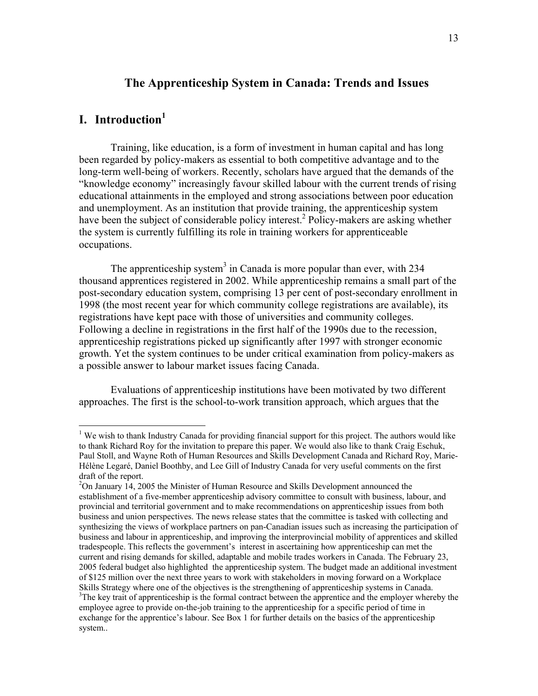### The Apprenticeship System in Canada: Trends and Issues

## I. Introduction<sup>1</sup>

<u>.</u>

 Training, like education, is a form of investment in human capital and has long been regarded by policy-makers as essential to both competitive advantage and to the long-term well-being of workers. Recently, scholars have argued that the demands of the "knowledge economy" increasingly favour skilled labour with the current trends of rising educational attainments in the employed and strong associations between poor education and unemployment. As an institution that provide training, the apprenticeship system have been the subject of considerable policy interest.<sup>2</sup> Policy-makers are asking whether the system is currently fulfilling its role in training workers for apprenticeable occupations.

The apprenticeship system<sup>3</sup> in Canada is more popular than ever, with  $234$ thousand apprentices registered in 2002. While apprenticeship remains a small part of the post-secondary education system, comprising 13 per cent of post-secondary enrollment in 1998 (the most recent year for which community college registrations are available), its registrations have kept pace with those of universities and community colleges. Following a decline in registrations in the first half of the 1990s due to the recession, apprenticeship registrations picked up significantly after 1997 with stronger economic growth. Yet the system continues to be under critical examination from policy-makers as a possible answer to labour market issues facing Canada.

 Evaluations of apprenticeship institutions have been motivated by two different approaches. The first is the school-to-work transition approach, which argues that the

<sup>&</sup>lt;sup>1</sup> We wish to thank Industry Canada for providing financial support for this project. The authors would like to thank Richard Roy for the invitation to prepare this paper. We would also like to thank Craig Eschuk, Paul Stoll, and Wayne Roth of Human Resources and Skills Development Canada and Richard Roy, Marie-Hélène Legaré, Daniel Boothby, and Lee Gill of Industry Canada for very useful comments on the first draft of the report.

 $2$ On January 14, 2005 the Minister of Human Resource and Skills Development announced the establishment of a five-member apprenticeship advisory committee to consult with business, labour, and provincial and territorial government and to make recommendations on apprenticeship issues from both business and union perspectives. The news release states that the committee is tasked with collecting and synthesizing the views of workplace partners on pan-Canadian issues such as increasing the participation of business and labour in apprenticeship, and improving the interprovincial mobility of apprentices and skilled tradespeople. This reflects the government's interest in ascertaining how apprenticeship can met the current and rising demands for skilled, adaptable and mobile trades workers in Canada. The February 23, 2005 federal budget also highlighted the apprenticeship system. The budget made an additional investment of \$125 million over the next three years to work with stakeholders in moving forward on a Workplace Skills Strategy where one of the objectives is the strengthening of apprenticeship systems in Canada. <sup>3</sup>The key trait of apprenticeship is the formal contract between the apprentice and the employer whereby the employee agree to provide on-the-job training to the apprenticeship for a specific period of time in

exchange for the apprentice's labour. See Box 1 for further details on the basics of the apprenticeship system..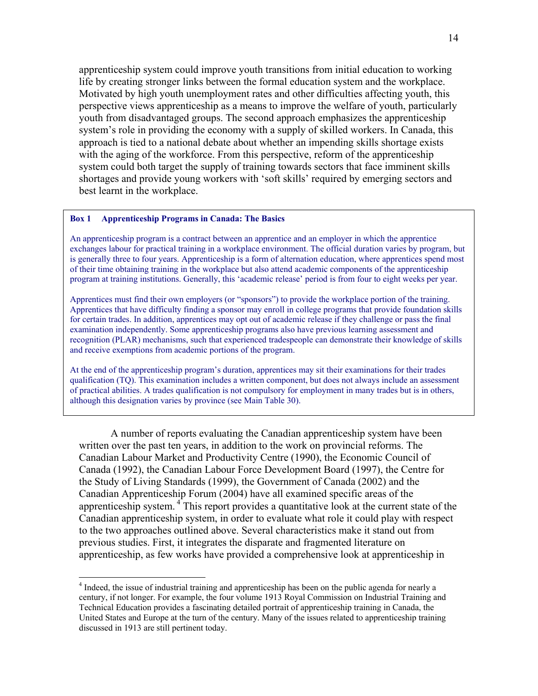apprenticeship system could improve youth transitions from initial education to working life by creating stronger links between the formal education system and the workplace. Motivated by high youth unemployment rates and other difficulties affecting youth, this perspective views apprenticeship as a means to improve the welfare of youth, particularly youth from disadvantaged groups. The second approach emphasizes the apprenticeship system's role in providing the economy with a supply of skilled workers. In Canada, this approach is tied to a national debate about whether an impending skills shortage exists with the aging of the workforce. From this perspective, reform of the apprenticeship system could both target the supply of training towards sectors that face imminent skills shortages and provide young workers with 'soft skills' required by emerging sectors and best learnt in the workplace.

#### Box 1 Apprenticeship Programs in Canada: The Basics

 $\overline{a}$ 

An apprenticeship program is a contract between an apprentice and an employer in which the apprentice exchanges labour for practical training in a workplace environment. The official duration varies by program, but is generally three to four years. Apprenticeship is a form of alternation education, where apprentices spend most of their time obtaining training in the workplace but also attend academic components of the apprenticeship program at training institutions. Generally, this 'academic release' period is from four to eight weeks per year.

Apprentices must find their own employers (or "sponsors") to provide the workplace portion of the training. Apprentices that have difficulty finding a sponsor may enroll in college programs that provide foundation skills for certain trades. In addition, apprentices may opt out of academic release if they challenge or pass the final examination independently. Some apprenticeship programs also have previous learning assessment and recognition (PLAR) mechanisms, such that experienced tradespeople can demonstrate their knowledge of skills and receive exemptions from academic portions of the program.

At the end of the apprenticeship program's duration, apprentices may sit their examinations for their trades qualification (TQ). This examination includes a written component, but does not always include an assessment of practical abilities. A trades qualification is not compulsory for employment in many trades but is in others, although this designation varies by province (see Main Table 30).

A number of reports evaluating the Canadian apprenticeship system have been written over the past ten years, in addition to the work on provincial reforms. The Canadian Labour Market and Productivity Centre (1990), the Economic Council of Canada (1992), the Canadian Labour Force Development Board (1997), the Centre for the Study of Living Standards (1999), the Government of Canada (2002) and the Canadian Apprenticeship Forum (2004) have all examined specific areas of the apprenticeship system.<sup>4</sup> This report provides a quantitative look at the current state of the Canadian apprenticeship system, in order to evaluate what role it could play with respect to the two approaches outlined above. Several characteristics make it stand out from previous studies. First, it integrates the disparate and fragmented literature on apprenticeship, as few works have provided a comprehensive look at apprenticeship in

<sup>&</sup>lt;sup>4</sup> Indeed, the issue of industrial training and apprenticeship has been on the public agenda for nearly a century, if not longer. For example, the four volume 1913 Royal Commission on Industrial Training and Technical Education provides a fascinating detailed portrait of apprenticeship training in Canada, the United States and Europe at the turn of the century. Many of the issues related to apprenticeship training discussed in 1913 are still pertinent today.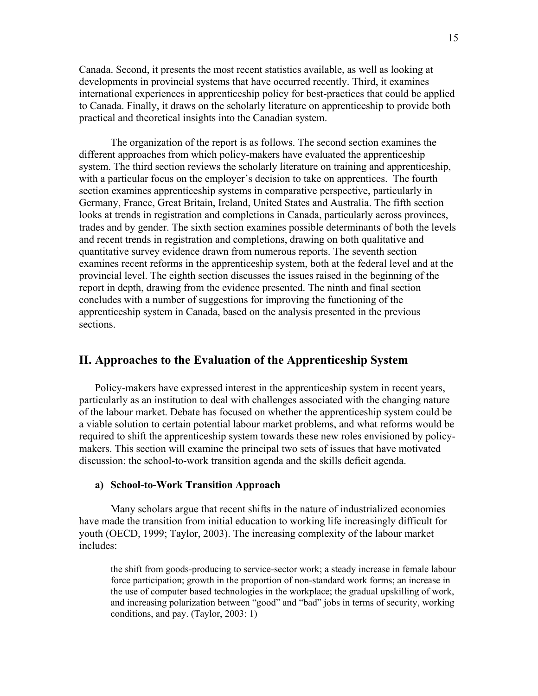Canada. Second, it presents the most recent statistics available, as well as looking at developments in provincial systems that have occurred recently. Third, it examines international experiences in apprenticeship policy for best-practices that could be applied to Canada. Finally, it draws on the scholarly literature on apprenticeship to provide both practical and theoretical insights into the Canadian system.

 The organization of the report is as follows. The second section examines the different approaches from which policy-makers have evaluated the apprenticeship system. The third section reviews the scholarly literature on training and apprenticeship, with a particular focus on the employer's decision to take on apprentices. The fourth section examines apprenticeship systems in comparative perspective, particularly in Germany, France, Great Britain, Ireland, United States and Australia. The fifth section looks at trends in registration and completions in Canada, particularly across provinces, trades and by gender. The sixth section examines possible determinants of both the levels and recent trends in registration and completions, drawing on both qualitative and quantitative survey evidence drawn from numerous reports. The seventh section examines recent reforms in the apprenticeship system, both at the federal level and at the provincial level. The eighth section discusses the issues raised in the beginning of the report in depth, drawing from the evidence presented. The ninth and final section concludes with a number of suggestions for improving the functioning of the apprenticeship system in Canada, based on the analysis presented in the previous sections.

### II. Approaches to the Evaluation of the Apprenticeship System

Policy-makers have expressed interest in the apprenticeship system in recent years, particularly as an institution to deal with challenges associated with the changing nature of the labour market. Debate has focused on whether the apprenticeship system could be a viable solution to certain potential labour market problems, and what reforms would be required to shift the apprenticeship system towards these new roles envisioned by policymakers. This section will examine the principal two sets of issues that have motivated discussion: the school-to-work transition agenda and the skills deficit agenda.

#### a) School-to-Work Transition Approach

Many scholars argue that recent shifts in the nature of industrialized economies have made the transition from initial education to working life increasingly difficult for youth (OECD, 1999; Taylor, 2003). The increasing complexity of the labour market includes:

the shift from goods-producing to service-sector work; a steady increase in female labour force participation; growth in the proportion of non-standard work forms; an increase in the use of computer based technologies in the workplace; the gradual upskilling of work, and increasing polarization between "good" and "bad" jobs in terms of security, working conditions, and pay. (Taylor, 2003: 1)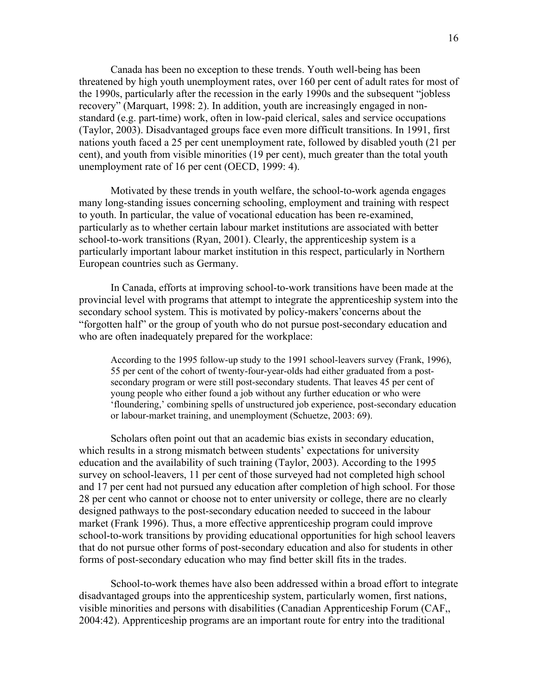Canada has been no exception to these trends. Youth well-being has been threatened by high youth unemployment rates, over 160 per cent of adult rates for most of the 1990s, particularly after the recession in the early 1990s and the subsequent "jobless recovery" (Marquart, 1998: 2). In addition, youth are increasingly engaged in nonstandard (e.g. part-time) work, often in low-paid clerical, sales and service occupations (Taylor, 2003). Disadvantaged groups face even more difficult transitions. In 1991, first nations youth faced a 25 per cent unemployment rate, followed by disabled youth (21 per cent), and youth from visible minorities (19 per cent), much greater than the total youth unemployment rate of 16 per cent (OECD, 1999: 4).

 Motivated by these trends in youth welfare, the school-to-work agenda engages many long-standing issues concerning schooling, employment and training with respect to youth. In particular, the value of vocational education has been re-examined, particularly as to whether certain labour market institutions are associated with better school-to-work transitions (Ryan, 2001). Clearly, the apprenticeship system is a particularly important labour market institution in this respect, particularly in Northern European countries such as Germany.

In Canada, efforts at improving school-to-work transitions have been made at the provincial level with programs that attempt to integrate the apprenticeship system into the secondary school system. This is motivated by policy-makers'concerns about the "forgotten half" or the group of youth who do not pursue post-secondary education and who are often inadequately prepared for the workplace:

According to the 1995 follow-up study to the 1991 school-leavers survey (Frank, 1996), 55 per cent of the cohort of twenty-four-year-olds had either graduated from a postsecondary program or were still post-secondary students. That leaves 45 per cent of young people who either found a job without any further education or who were 'floundering,' combining spells of unstructured job experience, post-secondary education or labour-market training, and unemployment (Schuetze, 2003: 69).

Scholars often point out that an academic bias exists in secondary education, which results in a strong mismatch between students' expectations for university education and the availability of such training (Taylor, 2003). According to the 1995 survey on school-leavers, 11 per cent of those surveyed had not completed high school and 17 per cent had not pursued any education after completion of high school. For those 28 per cent who cannot or choose not to enter university or college, there are no clearly designed pathways to the post-secondary education needed to succeed in the labour market (Frank 1996). Thus, a more effective apprenticeship program could improve school-to-work transitions by providing educational opportunities for high school leavers that do not pursue other forms of post-secondary education and also for students in other forms of post-secondary education who may find better skill fits in the trades.

School-to-work themes have also been addressed within a broad effort to integrate disadvantaged groups into the apprenticeship system, particularly women, first nations, visible minorities and persons with disabilities (Canadian Apprenticeship Forum (CAF,, 2004:42). Apprenticeship programs are an important route for entry into the traditional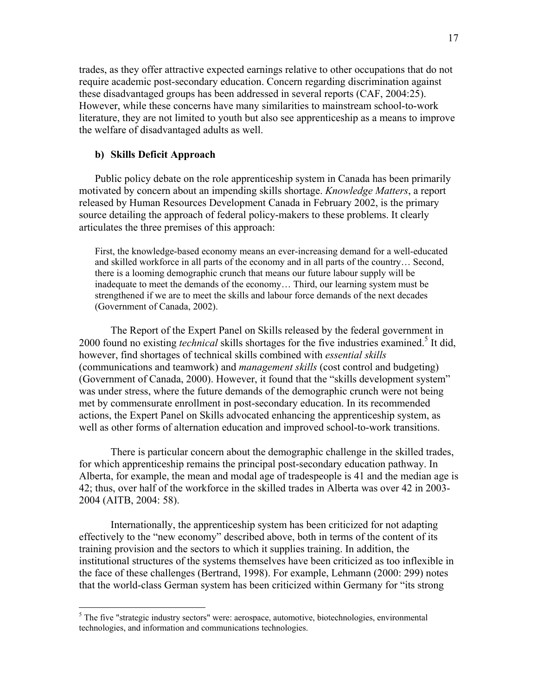trades, as they offer attractive expected earnings relative to other occupations that do not require academic post-secondary education. Concern regarding discrimination against these disadvantaged groups has been addressed in several reports (CAF, 2004:25). However, while these concerns have many similarities to mainstream school-to-work literature, they are not limited to youth but also see apprenticeship as a means to improve the welfare of disadvantaged adults as well.

### b) Skills Deficit Approach

 $\overline{a}$ 

Public policy debate on the role apprenticeship system in Canada has been primarily motivated by concern about an impending skills shortage. *Knowledge Matters*, a report released by Human Resources Development Canada in February 2002, is the primary source detailing the approach of federal policy-makers to these problems. It clearly articulates the three premises of this approach:

First, the knowledge-based economy means an ever-increasing demand for a well-educated and skilled workforce in all parts of the economy and in all parts of the country… Second, there is a looming demographic crunch that means our future labour supply will be inadequate to meet the demands of the economy… Third, our learning system must be strengthened if we are to meet the skills and labour force demands of the next decades (Government of Canada, 2002).

 The Report of the Expert Panel on Skills released by the federal government in 2000 found no existing *technical* skills shortages for the five industries examined.<sup>5</sup> It did, however, find shortages of technical skills combined with essential skills (communications and teamwork) and management skills (cost control and budgeting) (Government of Canada, 2000). However, it found that the "skills development system" was under stress, where the future demands of the demographic crunch were not being met by commensurate enrollment in post-secondary education. In its recommended actions, the Expert Panel on Skills advocated enhancing the apprenticeship system, as well as other forms of alternation education and improved school-to-work transitions.

 There is particular concern about the demographic challenge in the skilled trades, for which apprenticeship remains the principal post-secondary education pathway. In Alberta, for example, the mean and modal age of tradespeople is 41 and the median age is 42; thus, over half of the workforce in the skilled trades in Alberta was over 42 in 2003- 2004 (AITB, 2004: 58).

 Internationally, the apprenticeship system has been criticized for not adapting effectively to the "new economy" described above, both in terms of the content of its training provision and the sectors to which it supplies training. In addition, the institutional structures of the systems themselves have been criticized as too inflexible in the face of these challenges (Bertrand, 1998). For example, Lehmann (2000: 299) notes that the world-class German system has been criticized within Germany for "its strong

<sup>&</sup>lt;sup>5</sup> The five "strategic industry sectors" were: aerospace, automotive, biotechnologies, environmental technologies, and information and communications technologies.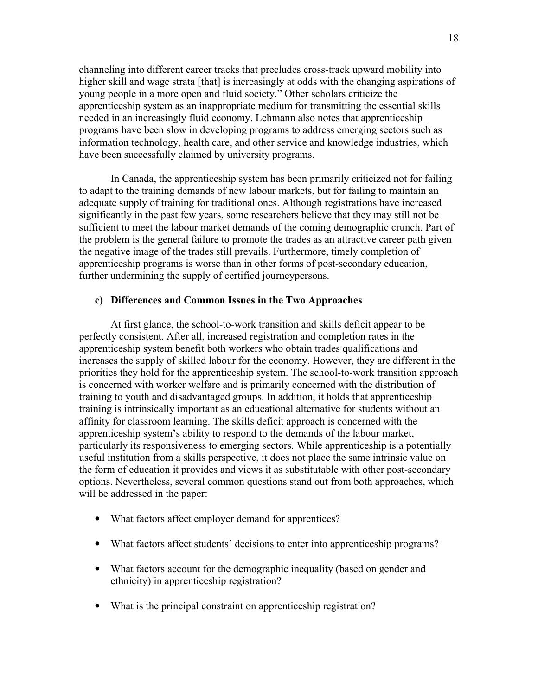channeling into different career tracks that precludes cross-track upward mobility into higher skill and wage strata [that] is increasingly at odds with the changing aspirations of young people in a more open and fluid society." Other scholars criticize the apprenticeship system as an inappropriate medium for transmitting the essential skills needed in an increasingly fluid economy. Lehmann also notes that apprenticeship programs have been slow in developing programs to address emerging sectors such as information technology, health care, and other service and knowledge industries, which have been successfully claimed by university programs.

In Canada, the apprenticeship system has been primarily criticized not for failing to adapt to the training demands of new labour markets, but for failing to maintain an adequate supply of training for traditional ones. Although registrations have increased significantly in the past few years, some researchers believe that they may still not be sufficient to meet the labour market demands of the coming demographic crunch. Part of the problem is the general failure to promote the trades as an attractive career path given the negative image of the trades still prevails. Furthermore, timely completion of apprenticeship programs is worse than in other forms of post-secondary education, further undermining the supply of certified journeypersons.

### c) Differences and Common Issues in the Two Approaches

At first glance, the school-to-work transition and skills deficit appear to be perfectly consistent. After all, increased registration and completion rates in the apprenticeship system benefit both workers who obtain trades qualifications and increases the supply of skilled labour for the economy. However, they are different in the priorities they hold for the apprenticeship system. The school-to-work transition approach is concerned with worker welfare and is primarily concerned with the distribution of training to youth and disadvantaged groups. In addition, it holds that apprenticeship training is intrinsically important as an educational alternative for students without an affinity for classroom learning. The skills deficit approach is concerned with the apprenticeship system's ability to respond to the demands of the labour market, particularly its responsiveness to emerging sectors. While apprenticeship is a potentially useful institution from a skills perspective, it does not place the same intrinsic value on the form of education it provides and views it as substitutable with other post-secondary options. Nevertheless, several common questions stand out from both approaches, which will be addressed in the paper:

- What factors affect employer demand for apprentices?
- What factors affect students' decisions to enter into apprenticeship programs?
- What factors account for the demographic inequality (based on gender and ethnicity) in apprenticeship registration?
- What is the principal constraint on apprenticeship registration?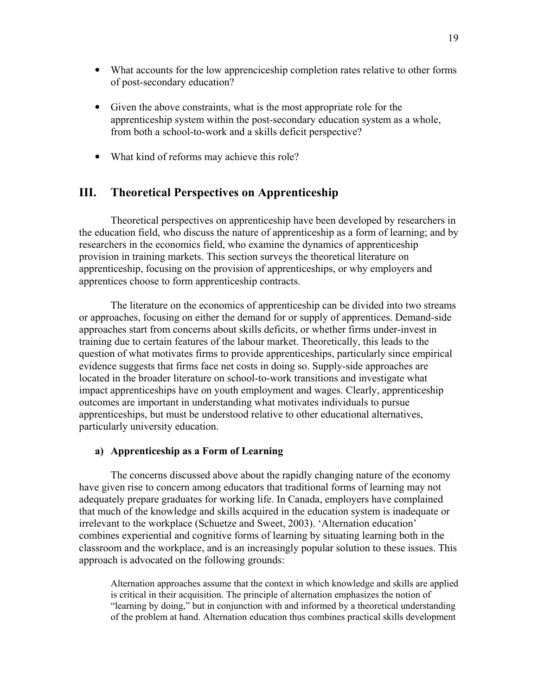- What accounts for the low apprenciceship completion rates relative to other forms of post-secondary education?
- Given the above constraints, what is the most appropriate role for the apprenticeship system within the post-secondary education system as a whole, from both a school-to-work and a skills deficit perspective?
- What kind of reforms may achieve this role?

### III. Theoretical Perspectives on Apprenticeship

Theoretical perspectives on apprenticeship have been developed by researchers in the education field, who discuss the nature of apprenticeship as a form of learning; and by researchers in the economics field, who examine the dynamics of apprenticeship provision in training markets. This section surveys the theoretical literature on apprenticeship, focusing on the provision of apprenticeships, or why employers and apprentices choose to form apprenticeship contracts.

The literature on the economics of apprenticeship can be divided into two streams or approaches, focusing on either the demand for or supply of apprentices. Demand-side approaches start from concerns about skills deficits, or whether firms under-invest in training due to certain features of the labour market. Theoretically, this leads to the question of what motivates firms to provide apprenticeships, particularly since empirical evidence suggests that firms face net costs in doing so. Supply-side approaches are located in the broader literature on school-to-work transitions and investigate what impact apprenticeships have on youth employment and wages. Clearly, apprenticeship outcomes are important in understanding what motivates individuals to pursue apprenticeships, but must be understood relative to other educational alternatives, particularly university education.

### a) Apprenticeship as a Form of Learning

The concerns discussed above about the rapidly changing nature of the economy have given rise to concern among educators that traditional forms of learning may not adequately prepare graduates for working life. In Canada, employers have complained that much of the knowledge and skills acquired in the education system is inadequate or irrelevant to the workplace (Schuetze and Sweet, 2003). 'Alternation education' combines experiential and cognitive forms of learning by situating learning both in the classroom and the workplace, and is an increasingly popular solution to these issues. This approach is advocated on the following grounds:

Alternation approaches assume that the context in which knowledge and skills are applied is critical in their acquisition. The principle of alternation emphasizes the notion of "learning by doing," but in conjunction with and informed by a theoretical understanding of the problem at hand. Alternation education thus combines practical skills development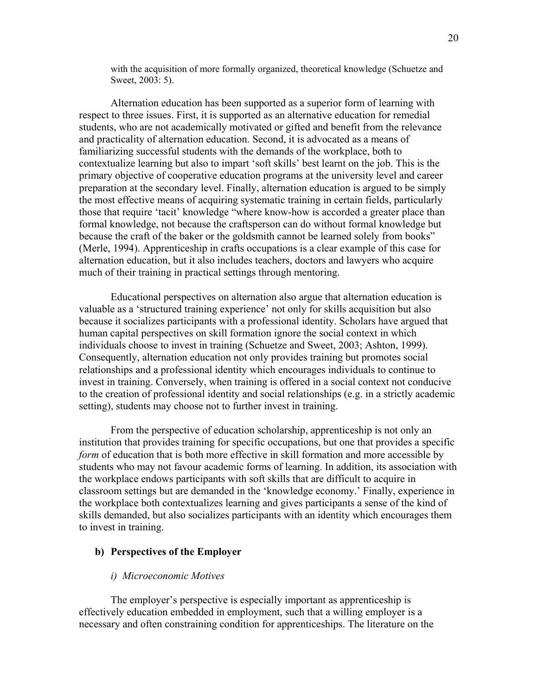with the acquisition of more formally organized, theoretical knowledge (Schuetze and Sweet, 2003: 5).

 Alternation education has been supported as a superior form of learning with respect to three issues. First, it is supported as an alternative education for remedial students, who are not academically motivated or gifted and benefit from the relevance and practicality of alternation education. Second, it is advocated as a means of familiarizing successful students with the demands of the workplace, both to contextualize learning but also to impart 'soft skills' best learnt on the job. This is the primary objective of cooperative education programs at the university level and career preparation at the secondary level. Finally, alternation education is argued to be simply the most effective means of acquiring systematic training in certain fields, particularly those that require 'tacit' knowledge "where know-how is accorded a greater place than formal knowledge, not because the craftsperson can do without formal knowledge but because the craft of the baker or the goldsmith cannot be learned solely from books" (Merle, 1994). Apprenticeship in crafts occupations is a clear example of this case for alternation education, but it also includes teachers, doctors and lawyers who acquire much of their training in practical settings through mentoring.

 Educational perspectives on alternation also argue that alternation education is valuable as a 'structured training experience' not only for skills acquisition but also because it socializes participants with a professional identity. Scholars have argued that human capital perspectives on skill formation ignore the social context in which individuals choose to invest in training (Schuetze and Sweet, 2003; Ashton, 1999). Consequently, alternation education not only provides training but promotes social relationships and a professional identity which encourages individuals to continue to invest in training. Conversely, when training is offered in a social context not conducive to the creation of professional identity and social relationships (e.g. in a strictly academic setting), students may choose not to further invest in training.

 From the perspective of education scholarship, apprenticeship is not only an institution that provides training for specific occupations, but one that provides a specific form of education that is both more effective in skill formation and more accessible by students who may not favour academic forms of learning. In addition, its association with the workplace endows participants with soft skills that are difficult to acquire in classroom settings but are demanded in the 'knowledge economy.' Finally, experience in the workplace both contextualizes learning and gives participants a sense of the kind of skills demanded, but also socializes participants with an identity which encourages them to invest in training.

### b) Perspectives of the Employer

#### i) Microeconomic Motives

The employer's perspective is especially important as apprenticeship is effectively education embedded in employment, such that a willing employer is a necessary and often constraining condition for apprenticeships. The literature on the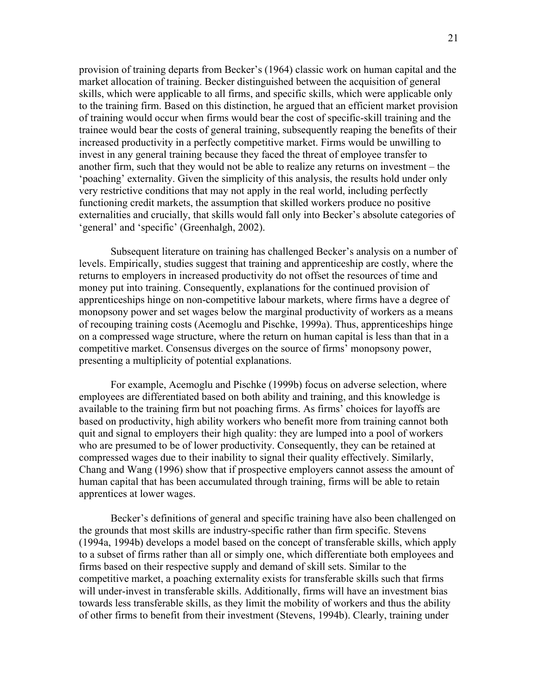provision of training departs from Becker's (1964) classic work on human capital and the market allocation of training. Becker distinguished between the acquisition of general skills, which were applicable to all firms, and specific skills, which were applicable only to the training firm. Based on this distinction, he argued that an efficient market provision of training would occur when firms would bear the cost of specific-skill training and the trainee would bear the costs of general training, subsequently reaping the benefits of their increased productivity in a perfectly competitive market. Firms would be unwilling to invest in any general training because they faced the threat of employee transfer to another firm, such that they would not be able to realize any returns on investment – the 'poaching' externality. Given the simplicity of this analysis, the results hold under only very restrictive conditions that may not apply in the real world, including perfectly functioning credit markets, the assumption that skilled workers produce no positive externalities and crucially, that skills would fall only into Becker's absolute categories of 'general' and 'specific' (Greenhalgh, 2002).

Subsequent literature on training has challenged Becker's analysis on a number of levels. Empirically, studies suggest that training and apprenticeship are costly, where the returns to employers in increased productivity do not offset the resources of time and money put into training. Consequently, explanations for the continued provision of apprenticeships hinge on non-competitive labour markets, where firms have a degree of monopsony power and set wages below the marginal productivity of workers as a means of recouping training costs (Acemoglu and Pischke, 1999a). Thus, apprenticeships hinge on a compressed wage structure, where the return on human capital is less than that in a competitive market. Consensus diverges on the source of firms' monopsony power, presenting a multiplicity of potential explanations.

For example, Acemoglu and Pischke (1999b) focus on adverse selection, where employees are differentiated based on both ability and training, and this knowledge is available to the training firm but not poaching firms. As firms' choices for layoffs are based on productivity, high ability workers who benefit more from training cannot both quit and signal to employers their high quality: they are lumped into a pool of workers who are presumed to be of lower productivity. Consequently, they can be retained at compressed wages due to their inability to signal their quality effectively. Similarly, Chang and Wang (1996) show that if prospective employers cannot assess the amount of human capital that has been accumulated through training, firms will be able to retain apprentices at lower wages.

Becker's definitions of general and specific training have also been challenged on the grounds that most skills are industry-specific rather than firm specific. Stevens (1994a, 1994b) develops a model based on the concept of transferable skills, which apply to a subset of firms rather than all or simply one, which differentiate both employees and firms based on their respective supply and demand of skill sets. Similar to the competitive market, a poaching externality exists for transferable skills such that firms will under-invest in transferable skills. Additionally, firms will have an investment bias towards less transferable skills, as they limit the mobility of workers and thus the ability of other firms to benefit from their investment (Stevens, 1994b). Clearly, training under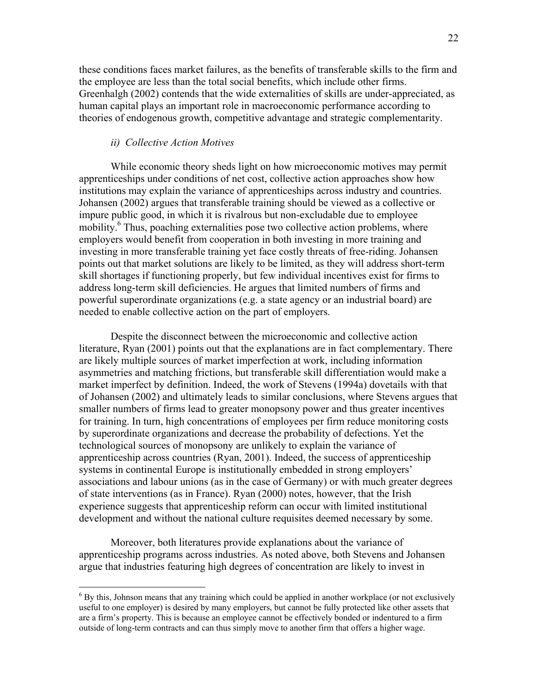these conditions faces market failures, as the benefits of transferable skills to the firm and the employee are less than the total social benefits, which include other firms. Greenhalgh (2002) contends that the wide externalities of skills are under-appreciated, as human capital plays an important role in macroeconomic performance according to theories of endogenous growth, competitive advantage and strategic complementarity.

### ii) Collective Action Motives

-

While economic theory sheds light on how microeconomic motives may permit apprenticeships under conditions of net cost, collective action approaches show how institutions may explain the variance of apprenticeships across industry and countries. Johansen (2002) argues that transferable training should be viewed as a collective or impure public good, in which it is rivalrous but non-excludable due to employee mobility.<sup>6</sup> Thus, poaching externalities pose two collective action problems, where employers would benefit from cooperation in both investing in more training and investing in more transferable training yet face costly threats of free-riding. Johansen points out that market solutions are likely to be limited, as they will address short-term skill shortages if functioning properly, but few individual incentives exist for firms to address long-term skill deficiencies. He argues that limited numbers of firms and powerful superordinate organizations (e.g. a state agency or an industrial board) are needed to enable collective action on the part of employers.

Despite the disconnect between the microeconomic and collective action literature, Ryan (2001) points out that the explanations are in fact complementary. There are likely multiple sources of market imperfection at work, including information asymmetries and matching frictions, but transferable skill differentiation would make a market imperfect by definition. Indeed, the work of Stevens (1994a) dovetails with that of Johansen (2002) and ultimately leads to similar conclusions, where Stevens argues that smaller numbers of firms lead to greater monopsony power and thus greater incentives for training. In turn, high concentrations of employees per firm reduce monitoring costs by superordinate organizations and decrease the probability of defections. Yet the technological sources of monopsony are unlikely to explain the variance of apprenticeship across countries (Ryan, 2001). Indeed, the success of apprenticeship systems in continental Europe is institutionally embedded in strong employers' associations and labour unions (as in the case of Germany) or with much greater degrees of state interventions (as in France). Ryan (2000) notes, however, that the Irish experience suggests that apprenticeship reform can occur with limited institutional development and without the national culture requisites deemed necessary by some.

Moreover, both literatures provide explanations about the variance of apprenticeship programs across industries. As noted above, both Stevens and Johansen argue that industries featuring high degrees of concentration are likely to invest in

<sup>&</sup>lt;sup>6</sup> By this, Johnson means that any training which could be applied in another workplace (or not exclusively useful to one employer) is desired by many employers, but cannot be fully protected like other assets that are a firm's property. This is because an employee cannot be effectively bonded or indentured to a firm outside of long-term contracts and can thus simply move to another firm that offers a higher wage.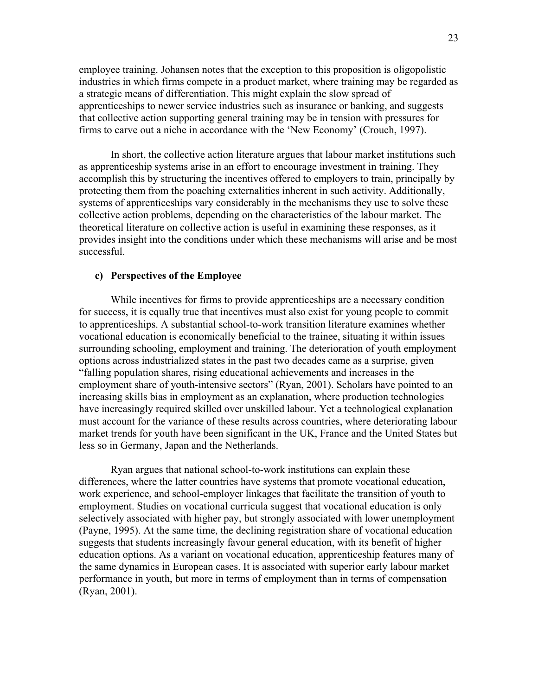employee training. Johansen notes that the exception to this proposition is oligopolistic industries in which firms compete in a product market, where training may be regarded as a strategic means of differentiation. This might explain the slow spread of apprenticeships to newer service industries such as insurance or banking, and suggests that collective action supporting general training may be in tension with pressures for firms to carve out a niche in accordance with the 'New Economy' (Crouch, 1997).

In short, the collective action literature argues that labour market institutions such as apprenticeship systems arise in an effort to encourage investment in training. They accomplish this by structuring the incentives offered to employers to train, principally by protecting them from the poaching externalities inherent in such activity. Additionally, systems of apprenticeships vary considerably in the mechanisms they use to solve these collective action problems, depending on the characteristics of the labour market. The theoretical literature on collective action is useful in examining these responses, as it provides insight into the conditions under which these mechanisms will arise and be most successful.

### c) Perspectives of the Employee

While incentives for firms to provide apprenticeships are a necessary condition for success, it is equally true that incentives must also exist for young people to commit to apprenticeships. A substantial school-to-work transition literature examines whether vocational education is economically beneficial to the trainee, situating it within issues surrounding schooling, employment and training. The deterioration of youth employment options across industrialized states in the past two decades came as a surprise, given "falling population shares, rising educational achievements and increases in the employment share of youth-intensive sectors" (Ryan, 2001). Scholars have pointed to an increasing skills bias in employment as an explanation, where production technologies have increasingly required skilled over unskilled labour. Yet a technological explanation must account for the variance of these results across countries, where deteriorating labour market trends for youth have been significant in the UK, France and the United States but less so in Germany, Japan and the Netherlands.

Ryan argues that national school-to-work institutions can explain these differences, where the latter countries have systems that promote vocational education, work experience, and school-employer linkages that facilitate the transition of youth to employment. Studies on vocational curricula suggest that vocational education is only selectively associated with higher pay, but strongly associated with lower unemployment (Payne, 1995). At the same time, the declining registration share of vocational education suggests that students increasingly favour general education, with its benefit of higher education options. As a variant on vocational education, apprenticeship features many of the same dynamics in European cases. It is associated with superior early labour market performance in youth, but more in terms of employment than in terms of compensation (Ryan, 2001).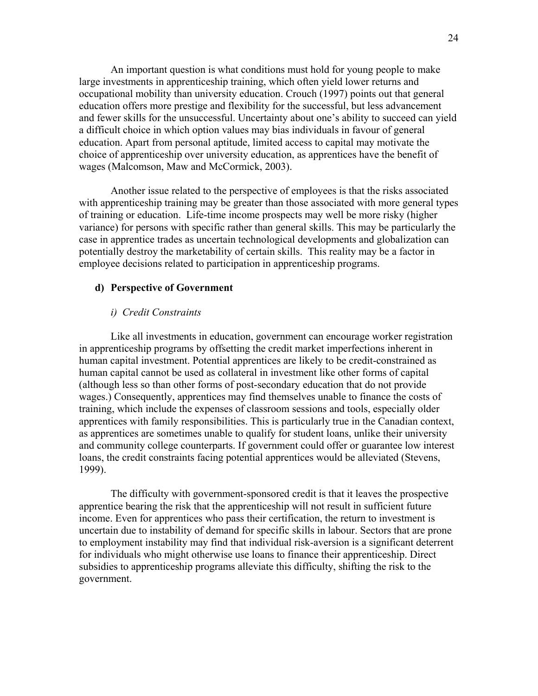An important question is what conditions must hold for young people to make large investments in apprenticeship training, which often yield lower returns and occupational mobility than university education. Crouch (1997) points out that general education offers more prestige and flexibility for the successful, but less advancement and fewer skills for the unsuccessful. Uncertainty about one's ability to succeed can yield a difficult choice in which option values may bias individuals in favour of general education. Apart from personal aptitude, limited access to capital may motivate the choice of apprenticeship over university education, as apprentices have the benefit of wages (Malcomson, Maw and McCormick, 2003).

 Another issue related to the perspective of employees is that the risks associated with apprenticeship training may be greater than those associated with more general types of training or education. Life-time income prospects may well be more risky (higher variance) for persons with specific rather than general skills. This may be particularly the case in apprentice trades as uncertain technological developments and globalization can potentially destroy the marketability of certain skills. This reality may be a factor in employee decisions related to participation in apprenticeship programs.

#### d) Perspective of Government

#### i) Credit Constraints

Like all investments in education, government can encourage worker registration in apprenticeship programs by offsetting the credit market imperfections inherent in human capital investment. Potential apprentices are likely to be credit-constrained as human capital cannot be used as collateral in investment like other forms of capital (although less so than other forms of post-secondary education that do not provide wages.) Consequently, apprentices may find themselves unable to finance the costs of training, which include the expenses of classroom sessions and tools, especially older apprentices with family responsibilities. This is particularly true in the Canadian context, as apprentices are sometimes unable to qualify for student loans, unlike their university and community college counterparts. If government could offer or guarantee low interest loans, the credit constraints facing potential apprentices would be alleviated (Stevens, 1999).

 The difficulty with government-sponsored credit is that it leaves the prospective apprentice bearing the risk that the apprenticeship will not result in sufficient future income. Even for apprentices who pass their certification, the return to investment is uncertain due to instability of demand for specific skills in labour. Sectors that are prone to employment instability may find that individual risk-aversion is a significant deterrent for individuals who might otherwise use loans to finance their apprenticeship. Direct subsidies to apprenticeship programs alleviate this difficulty, shifting the risk to the government.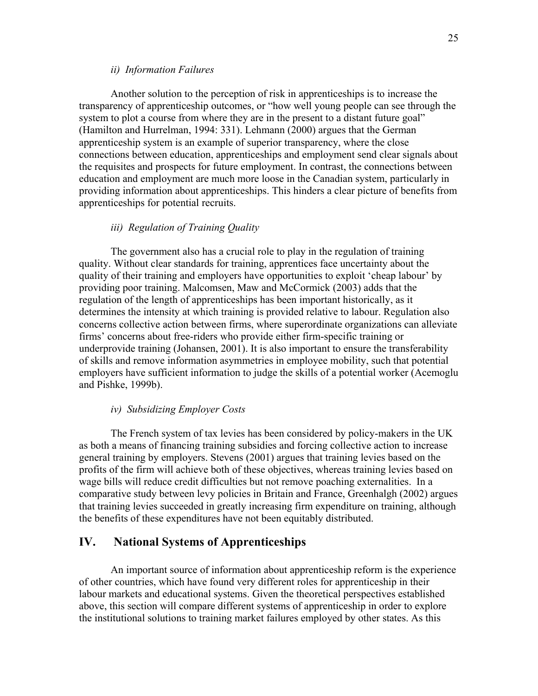#### ii) Information Failures

 Another solution to the perception of risk in apprenticeships is to increase the transparency of apprenticeship outcomes, or "how well young people can see through the system to plot a course from where they are in the present to a distant future goal" (Hamilton and Hurrelman, 1994: 331). Lehmann (2000) argues that the German apprenticeship system is an example of superior transparency, where the close connections between education, apprenticeships and employment send clear signals about the requisites and prospects for future employment. In contrast, the connections between education and employment are much more loose in the Canadian system, particularly in providing information about apprenticeships. This hinders a clear picture of benefits from apprenticeships for potential recruits.

### iii) Regulation of Training Quality

 The government also has a crucial role to play in the regulation of training quality. Without clear standards for training, apprentices face uncertainty about the quality of their training and employers have opportunities to exploit 'cheap labour' by providing poor training. Malcomsen, Maw and McCormick (2003) adds that the regulation of the length of apprenticeships has been important historically, as it determines the intensity at which training is provided relative to labour. Regulation also concerns collective action between firms, where superordinate organizations can alleviate firms' concerns about free-riders who provide either firm-specific training or underprovide training (Johansen, 2001). It is also important to ensure the transferability of skills and remove information asymmetries in employee mobility, such that potential employers have sufficient information to judge the skills of a potential worker (Acemoglu and Pishke, 1999b).

#### iv) Subsidizing Employer Costs

 The French system of tax levies has been considered by policy-makers in the UK as both a means of financing training subsidies and forcing collective action to increase general training by employers. Stevens (2001) argues that training levies based on the profits of the firm will achieve both of these objectives, whereas training levies based on wage bills will reduce credit difficulties but not remove poaching externalities. In a comparative study between levy policies in Britain and France, Greenhalgh (2002) argues that training levies succeeded in greatly increasing firm expenditure on training, although the benefits of these expenditures have not been equitably distributed.

### IV. National Systems of Apprenticeships

An important source of information about apprenticeship reform is the experience of other countries, which have found very different roles for apprenticeship in their labour markets and educational systems. Given the theoretical perspectives established above, this section will compare different systems of apprenticeship in order to explore the institutional solutions to training market failures employed by other states. As this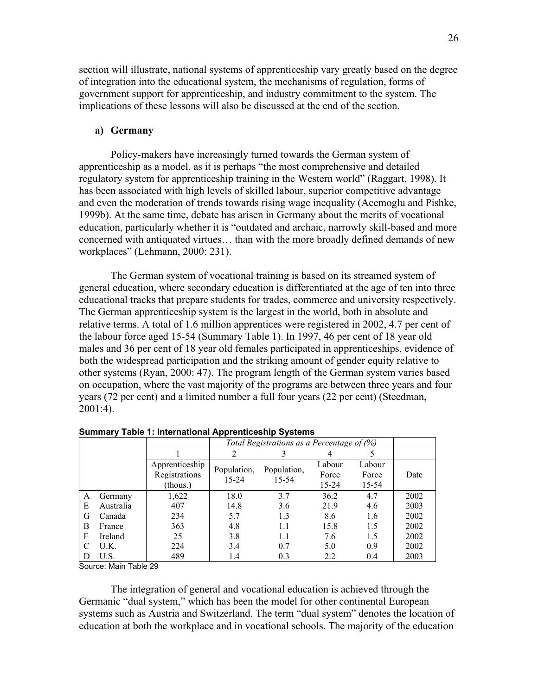section will illustrate, national systems of apprenticeship vary greatly based on the degree of integration into the educational system, the mechanisms of regulation, forms of government support for apprenticeship, and industry commitment to the system. The implications of these lessons will also be discussed at the end of the section.

### a) Germany

Policy-makers have increasingly turned towards the German system of apprenticeship as a model, as it is perhaps "the most comprehensive and detailed regulatory system for apprenticeship training in the Western world" (Raggart, 1998). It has been associated with high levels of skilled labour, superior competitive advantage and even the moderation of trends towards rising wage inequality (Acemoglu and Pishke, 1999b). At the same time, debate has arisen in Germany about the merits of vocational education, particularly whether it is "outdated and archaic, narrowly skill-based and more concerned with antiquated virtues… than with the more broadly defined demands of new workplaces" (Lehmann, 2000: 231).

 The German system of vocational training is based on its streamed system of general education, where secondary education is differentiated at the age of ten into three educational tracks that prepare students for trades, commerce and university respectively. The German apprenticeship system is the largest in the world, both in absolute and relative terms. A total of 1.6 million apprentices were registered in 2002, 4.7 per cent of the labour force aged 15-54 (Summary Table 1). In 1997, 46 per cent of 18 year old males and 36 per cent of 18 year old females participated in apprenticeships, evidence of both the widespread participation and the striking amount of gender equity relative to other systems (Ryan, 2000: 47). The program length of the German system varies based on occupation, where the vast majority of the programs are between three years and four years (72 per cent) and a limited number a full four years (22 per cent) (Steedman, 2001:4).

|   |           |                                             |                          | Total Registrations as a Percentage of (%) |                          |                          |      |
|---|-----------|---------------------------------------------|--------------------------|--------------------------------------------|--------------------------|--------------------------|------|
|   |           |                                             | າ                        |                                            |                          |                          |      |
|   |           | Apprenticeship<br>Registrations<br>(thous.) | Population,<br>$15 - 24$ | Population,<br>$15 - 54$                   | Labour<br>Force<br>15-24 | Labour<br>Force<br>15-54 | Date |
| A | Germany   | 1,622                                       | 18.0                     | 3.7                                        | 36.2                     | 4.7                      | 2002 |
| Е | Australia | 407                                         | 14.8                     | 3.6                                        | 21.9                     | 4.6                      | 2003 |
| G | Canada    | 234                                         | 5.7                      | 1.3                                        | 8.6                      | 1.6                      | 2002 |
| B | France    | 363                                         | 4.8                      | 1.1                                        | 15.8                     | 1.5                      | 2002 |
| F | Ireland   | 25                                          | 3.8                      | 1.1                                        | 7.6                      | 1.5                      | 2002 |
|   | U.K.      | 224                                         | 3.4                      | 0.7                                        | 5.0                      | 0.9                      | 2002 |
| D | U.S.      | 489                                         | 1.4                      | 0.3                                        | 2.2                      | 0.4                      | 2003 |

Summary Table 1: International Apprenticeship Systems

Source: Main Table 29

The integration of general and vocational education is achieved through the Germanic "dual system," which has been the model for other continental European systems such as Austria and Switzerland. The term "dual system" denotes the location of education at both the workplace and in vocational schools. The majority of the education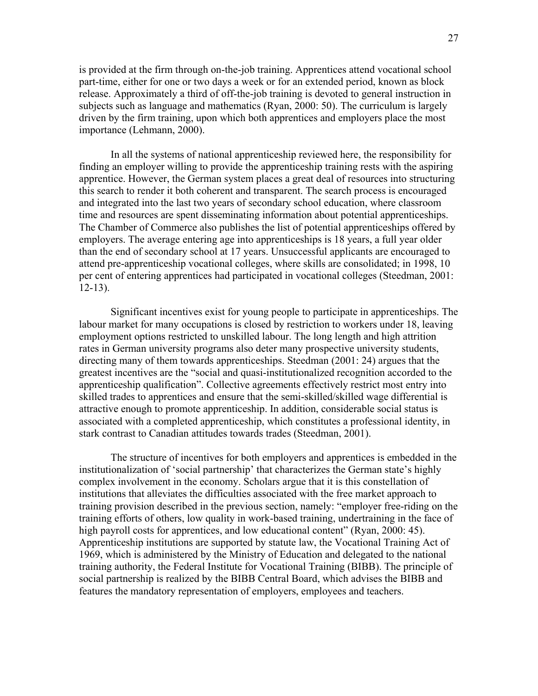is provided at the firm through on-the-job training. Apprentices attend vocational school part-time, either for one or two days a week or for an extended period, known as block release. Approximately a third of off-the-job training is devoted to general instruction in subjects such as language and mathematics (Ryan, 2000: 50). The curriculum is largely driven by the firm training, upon which both apprentices and employers place the most importance (Lehmann, 2000).

In all the systems of national apprenticeship reviewed here, the responsibility for finding an employer willing to provide the apprenticeship training rests with the aspiring apprentice. However, the German system places a great deal of resources into structuring this search to render it both coherent and transparent. The search process is encouraged and integrated into the last two years of secondary school education, where classroom time and resources are spent disseminating information about potential apprenticeships. The Chamber of Commerce also publishes the list of potential apprenticeships offered by employers. The average entering age into apprenticeships is 18 years, a full year older than the end of secondary school at 17 years. Unsuccessful applicants are encouraged to attend pre-apprenticeship vocational colleges, where skills are consolidated; in 1998, 10 per cent of entering apprentices had participated in vocational colleges (Steedman, 2001: 12-13).

 Significant incentives exist for young people to participate in apprenticeships. The labour market for many occupations is closed by restriction to workers under 18, leaving employment options restricted to unskilled labour. The long length and high attrition rates in German university programs also deter many prospective university students, directing many of them towards apprenticeships. Steedman (2001: 24) argues that the greatest incentives are the "social and quasi-institutionalized recognition accorded to the apprenticeship qualification". Collective agreements effectively restrict most entry into skilled trades to apprentices and ensure that the semi-skilled/skilled wage differential is attractive enough to promote apprenticeship. In addition, considerable social status is associated with a completed apprenticeship, which constitutes a professional identity, in stark contrast to Canadian attitudes towards trades (Steedman, 2001).

 The structure of incentives for both employers and apprentices is embedded in the institutionalization of 'social partnership' that characterizes the German state's highly complex involvement in the economy. Scholars argue that it is this constellation of institutions that alleviates the difficulties associated with the free market approach to training provision described in the previous section, namely: "employer free-riding on the training efforts of others, low quality in work-based training, undertraining in the face of high payroll costs for apprentices, and low educational content" (Ryan, 2000: 45). Apprenticeship institutions are supported by statute law, the Vocational Training Act of 1969, which is administered by the Ministry of Education and delegated to the national training authority, the Federal Institute for Vocational Training (BIBB). The principle of social partnership is realized by the BIBB Central Board, which advises the BIBB and features the mandatory representation of employers, employees and teachers.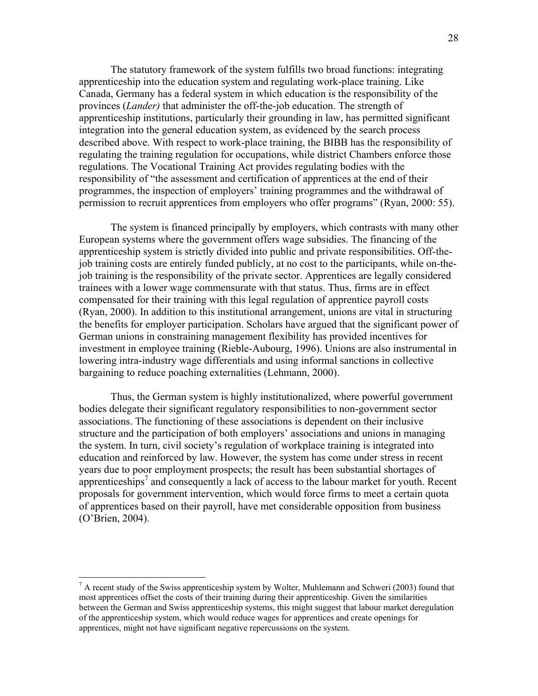The statutory framework of the system fulfills two broad functions: integrating apprenticeship into the education system and regulating work-place training. Like Canada, Germany has a federal system in which education is the responsibility of the provinces (Lander) that administer the off-the-job education. The strength of apprenticeship institutions, particularly their grounding in law, has permitted significant integration into the general education system, as evidenced by the search process described above. With respect to work-place training, the BIBB has the responsibility of regulating the training regulation for occupations, while district Chambers enforce those regulations. The Vocational Training Act provides regulating bodies with the responsibility of "the assessment and certification of apprentices at the end of their programmes, the inspection of employers' training programmes and the withdrawal of permission to recruit apprentices from employers who offer programs" (Ryan, 2000: 55).

The system is financed principally by employers, which contrasts with many other European systems where the government offers wage subsidies. The financing of the apprenticeship system is strictly divided into public and private responsibilities. Off-thejob training costs are entirely funded publicly, at no cost to the participants, while on-thejob training is the responsibility of the private sector. Apprentices are legally considered trainees with a lower wage commensurate with that status. Thus, firms are in effect compensated for their training with this legal regulation of apprentice payroll costs (Ryan, 2000). In addition to this institutional arrangement, unions are vital in structuring the benefits for employer participation. Scholars have argued that the significant power of German unions in constraining management flexibility has provided incentives for investment in employee training (Rieble-Aubourg, 1996). Unions are also instrumental in lowering intra-industry wage differentials and using informal sanctions in collective bargaining to reduce poaching externalities (Lehmann, 2000).

Thus, the German system is highly institutionalized, where powerful government bodies delegate their significant regulatory responsibilities to non-government sector associations. The functioning of these associations is dependent on their inclusive structure and the participation of both employers' associations and unions in managing the system. In turn, civil society's regulation of workplace training is integrated into education and reinforced by law. However, the system has come under stress in recent years due to poor employment prospects; the result has been substantial shortages of apprenticeships<sup>7</sup> and consequently a lack of access to the labour market for youth. Recent proposals for government intervention, which would force firms to meet a certain quota of apprentices based on their payroll, have met considerable opposition from business (O'Brien, 2004).

 $\overline{a}$ 

 $<sup>7</sup>$  A recent study of the Swiss apprenticeship system by Wolter, Muhlemann and Schweri (2003) found that</sup> most apprentices offset the costs of their training during their apprenticeship. Given the similarities between the German and Swiss apprenticeship systems, this might suggest that labour market deregulation of the apprenticeship system, which would reduce wages for apprentices and create openings for apprentices, might not have significant negative repercussions on the system.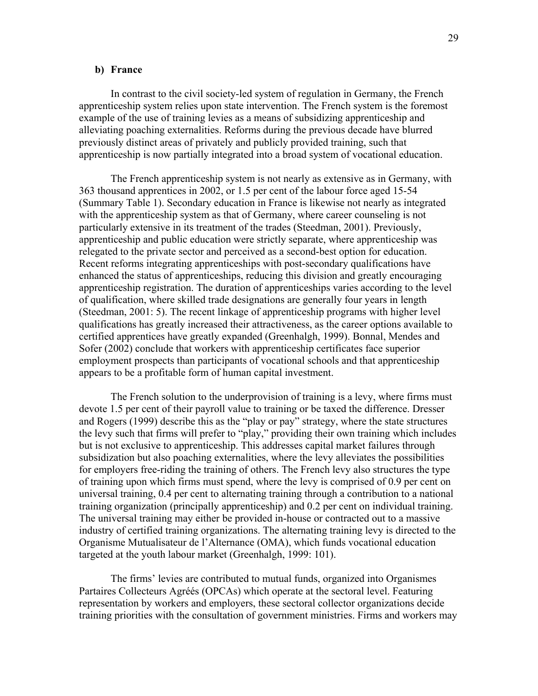#### b) France

In contrast to the civil society-led system of regulation in Germany, the French apprenticeship system relies upon state intervention. The French system is the foremost example of the use of training levies as a means of subsidizing apprenticeship and alleviating poaching externalities. Reforms during the previous decade have blurred previously distinct areas of privately and publicly provided training, such that apprenticeship is now partially integrated into a broad system of vocational education.

 The French apprenticeship system is not nearly as extensive as in Germany, with 363 thousand apprentices in 2002, or 1.5 per cent of the labour force aged 15-54 (Summary Table 1). Secondary education in France is likewise not nearly as integrated with the apprenticeship system as that of Germany, where career counseling is not particularly extensive in its treatment of the trades (Steedman, 2001). Previously, apprenticeship and public education were strictly separate, where apprenticeship was relegated to the private sector and perceived as a second-best option for education. Recent reforms integrating apprenticeships with post-secondary qualifications have enhanced the status of apprenticeships, reducing this division and greatly encouraging apprenticeship registration. The duration of apprenticeships varies according to the level of qualification, where skilled trade designations are generally four years in length (Steedman, 2001: 5). The recent linkage of apprenticeship programs with higher level qualifications has greatly increased their attractiveness, as the career options available to certified apprentices have greatly expanded (Greenhalgh, 1999). Bonnal, Mendes and Sofer (2002) conclude that workers with apprenticeship certificates face superior employment prospects than participants of vocational schools and that apprenticeship appears to be a profitable form of human capital investment.

The French solution to the underprovision of training is a levy, where firms must devote 1.5 per cent of their payroll value to training or be taxed the difference. Dresser and Rogers (1999) describe this as the "play or pay" strategy, where the state structures the levy such that firms will prefer to "play," providing their own training which includes but is not exclusive to apprenticeship. This addresses capital market failures through subsidization but also poaching externalities, where the levy alleviates the possibilities for employers free-riding the training of others. The French levy also structures the type of training upon which firms must spend, where the levy is comprised of 0.9 per cent on universal training, 0.4 per cent to alternating training through a contribution to a national training organization (principally apprenticeship) and 0.2 per cent on individual training. The universal training may either be provided in-house or contracted out to a massive industry of certified training organizations. The alternating training levy is directed to the Organisme Mutualisateur de l'Alternance (OMA), which funds vocational education targeted at the youth labour market (Greenhalgh, 1999: 101).

The firms' levies are contributed to mutual funds, organized into Organismes Partaires Collecteurs Agréés (OPCAs) which operate at the sectoral level. Featuring representation by workers and employers, these sectoral collector organizations decide training priorities with the consultation of government ministries. Firms and workers may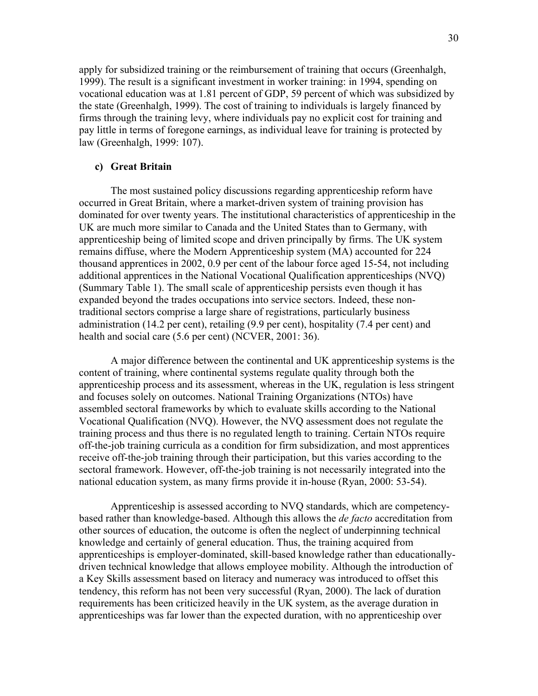apply for subsidized training or the reimbursement of training that occurs (Greenhalgh, 1999). The result is a significant investment in worker training: in 1994, spending on vocational education was at 1.81 percent of GDP, 59 percent of which was subsidized by the state (Greenhalgh, 1999). The cost of training to individuals is largely financed by firms through the training levy, where individuals pay no explicit cost for training and pay little in terms of foregone earnings, as individual leave for training is protected by law (Greenhalgh, 1999: 107).

### c) Great Britain

The most sustained policy discussions regarding apprenticeship reform have occurred in Great Britain, where a market-driven system of training provision has dominated for over twenty years. The institutional characteristics of apprenticeship in the UK are much more similar to Canada and the United States than to Germany, with apprenticeship being of limited scope and driven principally by firms. The UK system remains diffuse, where the Modern Apprenticeship system (MA) accounted for 224 thousand apprentices in 2002, 0.9 per cent of the labour force aged 15-54, not including additional apprentices in the National Vocational Qualification apprenticeships (NVQ) (Summary Table 1). The small scale of apprenticeship persists even though it has expanded beyond the trades occupations into service sectors. Indeed, these nontraditional sectors comprise a large share of registrations, particularly business administration (14.2 per cent), retailing (9.9 per cent), hospitality (7.4 per cent) and health and social care (5.6 per cent) (NCVER, 2001: 36).

 A major difference between the continental and UK apprenticeship systems is the content of training, where continental systems regulate quality through both the apprenticeship process and its assessment, whereas in the UK, regulation is less stringent and focuses solely on outcomes. National Training Organizations (NTOs) have assembled sectoral frameworks by which to evaluate skills according to the National Vocational Qualification (NVQ). However, the NVQ assessment does not regulate the training process and thus there is no regulated length to training. Certain NTOs require off-the-job training curricula as a condition for firm subsidization, and most apprentices receive off-the-job training through their participation, but this varies according to the sectoral framework. However, off-the-job training is not necessarily integrated into the national education system, as many firms provide it in-house (Ryan, 2000: 53-54).

 Apprenticeship is assessed according to NVQ standards, which are competencybased rather than knowledge-based. Although this allows the de facto accreditation from other sources of education, the outcome is often the neglect of underpinning technical knowledge and certainly of general education. Thus, the training acquired from apprenticeships is employer-dominated, skill-based knowledge rather than educationallydriven technical knowledge that allows employee mobility. Although the introduction of a Key Skills assessment based on literacy and numeracy was introduced to offset this tendency, this reform has not been very successful (Ryan, 2000). The lack of duration requirements has been criticized heavily in the UK system, as the average duration in apprenticeships was far lower than the expected duration, with no apprenticeship over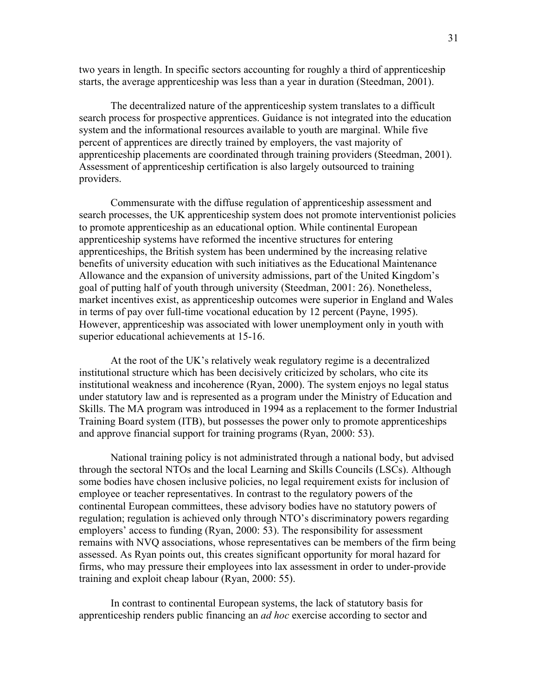two years in length. In specific sectors accounting for roughly a third of apprenticeship starts, the average apprenticeship was less than a year in duration (Steedman, 2001).

 The decentralized nature of the apprenticeship system translates to a difficult search process for prospective apprentices. Guidance is not integrated into the education system and the informational resources available to youth are marginal. While five percent of apprentices are directly trained by employers, the vast majority of apprenticeship placements are coordinated through training providers (Steedman, 2001). Assessment of apprenticeship certification is also largely outsourced to training providers.

Commensurate with the diffuse regulation of apprenticeship assessment and search processes, the UK apprenticeship system does not promote interventionist policies to promote apprenticeship as an educational option. While continental European apprenticeship systems have reformed the incentive structures for entering apprenticeships, the British system has been undermined by the increasing relative benefits of university education with such initiatives as the Educational Maintenance Allowance and the expansion of university admissions, part of the United Kingdom's goal of putting half of youth through university (Steedman, 2001: 26). Nonetheless, market incentives exist, as apprenticeship outcomes were superior in England and Wales in terms of pay over full-time vocational education by 12 percent (Payne, 1995). However, apprenticeship was associated with lower unemployment only in youth with superior educational achievements at 15-16.

 At the root of the UK's relatively weak regulatory regime is a decentralized institutional structure which has been decisively criticized by scholars, who cite its institutional weakness and incoherence (Ryan, 2000). The system enjoys no legal status under statutory law and is represented as a program under the Ministry of Education and Skills. The MA program was introduced in 1994 as a replacement to the former Industrial Training Board system (ITB), but possesses the power only to promote apprenticeships and approve financial support for training programs (Ryan, 2000: 53).

 National training policy is not administrated through a national body, but advised through the sectoral NTOs and the local Learning and Skills Councils (LSCs). Although some bodies have chosen inclusive policies, no legal requirement exists for inclusion of employee or teacher representatives. In contrast to the regulatory powers of the continental European committees, these advisory bodies have no statutory powers of regulation; regulation is achieved only through NTO's discriminatory powers regarding employers' access to funding (Ryan, 2000: 53). The responsibility for assessment remains with NVQ associations, whose representatives can be members of the firm being assessed. As Ryan points out, this creates significant opportunity for moral hazard for firms, who may pressure their employees into lax assessment in order to under-provide training and exploit cheap labour (Ryan, 2000: 55).

 In contrast to continental European systems, the lack of statutory basis for apprenticeship renders public financing an ad hoc exercise according to sector and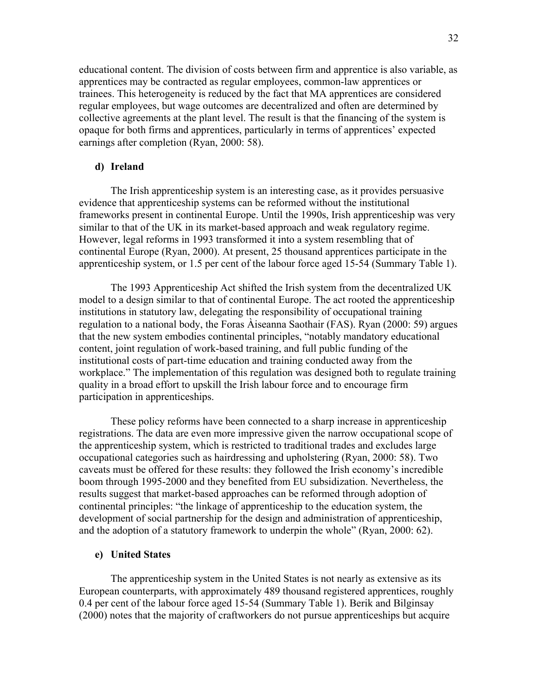educational content. The division of costs between firm and apprentice is also variable, as apprentices may be contracted as regular employees, common-law apprentices or trainees. This heterogeneity is reduced by the fact that MA apprentices are considered regular employees, but wage outcomes are decentralized and often are determined by collective agreements at the plant level. The result is that the financing of the system is opaque for both firms and apprentices, particularly in terms of apprentices' expected earnings after completion (Ryan, 2000: 58).

#### d) Ireland

The Irish apprenticeship system is an interesting case, as it provides persuasive evidence that apprenticeship systems can be reformed without the institutional frameworks present in continental Europe. Until the 1990s, Irish apprenticeship was very similar to that of the UK in its market-based approach and weak regulatory regime. However, legal reforms in 1993 transformed it into a system resembling that of continental Europe (Ryan, 2000). At present, 25 thousand apprentices participate in the apprenticeship system, or 1.5 per cent of the labour force aged 15-54 (Summary Table 1).

 The 1993 Apprenticeship Act shifted the Irish system from the decentralized UK model to a design similar to that of continental Europe. The act rooted the apprenticeship institutions in statutory law, delegating the responsibility of occupational training regulation to a national body, the Foras Àiseanna Saothair (FAS). Ryan (2000: 59) argues that the new system embodies continental principles, "notably mandatory educational content, joint regulation of work-based training, and full public funding of the institutional costs of part-time education and training conducted away from the workplace." The implementation of this regulation was designed both to regulate training quality in a broad effort to upskill the Irish labour force and to encourage firm participation in apprenticeships.

 These policy reforms have been connected to a sharp increase in apprenticeship registrations. The data are even more impressive given the narrow occupational scope of the apprenticeship system, which is restricted to traditional trades and excludes large occupational categories such as hairdressing and upholstering (Ryan, 2000: 58). Two caveats must be offered for these results: they followed the Irish economy's incredible boom through 1995-2000 and they benefited from EU subsidization. Nevertheless, the results suggest that market-based approaches can be reformed through adoption of continental principles: "the linkage of apprenticeship to the education system, the development of social partnership for the design and administration of apprenticeship, and the adoption of a statutory framework to underpin the whole" (Ryan, 2000: 62).

#### e) United States

The apprenticeship system in the United States is not nearly as extensive as its European counterparts, with approximately 489 thousand registered apprentices, roughly 0.4 per cent of the labour force aged 15-54 (Summary Table 1). Berik and Bilginsay (2000) notes that the majority of craftworkers do not pursue apprenticeships but acquire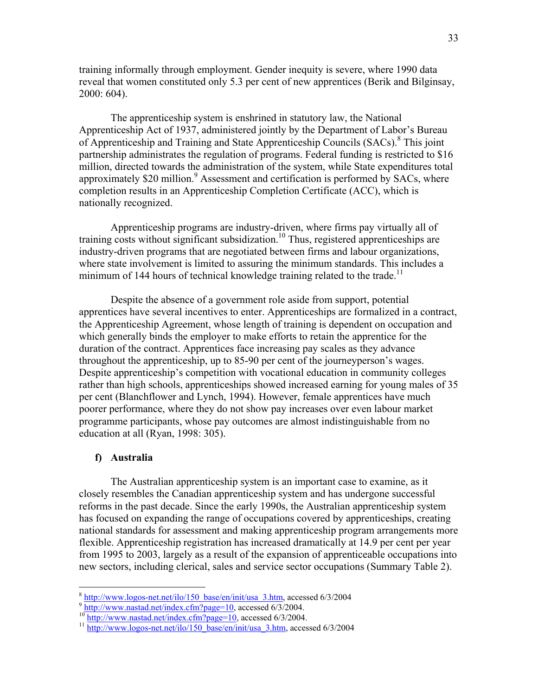training informally through employment. Gender inequity is severe, where 1990 data reveal that women constituted only 5.3 per cent of new apprentices (Berik and Bilginsay, 2000: 604).

The apprenticeship system is enshrined in statutory law, the National Apprenticeship Act of 1937, administered jointly by the Department of Labor's Bureau of Apprenticeship and Training and State Apprenticeship Councils (SACs).<sup>8</sup> This joint partnership administrates the regulation of programs. Federal funding is restricted to \$16 million, directed towards the administration of the system, while State expenditures total approximately \$20 million.<sup>9</sup> Assessment and certification is performed by SACs, where completion results in an Apprenticeship Completion Certificate (ACC), which is nationally recognized.

Apprenticeship programs are industry-driven, where firms pay virtually all of training costs without significant subsidization.<sup>10</sup> Thus, registered apprenticeships are industry-driven programs that are negotiated between firms and labour organizations, where state involvement is limited to assuring the minimum standards. This includes a minimum of 144 hours of technical knowledge training related to the trade.<sup>11</sup>

Despite the absence of a government role aside from support, potential apprentices have several incentives to enter. Apprenticeships are formalized in a contract, the Apprenticeship Agreement, whose length of training is dependent on occupation and which generally binds the employer to make efforts to retain the apprentice for the duration of the contract. Apprentices face increasing pay scales as they advance throughout the apprenticeship, up to 85-90 per cent of the journeyperson's wages. Despite apprenticeship's competition with vocational education in community colleges rather than high schools, apprenticeships showed increased earning for young males of 35 per cent (Blanchflower and Lynch, 1994). However, female apprentices have much poorer performance, where they do not show pay increases over even labour market programme participants, whose pay outcomes are almost indistinguishable from no education at all (Ryan, 1998: 305).

#### f) Australia

 The Australian apprenticeship system is an important case to examine, as it closely resembles the Canadian apprenticeship system and has undergone successful reforms in the past decade. Since the early 1990s, the Australian apprenticeship system has focused on expanding the range of occupations covered by apprenticeships, creating national standards for assessment and making apprenticeship program arrangements more flexible. Apprenticeship registration has increased dramatically at 14.9 per cent per year from 1995 to 2003, largely as a result of the expansion of apprenticeable occupations into new sectors, including clerical, sales and service sector occupations (Summary Table 2).

<sup>&</sup>lt;sup>8</sup> http://www.logos-net.net/ilo/150\_base/en/init/usa\_3.htm, accessed 6/3/2004

 $9 \frac{\text{http://www.nastad.net/index.cfm?page=10}}{\text{http://www.nastad.net/index.cfm?page=10}}$  accessed 6/3/2004.

<sup>&</sup>lt;sup>10</sup> http://www.nastad.net/index.cfm?page=10, accessed 6/3/2004.

<sup>&</sup>lt;sup>11</sup> http://www.logos-net.net/ilo/150\_base/en/init/usa\_3.htm, accessed 6/3/2004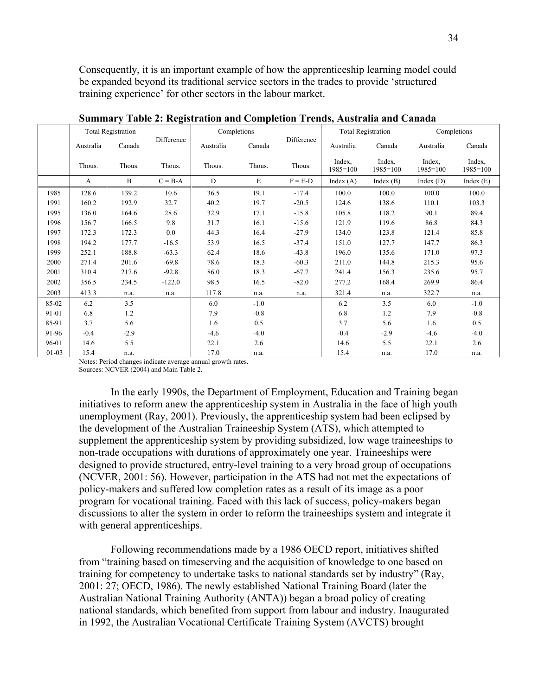Consequently, it is an important example of how the apprenticeship learning model could be expanded beyond its traditional service sectors in the trades to provide 'structured training experience' for other sectors in the labour market.

|         | <b>Total Registration</b> |        |             | Completions |        |            | <b>Total Registration</b> |                        | Completions            |                        |
|---------|---------------------------|--------|-------------|-------------|--------|------------|---------------------------|------------------------|------------------------|------------------------|
|         | Australia                 | Canada | Difference  | Australia   | Canada | Difference | Australia                 | Canada                 | Australia              | Canada                 |
|         | Thous.                    | Thous. | Thous.      | Thous.      | Thous. | Thous.     | Index,<br>$1985 = 100$    | Index,<br>$1985 = 100$ | Index,<br>$1985 = 100$ | Index,<br>$1985 = 100$ |
|         | $\mathbf{A}$              | B      | $C = B - A$ | D           | E      | $F = E-D$  | Index $(A)$               | Index $(B)$            | Index $(D)$            | Index $(E)$            |
| 1985    | 128.6                     | 139.2  | 10.6        | 36.5        | 19.1   | $-17.4$    | 100.0                     | 100.0                  | 100.0                  | 100.0                  |
| 1991    | 160.2                     | 192.9  | 32.7        | 40.2        | 19.7   | $-20.5$    | 124.6                     | 138.6                  | 110.1                  | 103.3                  |
| 1995    | 136.0                     | 164.6  | 28.6        | 32.9        | 17.1   | $-15.8$    | 105.8                     | 118.2                  | 90.1                   | 89.4                   |
| 1996    | 156.7                     | 166.5  | 9.8         | 31.7        | 16.1   | $-15.6$    | 121.9                     | 119.6                  | 86.8                   | 84.3                   |
| 1997    | 172.3                     | 172.3  | 0.0         | 44.3        | 16.4   | $-27.9$    | 134.0                     | 123.8                  | 121.4                  | 85.8                   |
| 1998    | 194.2                     | 177.7  | $-16.5$     | 53.9        | 16.5   | $-37.4$    | 151.0                     | 127.7                  | 147.7                  | 86.3                   |
| 1999    | 252.1                     | 188.8  | $-63.3$     | 62.4        | 18.6   | $-43.8$    | 196.0                     | 135.6                  | 171.0                  | 97.3                   |
| 2000    | 271.4                     | 201.6  | $-69.8$     | 78.6        | 18.3   | $-60.3$    | 211.0                     | 144.8                  | 215.3                  | 95.6                   |
| 2001    | 310.4                     | 217.6  | $-92.8$     | 86.0        | 18.3   | $-67.7$    | 241.4                     | 156.3                  | 235.6                  | 95.7                   |
| 2002    | 356.5                     | 234.5  | $-122.0$    | 98.5        | 16.5   | $-82.0$    | 277.2                     | 168.4                  | 269.9                  | 86.4                   |
| 2003    | 413.3                     | n.a.   | n.a.        | 117.8       | n.a.   | n.a.       | 321.4                     | n.a.                   | 322.7                  | n.a.                   |
| 85-02   | 6.2                       | 3.5    |             | 6.0         | $-1.0$ |            | 6.2                       | 3.5                    | 6.0                    | $-1.0$                 |
| 91-01   | 6.8                       | 1.2    |             | 7.9         | $-0.8$ |            | 6.8                       | 1.2                    | 7.9                    | $-0.8$                 |
| 85-91   | 3.7                       | 5.6    |             | 1.6         | 0.5    |            | 3.7                       | 5.6                    | 1.6                    | 0.5                    |
| 91-96   | $-0.4$                    | $-2.9$ |             | $-4.6$      | $-4.0$ |            | $-0.4$                    | $-2.9$                 | $-4.6$                 | $-4.0$                 |
| 96-01   | 14.6                      | 5.5    |             | 22.1        | 2.6    |            | 14.6                      | 5.5                    | 22.1                   | 2.6                    |
| $01-03$ | 15.4                      | n.a.   |             | 17.0        | n.a.   |            | 15.4                      | n.a.                   | 17.0                   | n.a.                   |

Summary Table 2: Registration and Completion Trends, Australia and Canada

Notes: Period changes indicate average annual growth rates.

Sources: NCVER (2004) and Main Table 2.

In the early 1990s, the Department of Employment, Education and Training began initiatives to reform anew the apprenticeship system in Australia in the face of high youth unemployment (Ray, 2001). Previously, the apprenticeship system had been eclipsed by the development of the Australian Traineeship System (ATS), which attempted to supplement the apprenticeship system by providing subsidized, low wage traineeships to non-trade occupations with durations of approximately one year. Traineeships were designed to provide structured, entry-level training to a very broad group of occupations (NCVER, 2001: 56). However, participation in the ATS had not met the expectations of policy-makers and suffered low completion rates as a result of its image as a poor program for vocational training. Faced with this lack of success, policy-makers began discussions to alter the system in order to reform the traineeships system and integrate it with general apprenticeships.

 Following recommendations made by a 1986 OECD report, initiatives shifted from "training based on timeserving and the acquisition of knowledge to one based on training for competency to undertake tasks to national standards set by industry" (Ray, 2001: 27; OECD, 1986). The newly established National Training Board (later the Australian National Training Authority (ANTA)) began a broad policy of creating national standards, which benefited from support from labour and industry. Inaugurated in 1992, the Australian Vocational Certificate Training System (AVCTS) brought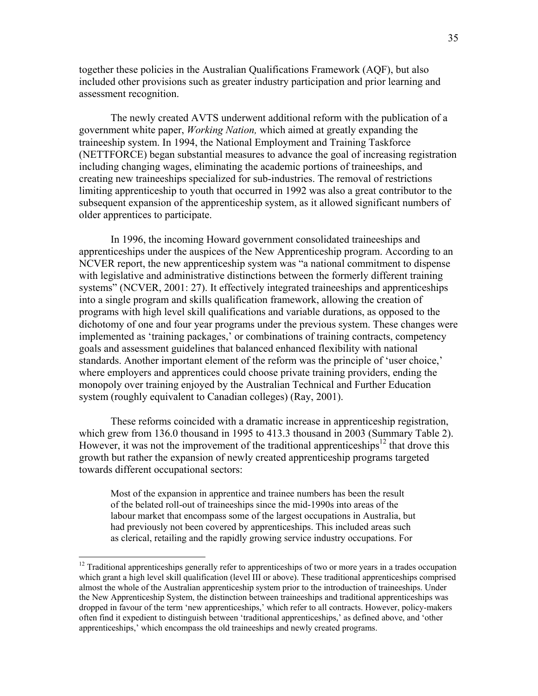together these policies in the Australian Qualifications Framework (AQF), but also included other provisions such as greater industry participation and prior learning and assessment recognition.

The newly created AVTS underwent additional reform with the publication of a government white paper, Working Nation, which aimed at greatly expanding the traineeship system. In 1994, the National Employment and Training Taskforce (NETTFORCE) began substantial measures to advance the goal of increasing registration including changing wages, eliminating the academic portions of traineeships, and creating new traineeships specialized for sub-industries. The removal of restrictions limiting apprenticeship to youth that occurred in 1992 was also a great contributor to the subsequent expansion of the apprenticeship system, as it allowed significant numbers of older apprentices to participate.

 In 1996, the incoming Howard government consolidated traineeships and apprenticeships under the auspices of the New Apprenticeship program. According to an NCVER report, the new apprenticeship system was "a national commitment to dispense with legislative and administrative distinctions between the formerly different training systems" (NCVER, 2001: 27). It effectively integrated traineeships and apprenticeships into a single program and skills qualification framework, allowing the creation of programs with high level skill qualifications and variable durations, as opposed to the dichotomy of one and four year programs under the previous system. These changes were implemented as 'training packages,' or combinations of training contracts, competency goals and assessment guidelines that balanced enhanced flexibility with national standards. Another important element of the reform was the principle of 'user choice,' where employers and apprentices could choose private training providers, ending the monopoly over training enjoyed by the Australian Technical and Further Education system (roughly equivalent to Canadian colleges) (Ray, 2001).

 These reforms coincided with a dramatic increase in apprenticeship registration, which grew from 136.0 thousand in 1995 to 413.3 thousand in 2003 (Summary Table 2). However, it was not the improvement of the traditional apprenticeships<sup>12</sup> that drove this growth but rather the expansion of newly created apprenticeship programs targeted towards different occupational sectors:

Most of the expansion in apprentice and trainee numbers has been the result of the belated roll-out of traineeships since the mid-1990s into areas of the labour market that encompass some of the largest occupations in Australia, but had previously not been covered by apprenticeships. This included areas such as clerical, retailing and the rapidly growing service industry occupations. For

-

 $12$  Traditional apprenticeships generally refer to apprenticeships of two or more years in a trades occupation which grant a high level skill qualification (level III or above). These traditional apprenticeships comprised almost the whole of the Australian apprenticeship system prior to the introduction of traineeships. Under the New Apprenticeship System, the distinction between traineeships and traditional apprenticeships was dropped in favour of the term 'new apprenticeships,' which refer to all contracts. However, policy-makers often find it expedient to distinguish between 'traditional apprenticeships,' as defined above, and 'other apprenticeships,' which encompass the old traineeships and newly created programs.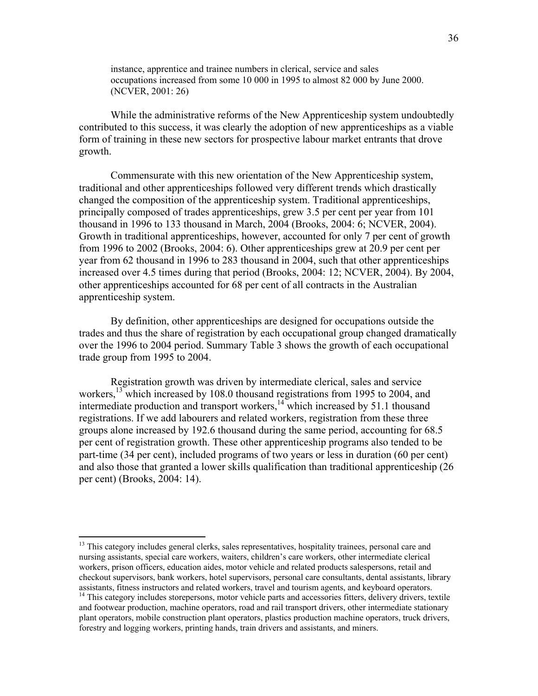instance, apprentice and trainee numbers in clerical, service and sales occupations increased from some 10 000 in 1995 to almost 82 000 by June 2000. (NCVER, 2001: 26)

 While the administrative reforms of the New Apprenticeship system undoubtedly contributed to this success, it was clearly the adoption of new apprenticeships as a viable form of training in these new sectors for prospective labour market entrants that drove growth.

 Commensurate with this new orientation of the New Apprenticeship system, traditional and other apprenticeships followed very different trends which drastically changed the composition of the apprenticeship system. Traditional apprenticeships, principally composed of trades apprenticeships, grew 3.5 per cent per year from 101 thousand in 1996 to 133 thousand in March, 2004 (Brooks, 2004: 6; NCVER, 2004). Growth in traditional apprenticeships, however, accounted for only 7 per cent of growth from 1996 to 2002 (Brooks, 2004: 6). Other apprenticeships grew at 20.9 per cent per year from 62 thousand in 1996 to 283 thousand in 2004, such that other apprenticeships increased over 4.5 times during that period (Brooks, 2004: 12; NCVER, 2004). By 2004, other apprenticeships accounted for 68 per cent of all contracts in the Australian apprenticeship system.

 By definition, other apprenticeships are designed for occupations outside the trades and thus the share of registration by each occupational group changed dramatically over the 1996 to 2004 period. Summary Table 3 shows the growth of each occupational trade group from 1995 to 2004.

 Registration growth was driven by intermediate clerical, sales and service workers,<sup>13</sup> which increased by 108.0 thousand registrations from 1995 to 2004, and intermediate production and transport workers,  $14$  which increased by 51.1 thousand registrations. If we add labourers and related workers, registration from these three groups alone increased by 192.6 thousand during the same period, accounting for 68.5 per cent of registration growth. These other apprenticeship programs also tended to be part-time (34 per cent), included programs of two years or less in duration (60 per cent) and also those that granted a lower skills qualification than traditional apprenticeship (26 per cent) (Brooks, 2004: 14).

 $\overline{a}$ 

<sup>&</sup>lt;sup>13</sup> This category includes general clerks, sales representatives, hospitality trainees, personal care and nursing assistants, special care workers, waiters, children's care workers, other intermediate clerical workers, prison officers, education aides, motor vehicle and related products salespersons, retail and checkout supervisors, bank workers, hotel supervisors, personal care consultants, dental assistants, library assistants, fitness instructors and related workers, travel and tourism agents, and keyboard operators.

<sup>&</sup>lt;sup>14</sup> This category includes storepersons, motor vehicle parts and accessories fitters, delivery drivers, textile and footwear production, machine operators, road and rail transport drivers, other intermediate stationary plant operators, mobile construction plant operators, plastics production machine operators, truck drivers, forestry and logging workers, printing hands, train drivers and assistants, and miners.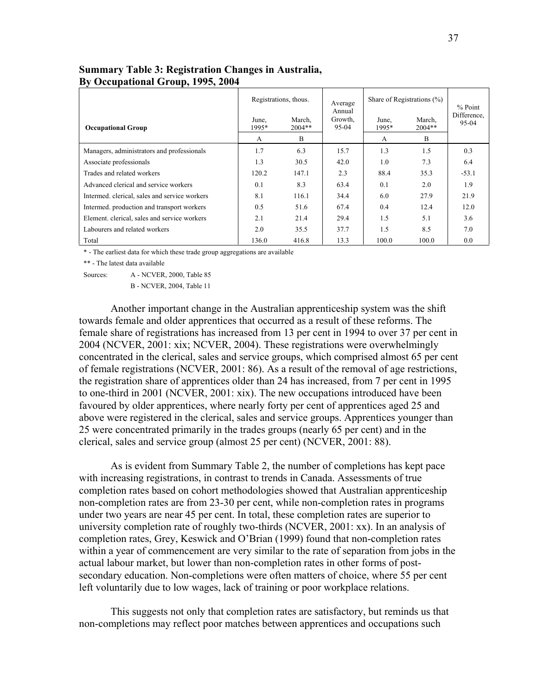|                                               | Registrations, thous. |                    | Average<br>Annual | Share of Registrations $(\%)$ |                    | $%$ Point            |
|-----------------------------------------------|-----------------------|--------------------|-------------------|-------------------------------|--------------------|----------------------|
| <b>Occupational Group</b>                     | June,<br>1995*        | March.<br>$2004**$ | Growth.<br>95-04  | June.<br>1995*                | March.<br>$2004**$ | Difference,<br>95-04 |
|                                               | A                     | B                  |                   | A                             | B                  |                      |
| Managers, administrators and professionals    | 1.7                   | 6.3                | 15.7              | 1.3                           | 1.5                | 0.3                  |
| Associate professionals                       | 1.3                   | 30.5               | 42.0              | 1.0                           | 7.3                | 6.4                  |
| Trades and related workers                    | 120.2                 | 147.1              | 2.3               | 88.4                          | 35.3               | $-53.1$              |
| Advanced clerical and service workers         | 0.1                   | 8.3                | 63.4              | 0.1                           | 2.0                | 1.9                  |
| Intermed, clerical, sales and service workers | 8.1                   | 116.1              | 34.4              | 6.0                           | 27.9               | 21.9                 |
| Intermed, production and transport workers    | 0.5                   | 51.6               | 67.4              | 0.4                           | 12.4               | 12.0                 |
| Element, clerical, sales and service workers  | 2.1                   | 21.4               | 29.4              | 1.5                           | 5.1                | 3.6                  |
| Labourers and related workers                 | 2.0                   | 35.5               | 37.7              | 1.5                           | 8.5                | 7.0                  |
| Total                                         | 136.0                 | 416.8              | 13.3              | 100.0                         | 100.0              | 0.0                  |

# Summary Table 3: Registration Changes in Australia, By Occupational Group, 1995, 2004

\* - The earliest data for which these trade group aggregations are available

\*\* - The latest data available

Sources: A - NCVER, 2000, Table 85

B - NCVER, 2004, Table 11

 Another important change in the Australian apprenticeship system was the shift towards female and older apprentices that occurred as a result of these reforms. The female share of registrations has increased from 13 per cent in 1994 to over 37 per cent in 2004 (NCVER, 2001: xix; NCVER, 2004). These registrations were overwhelmingly concentrated in the clerical, sales and service groups, which comprised almost 65 per cent of female registrations (NCVER, 2001: 86). As a result of the removal of age restrictions, the registration share of apprentices older than 24 has increased, from 7 per cent in 1995 to one-third in 2001 (NCVER, 2001: xix). The new occupations introduced have been favoured by older apprentices, where nearly forty per cent of apprentices aged 25 and above were registered in the clerical, sales and service groups. Apprentices younger than 25 were concentrated primarily in the trades groups (nearly 65 per cent) and in the clerical, sales and service group (almost 25 per cent) (NCVER, 2001: 88).

 As is evident from Summary Table 2, the number of completions has kept pace with increasing registrations, in contrast to trends in Canada. Assessments of true completion rates based on cohort methodologies showed that Australian apprenticeship non-completion rates are from 23-30 per cent, while non-completion rates in programs under two years are near 45 per cent. In total, these completion rates are superior to university completion rate of roughly two-thirds (NCVER, 2001: xx). In an analysis of completion rates, Grey, Keswick and O'Brian (1999) found that non-completion rates within a year of commencement are very similar to the rate of separation from jobs in the actual labour market, but lower than non-completion rates in other forms of postsecondary education. Non-completions were often matters of choice, where 55 per cent left voluntarily due to low wages, lack of training or poor workplace relations.

This suggests not only that completion rates are satisfactory, but reminds us that non-completions may reflect poor matches between apprentices and occupations such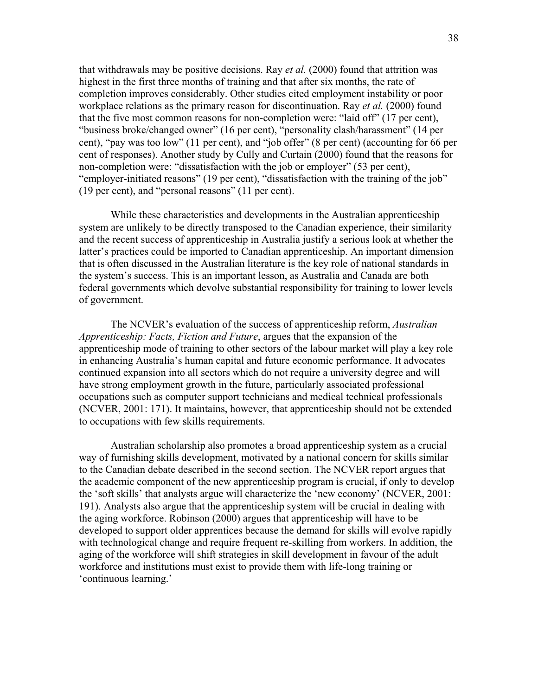that withdrawals may be positive decisions. Ray *et al.* (2000) found that attrition was highest in the first three months of training and that after six months, the rate of completion improves considerably. Other studies cited employment instability or poor workplace relations as the primary reason for discontinuation. Ray *et al.* (2000) found that the five most common reasons for non-completion were: "laid off" (17 per cent), "business broke/changed owner" (16 per cent), "personality clash/harassment" (14 per cent), "pay was too low" (11 per cent), and "job offer" (8 per cent) (accounting for 66 per cent of responses). Another study by Cully and Curtain (2000) found that the reasons for non-completion were: "dissatisfaction with the job or employer" (53 per cent), "employer-initiated reasons" (19 per cent), "dissatisfaction with the training of the job" (19 per cent), and "personal reasons" (11 per cent).

While these characteristics and developments in the Australian apprenticeship system are unlikely to be directly transposed to the Canadian experience, their similarity and the recent success of apprenticeship in Australia justify a serious look at whether the latter's practices could be imported to Canadian apprenticeship. An important dimension that is often discussed in the Australian literature is the key role of national standards in the system's success. This is an important lesson, as Australia and Canada are both federal governments which devolve substantial responsibility for training to lower levels of government.

The NCVER's evaluation of the success of apprenticeship reform, *Australian* Apprenticeship: Facts, Fiction and Future, argues that the expansion of the apprenticeship mode of training to other sectors of the labour market will play a key role in enhancing Australia's human capital and future economic performance. It advocates continued expansion into all sectors which do not require a university degree and will have strong employment growth in the future, particularly associated professional occupations such as computer support technicians and medical technical professionals (NCVER, 2001: 171). It maintains, however, that apprenticeship should not be extended to occupations with few skills requirements.

Australian scholarship also promotes a broad apprenticeship system as a crucial way of furnishing skills development, motivated by a national concern for skills similar to the Canadian debate described in the second section. The NCVER report argues that the academic component of the new apprenticeship program is crucial, if only to develop the 'soft skills' that analysts argue will characterize the 'new economy' (NCVER, 2001: 191). Analysts also argue that the apprenticeship system will be crucial in dealing with the aging workforce. Robinson (2000) argues that apprenticeship will have to be developed to support older apprentices because the demand for skills will evolve rapidly with technological change and require frequent re-skilling from workers. In addition, the aging of the workforce will shift strategies in skill development in favour of the adult workforce and institutions must exist to provide them with life-long training or 'continuous learning.'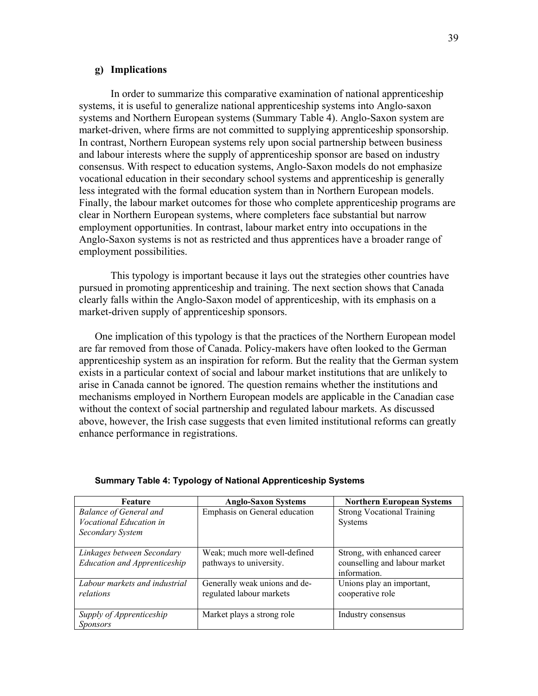#### g) Implications

In order to summarize this comparative examination of national apprenticeship systems, it is useful to generalize national apprenticeship systems into Anglo-saxon systems and Northern European systems (Summary Table 4). Anglo-Saxon system are market-driven, where firms are not committed to supplying apprenticeship sponsorship. In contrast, Northern European systems rely upon social partnership between business and labour interests where the supply of apprenticeship sponsor are based on industry consensus. With respect to education systems, Anglo-Saxon models do not emphasize vocational education in their secondary school systems and apprenticeship is generally less integrated with the formal education system than in Northern European models. Finally, the labour market outcomes for those who complete apprenticeship programs are clear in Northern European systems, where completers face substantial but narrow employment opportunities. In contrast, labour market entry into occupations in the Anglo-Saxon systems is not as restricted and thus apprentices have a broader range of employment possibilities.

This typology is important because it lays out the strategies other countries have pursued in promoting apprenticeship and training. The next section shows that Canada clearly falls within the Anglo-Saxon model of apprenticeship, with its emphasis on a market-driven supply of apprenticeship sponsors.

One implication of this typology is that the practices of the Northern European model are far removed from those of Canada. Policy-makers have often looked to the German apprenticeship system as an inspiration for reform. But the reality that the German system exists in a particular context of social and labour market institutions that are unlikely to arise in Canada cannot be ignored. The question remains whether the institutions and mechanisms employed in Northern European models are applicable in the Canadian case without the context of social partnership and regulated labour markets. As discussed above, however, the Irish case suggests that even limited institutional reforms can greatly enhance performance in registrations.

| Feature                             | <b>Anglo-Saxon Systems</b>    | <b>Northern European Systems</b>  |
|-------------------------------------|-------------------------------|-----------------------------------|
| <b>Balance of General and</b>       | Emphasis on General education | <b>Strong Vocational Training</b> |
| Vocational Education in             |                               | <b>Systems</b>                    |
| Secondary System                    |                               |                                   |
|                                     |                               |                                   |
| Linkages between Secondary          | Weak; much more well-defined  | Strong, with enhanced career      |
| <b>Education and Apprenticeship</b> | pathways to university.       | counselling and labour market     |
|                                     |                               | information.                      |
| Labour markets and industrial       | Generally weak unions and de- | Unions play an important,         |
| relations                           | regulated labour markets      | cooperative role                  |
|                                     |                               |                                   |
| Supply of Apprenticeship            | Market plays a strong role    | Industry consensus                |
| <i>Sponsors</i>                     |                               |                                   |

#### Summary Table 4: Typology of National Apprenticeship Systems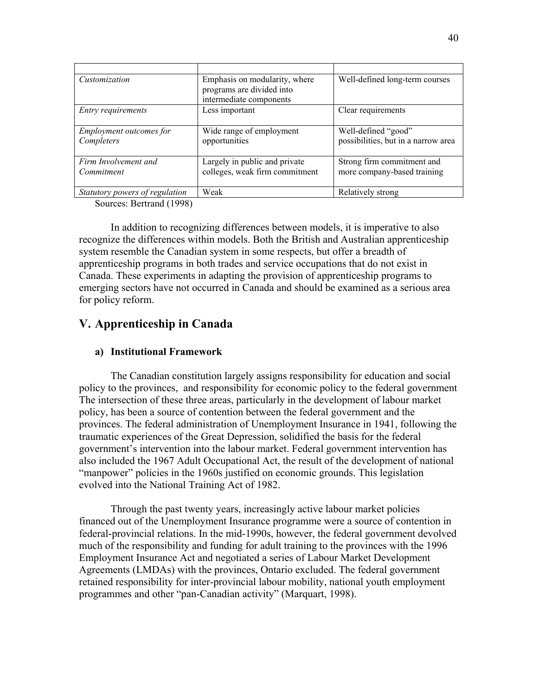| Customization                         | Emphasis on modularity, where<br>programs are divided into<br>intermediate components | Well-defined long-term courses                             |
|---------------------------------------|---------------------------------------------------------------------------------------|------------------------------------------------------------|
| <i>Entry requirements</i>             | Less important                                                                        | Clear requirements                                         |
| Employment outcomes for<br>Completers | Wide range of employment<br>opportunities                                             | Well-defined "good"<br>possibilities, but in a narrow area |
| Firm Involvement and<br>Commitment    | Largely in public and private<br>colleges, weak firm commitment                       | Strong firm commitment and<br>more company-based training  |
| Statutory powers of regulation        | Weak                                                                                  | Relatively strong                                          |

Sources: Bertrand (1998)

In addition to recognizing differences between models, it is imperative to also recognize the differences within models. Both the British and Australian apprenticeship system resemble the Canadian system in some respects, but offer a breadth of apprenticeship programs in both trades and service occupations that do not exist in Canada. These experiments in adapting the provision of apprenticeship programs to emerging sectors have not occurred in Canada and should be examined as a serious area for policy reform.

# V. Apprenticeship in Canada

# a) Institutional Framework

The Canadian constitution largely assigns responsibility for education and social policy to the provinces, and responsibility for economic policy to the federal government The intersection of these three areas, particularly in the development of labour market policy, has been a source of contention between the federal government and the provinces. The federal administration of Unemployment Insurance in 1941, following the traumatic experiences of the Great Depression, solidified the basis for the federal government's intervention into the labour market. Federal government intervention has also included the 1967 Adult Occupational Act, the result of the development of national "manpower" policies in the 1960s justified on economic grounds. This legislation evolved into the National Training Act of 1982.

 Through the past twenty years, increasingly active labour market policies financed out of the Unemployment Insurance programme were a source of contention in federal-provincial relations. In the mid-1990s, however, the federal government devolved much of the responsibility and funding for adult training to the provinces with the 1996 Employment Insurance Act and negotiated a series of Labour Market Development Agreements (LMDAs) with the provinces, Ontario excluded. The federal government retained responsibility for inter-provincial labour mobility, national youth employment programmes and other "pan-Canadian activity" (Marquart, 1998).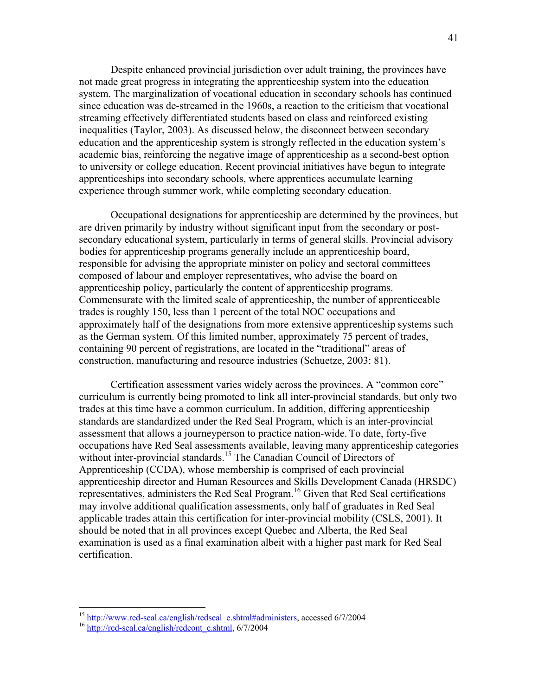Despite enhanced provincial jurisdiction over adult training, the provinces have not made great progress in integrating the apprenticeship system into the education system. The marginalization of vocational education in secondary schools has continued since education was de-streamed in the 1960s, a reaction to the criticism that vocational streaming effectively differentiated students based on class and reinforced existing inequalities (Taylor, 2003). As discussed below, the disconnect between secondary education and the apprenticeship system is strongly reflected in the education system's academic bias, reinforcing the negative image of apprenticeship as a second-best option to university or college education. Recent provincial initiatives have begun to integrate apprenticeships into secondary schools, where apprentices accumulate learning experience through summer work, while completing secondary education.

 Occupational designations for apprenticeship are determined by the provinces, but are driven primarily by industry without significant input from the secondary or postsecondary educational system, particularly in terms of general skills. Provincial advisory bodies for apprenticeship programs generally include an apprenticeship board, responsible for advising the appropriate minister on policy and sectoral committees composed of labour and employer representatives, who advise the board on apprenticeship policy, particularly the content of apprenticeship programs. Commensurate with the limited scale of apprenticeship, the number of apprenticeable trades is roughly 150, less than 1 percent of the total NOC occupations and approximately half of the designations from more extensive apprenticeship systems such as the German system. Of this limited number, approximately 75 percent of trades, containing 90 percent of registrations, are located in the "traditional" areas of construction, manufacturing and resource industries (Schuetze, 2003: 81).

Certification assessment varies widely across the provinces. A "common core" curriculum is currently being promoted to link all inter-provincial standards, but only two trades at this time have a common curriculum. In addition, differing apprenticeship standards are standardized under the Red Seal Program, which is an inter-provincial assessment that allows a journeyperson to practice nation-wide. To date, forty-five occupations have Red Seal assessments available, leaving many apprenticeship categories without inter-provincial standards.<sup>15</sup> The Canadian Council of Directors of Apprenticeship (CCDA), whose membership is comprised of each provincial apprenticeship director and Human Resources and Skills Development Canada (HRSDC) representatives, administers the Red Seal Program.<sup>16</sup> Given that Red Seal certifications may involve additional qualification assessments, only half of graduates in Red Seal applicable trades attain this certification for inter-provincial mobility (CSLS, 2001). It should be noted that in all provinces except Quebec and Alberta, the Red Seal examination is used as a final examination albeit with a higher past mark for Red Seal certification.

 $\overline{a}$ 

<sup>&</sup>lt;sup>15</sup> http://www.red-seal.ca/english/redseal\_e.shtml#administers, accessed 6/7/2004

<sup>&</sup>lt;sup>16</sup> http://red-seal.ca/english/redcont\_e.shtml, 6/7/2004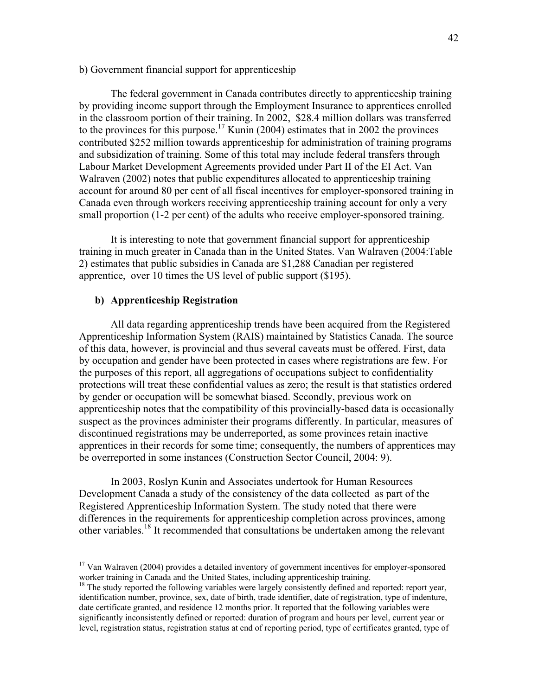# b) Government financial support for apprenticeship

 The federal government in Canada contributes directly to apprenticeship training by providing income support through the Employment Insurance to apprentices enrolled in the classroom portion of their training. In 2002, \$28.4 million dollars was transferred to the provinces for this purpose.<sup>17</sup> Kunin (2004) estimates that in 2002 the provinces contributed \$252 million towards apprenticeship for administration of training programs and subsidization of training. Some of this total may include federal transfers through Labour Market Development Agreements provided under Part II of the EI Act. Van Walraven (2002) notes that public expenditures allocated to apprenticeship training account for around 80 per cent of all fiscal incentives for employer-sponsored training in Canada even through workers receiving apprenticeship training account for only a very small proportion (1-2 per cent) of the adults who receive employer-sponsored training.

 It is interesting to note that government financial support for apprenticeship training in much greater in Canada than in the United States. Van Walraven (2004:Table 2) estimates that public subsidies in Canada are \$1,288 Canadian per registered apprentice, over 10 times the US level of public support (\$195).

# b) Apprenticeship Registration

 $\overline{a}$ 

 All data regarding apprenticeship trends have been acquired from the Registered Apprenticeship Information System (RAIS) maintained by Statistics Canada. The source of this data, however, is provincial and thus several caveats must be offered. First, data by occupation and gender have been protected in cases where registrations are few. For the purposes of this report, all aggregations of occupations subject to confidentiality protections will treat these confidential values as zero; the result is that statistics ordered by gender or occupation will be somewhat biased. Secondly, previous work on apprenticeship notes that the compatibility of this provincially-based data is occasionally suspect as the provinces administer their programs differently. In particular, measures of discontinued registrations may be underreported, as some provinces retain inactive apprentices in their records for some time; consequently, the numbers of apprentices may be overreported in some instances (Construction Sector Council, 2004: 9).

 In 2003, Roslyn Kunin and Associates undertook for Human Resources Development Canada a study of the consistency of the data collected as part of the Registered Apprenticeship Information System. The study noted that there were differences in the requirements for apprenticeship completion across provinces, among other variables.<sup>18</sup> It recommended that consultations be undertaken among the relevant

<sup>&</sup>lt;sup>17</sup> Van Walraven (2004) provides a detailed inventory of government incentives for employer-sponsored worker training in Canada and the United States, including apprenticeship training.

<sup>&</sup>lt;sup>18</sup> The study reported the following variables were largely consistently defined and reported: report year, identification number, province, sex, date of birth, trade identifier, date of registration, type of indenture, date certificate granted, and residence 12 months prior. It reported that the following variables were significantly inconsistently defined or reported: duration of program and hours per level, current year or level, registration status, registration status at end of reporting period, type of certificates granted, type of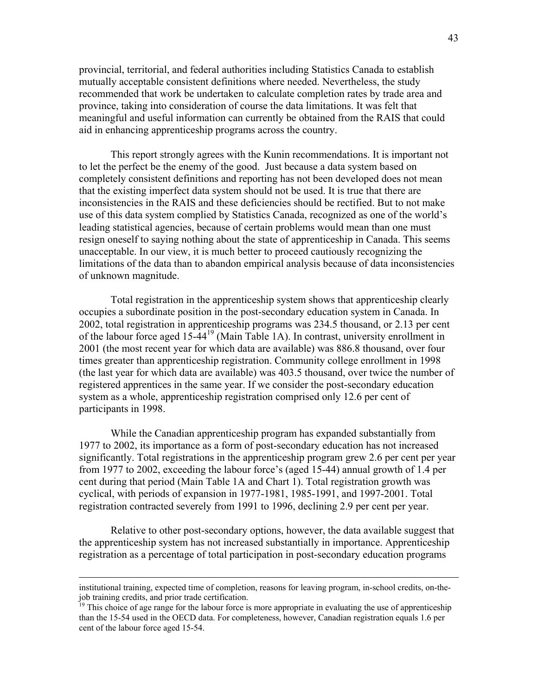provincial, territorial, and federal authorities including Statistics Canada to establish mutually acceptable consistent definitions where needed. Nevertheless, the study recommended that work be undertaken to calculate completion rates by trade area and province, taking into consideration of course the data limitations. It was felt that meaningful and useful information can currently be obtained from the RAIS that could aid in enhancing apprenticeship programs across the country.

 This report strongly agrees with the Kunin recommendations. It is important not to let the perfect be the enemy of the good. Just because a data system based on completely consistent definitions and reporting has not been developed does not mean that the existing imperfect data system should not be used. It is true that there are inconsistencies in the RAIS and these deficiencies should be rectified. But to not make use of this data system complied by Statistics Canada, recognized as one of the world's leading statistical agencies, because of certain problems would mean than one must resign oneself to saying nothing about the state of apprenticeship in Canada. This seems unacceptable. In our view, it is much better to proceed cautiously recognizing the limitations of the data than to abandon empirical analysis because of data inconsistencies of unknown magnitude.

 Total registration in the apprenticeship system shows that apprenticeship clearly occupies a subordinate position in the post-secondary education system in Canada. In 2002, total registration in apprenticeship programs was 234.5 thousand, or 2.13 per cent of the labour force aged 15-44<sup>19</sup> (Main Table 1A). In contrast, university enrollment in 2001 (the most recent year for which data are available) was 886.8 thousand, over four times greater than apprenticeship registration. Community college enrollment in 1998 (the last year for which data are available) was 403.5 thousand, over twice the number of registered apprentices in the same year. If we consider the post-secondary education system as a whole, apprenticeship registration comprised only 12.6 per cent of participants in 1998.

 While the Canadian apprenticeship program has expanded substantially from 1977 to 2002, its importance as a form of post-secondary education has not increased significantly. Total registrations in the apprenticeship program grew 2.6 per cent per year from 1977 to 2002, exceeding the labour force's (aged 15-44) annual growth of 1.4 per cent during that period (Main Table 1A and Chart 1). Total registration growth was cyclical, with periods of expansion in 1977-1981, 1985-1991, and 1997-2001. Total registration contracted severely from 1991 to 1996, declining 2.9 per cent per year.

 Relative to other post-secondary options, however, the data available suggest that the apprenticeship system has not increased substantially in importance. Apprenticeship registration as a percentage of total participation in post-secondary education programs

<u>.</u>

institutional training, expected time of completion, reasons for leaving program, in-school credits, on-thejob training credits, and prior trade certification.

<sup>&</sup>lt;sup>19</sup> This choice of age range for the labour force is more appropriate in evaluating the use of apprenticeship than the 15-54 used in the OECD data. For completeness, however, Canadian registration equals 1.6 per cent of the labour force aged 15-54.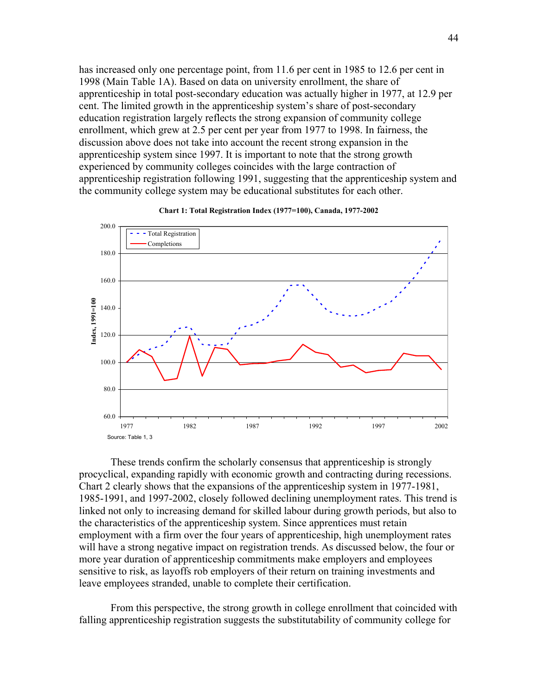has increased only one percentage point, from 11.6 per cent in 1985 to 12.6 per cent in 1998 (Main Table 1A). Based on data on university enrollment, the share of apprenticeship in total post-secondary education was actually higher in 1977, at 12.9 per cent. The limited growth in the apprenticeship system's share of post-secondary education registration largely reflects the strong expansion of community college enrollment, which grew at 2.5 per cent per year from 1977 to 1998. In fairness, the discussion above does not take into account the recent strong expansion in the apprenticeship system since 1997. It is important to note that the strong growth experienced by community colleges coincides with the large contraction of apprenticeship registration following 1991, suggesting that the apprenticeship system and the community college system may be educational substitutes for each other.



#### Chart 1: Total Registration Index (1977=100), Canada, 1977-2002

 These trends confirm the scholarly consensus that apprenticeship is strongly procyclical, expanding rapidly with economic growth and contracting during recessions. Chart 2 clearly shows that the expansions of the apprenticeship system in 1977-1981, 1985-1991, and 1997-2002, closely followed declining unemployment rates. This trend is linked not only to increasing demand for skilled labour during growth periods, but also to the characteristics of the apprenticeship system. Since apprentices must retain employment with a firm over the four years of apprenticeship, high unemployment rates will have a strong negative impact on registration trends. As discussed below, the four or more year duration of apprenticeship commitments make employers and employees sensitive to risk, as layoffs rob employers of their return on training investments and leave employees stranded, unable to complete their certification.

 From this perspective, the strong growth in college enrollment that coincided with falling apprenticeship registration suggests the substitutability of community college for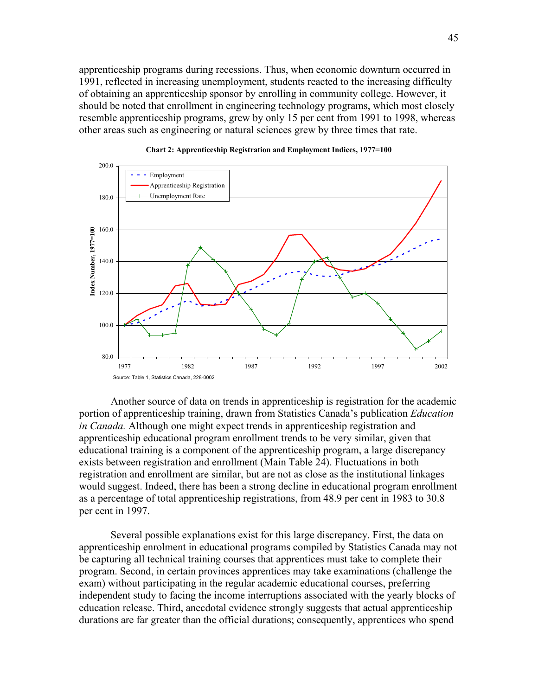apprenticeship programs during recessions. Thus, when economic downturn occurred in 1991, reflected in increasing unemployment, students reacted to the increasing difficulty of obtaining an apprenticeship sponsor by enrolling in community college. However, it should be noted that enrollment in engineering technology programs, which most closely resemble apprenticeship programs, grew by only 15 per cent from 1991 to 1998, whereas other areas such as engineering or natural sciences grew by three times that rate.





 Another source of data on trends in apprenticeship is registration for the academic portion of apprenticeship training, drawn from Statistics Canada's publication *Education* in Canada. Although one might expect trends in apprenticeship registration and apprenticeship educational program enrollment trends to be very similar, given that educational training is a component of the apprenticeship program, a large discrepancy exists between registration and enrollment (Main Table 24). Fluctuations in both registration and enrollment are similar, but are not as close as the institutional linkages would suggest. Indeed, there has been a strong decline in educational program enrollment as a percentage of total apprenticeship registrations, from 48.9 per cent in 1983 to 30.8 per cent in 1997.

 Several possible explanations exist for this large discrepancy. First, the data on apprenticeship enrolment in educational programs compiled by Statistics Canada may not be capturing all technical training courses that apprentices must take to complete their program. Second, in certain provinces apprentices may take examinations (challenge the exam) without participating in the regular academic educational courses, preferring independent study to facing the income interruptions associated with the yearly blocks of education release. Third, anecdotal evidence strongly suggests that actual apprenticeship durations are far greater than the official durations; consequently, apprentices who spend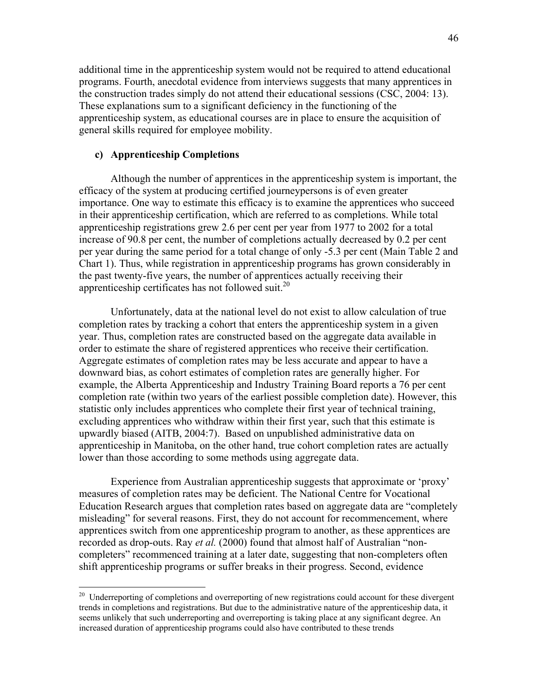additional time in the apprenticeship system would not be required to attend educational programs. Fourth, anecdotal evidence from interviews suggests that many apprentices in the construction trades simply do not attend their educational sessions (CSC, 2004: 13). These explanations sum to a significant deficiency in the functioning of the apprenticeship system, as educational courses are in place to ensure the acquisition of general skills required for employee mobility.

# c) Apprenticeship Completions

-

 Although the number of apprentices in the apprenticeship system is important, the efficacy of the system at producing certified journeypersons is of even greater importance. One way to estimate this efficacy is to examine the apprentices who succeed in their apprenticeship certification, which are referred to as completions. While total apprenticeship registrations grew 2.6 per cent per year from 1977 to 2002 for a total increase of 90.8 per cent, the number of completions actually decreased by 0.2 per cent per year during the same period for a total change of only -5.3 per cent (Main Table 2 and Chart 1). Thus, while registration in apprenticeship programs has grown considerably in the past twenty-five years, the number of apprentices actually receiving their apprenticeship certificates has not followed suit.<sup>20</sup>

 Unfortunately, data at the national level do not exist to allow calculation of true completion rates by tracking a cohort that enters the apprenticeship system in a given year. Thus, completion rates are constructed based on the aggregate data available in order to estimate the share of registered apprentices who receive their certification. Aggregate estimates of completion rates may be less accurate and appear to have a downward bias, as cohort estimates of completion rates are generally higher. For example, the Alberta Apprenticeship and Industry Training Board reports a 76 per cent completion rate (within two years of the earliest possible completion date). However, this statistic only includes apprentices who complete their first year of technical training, excluding apprentices who withdraw within their first year, such that this estimate is upwardly biased (AITB, 2004:7). Based on unpublished administrative data on apprenticeship in Manitoba, on the other hand, true cohort completion rates are actually lower than those according to some methods using aggregate data.

Experience from Australian apprenticeship suggests that approximate or 'proxy' measures of completion rates may be deficient. The National Centre for Vocational Education Research argues that completion rates based on aggregate data are "completely misleading" for several reasons. First, they do not account for recommencement, where apprentices switch from one apprenticeship program to another, as these apprentices are recorded as drop-outs. Ray *et al.* (2000) found that almost half of Australian "noncompleters" recommenced training at a later date, suggesting that non-completers often shift apprenticeship programs or suffer breaks in their progress. Second, evidence

<sup>&</sup>lt;sup>20</sup> Underreporting of completions and overreporting of new registrations could account for these divergent trends in completions and registrations. But due to the administrative nature of the apprenticeship data, it seems unlikely that such underreporting and overreporting is taking place at any significant degree. An increased duration of apprenticeship programs could also have contributed to these trends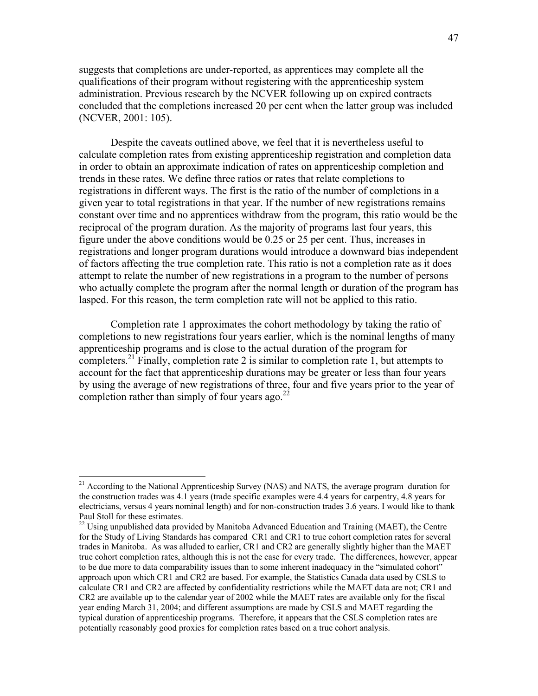suggests that completions are under-reported, as apprentices may complete all the qualifications of their program without registering with the apprenticeship system administration. Previous research by the NCVER following up on expired contracts concluded that the completions increased 20 per cent when the latter group was included (NCVER, 2001: 105).

 Despite the caveats outlined above, we feel that it is nevertheless useful to calculate completion rates from existing apprenticeship registration and completion data in order to obtain an approximate indication of rates on apprenticeship completion and trends in these rates. We define three ratios or rates that relate completions to registrations in different ways. The first is the ratio of the number of completions in a given year to total registrations in that year. If the number of new registrations remains constant over time and no apprentices withdraw from the program, this ratio would be the reciprocal of the program duration. As the majority of programs last four years, this figure under the above conditions would be 0.25 or 25 per cent. Thus, increases in registrations and longer program durations would introduce a downward bias independent of factors affecting the true completion rate. This ratio is not a completion rate as it does attempt to relate the number of new registrations in a program to the number of persons who actually complete the program after the normal length or duration of the program has lasped. For this reason, the term completion rate will not be applied to this ratio.

 Completion rate 1 approximates the cohort methodology by taking the ratio of completions to new registrations four years earlier, which is the nominal lengths of many apprenticeship programs and is close to the actual duration of the program for completers.<sup>21</sup> Finally, completion rate 2 is similar to completion rate 1, but attempts to account for the fact that apprenticeship durations may be greater or less than four years by using the average of new registrations of three, four and five years prior to the year of completion rather than simply of four years ago. $^{22}$ 

-

<sup>&</sup>lt;sup>21</sup> According to the National Apprenticeship Survey (NAS) and NATS, the average program duration for the construction trades was 4.1 years (trade specific examples were 4.4 years for carpentry, 4.8 years for electricians, versus 4 years nominal length) and for non-construction trades 3.6 years. I would like to thank Paul Stoll for these estimates.

<sup>&</sup>lt;sup>22</sup> Using unpublished data provided by Manitoba Advanced Education and Training (MAET), the Centre for the Study of Living Standards has compared CR1 and CR1 to true cohort completion rates for several trades in Manitoba. As was alluded to earlier, CR1 and CR2 are generally slightly higher than the MAET true cohort completion rates, although this is not the case for every trade. The differences, however, appear to be due more to data comparability issues than to some inherent inadequacy in the "simulated cohort" approach upon which CR1 and CR2 are based. For example, the Statistics Canada data used by CSLS to calculate CR1 and CR2 are affected by confidentiality restrictions while the MAET data are not; CR1 and CR2 are available up to the calendar year of 2002 while the MAET rates are available only for the fiscal year ending March 31, 2004; and different assumptions are made by CSLS and MAET regarding the typical duration of apprenticeship programs. Therefore, it appears that the CSLS completion rates are potentially reasonably good proxies for completion rates based on a true cohort analysis.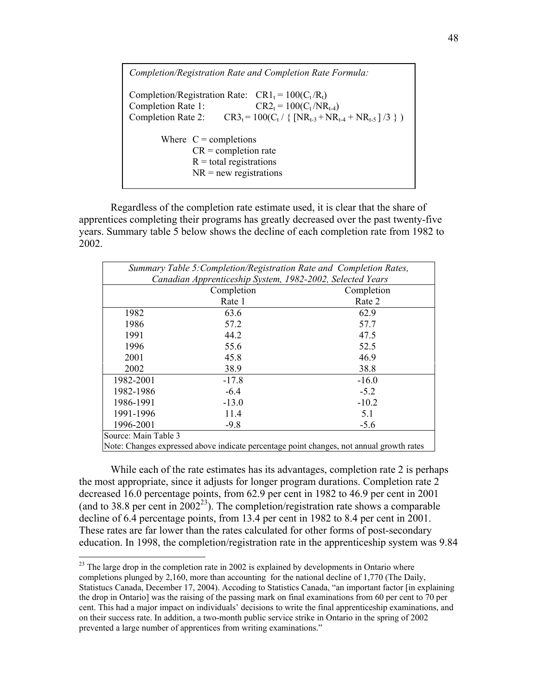Completion/Registration Rate and Completion Rate Formula: Completion/Registration Rate:  $CR1_t = 100(C_t/R_t)$ Completion Rate 1:  $CR2_t = 100(C_t / NR_{t-4})$ Completion Rate 2:  $CR3_t = 100(C_t / \{ [NR_{t-3} + NR_{t-4} + NR_{t-5}] / 3 \} )$ Where  $C =$  completions  $CR =$  completion rate  $R =$  total registrations  $NR = new$  *regist rations*

 Regardless of the completion rate estimate used, it is clear that the share of apprentices completing their programs has greatly decreased over the past twenty-five years. Summary table 5 below shows the decline of each completion rate from 1982 to 2002.

| Summary Table 5: Completion/Registration Rate and Completion Rates, |         |                                                                                          |  |
|---------------------------------------------------------------------|---------|------------------------------------------------------------------------------------------|--|
| Canadian Apprenticeship System, 1982-2002, Selected Years           |         |                                                                                          |  |
| Completion<br>Completion                                            |         |                                                                                          |  |
|                                                                     | Rate 1  | Rate 2                                                                                   |  |
| 1982                                                                | 63.6    | 62.9                                                                                     |  |
| 1986                                                                | 57.2    | 57.7                                                                                     |  |
| 1991                                                                | 44.2    | 47.5                                                                                     |  |
| 1996                                                                | 55.6    | 52.5                                                                                     |  |
| 2001                                                                | 45.8    | 46.9                                                                                     |  |
| 2002                                                                | 38.9    | 38.8                                                                                     |  |
| 1982-2001                                                           | $-17.8$ | $-16.0$                                                                                  |  |
| 1982-1986                                                           | $-6.4$  | $-5.2$                                                                                   |  |
| 1986-1991                                                           | $-13.0$ | $-10.2$                                                                                  |  |
| 1991-1996                                                           | 11.4    | 5.1                                                                                      |  |
| 1996-2001                                                           | $-9.8$  | $-5.6$                                                                                   |  |
| Source: Main Table 3                                                |         |                                                                                          |  |
|                                                                     |         | Note: Changes expressed above indicate percentage point changes, not annual growth rates |  |

While each of the rate estimates has its advantages, completion rate 2 is perhaps the most appropriate, since it adjusts for longer program durations. Completion rate 2 decreased 16.0 percentage points, from 62.9 per cent in 1982 to 46.9 per cent in 2001 (and to 38.8 per cent in  $2002^{23}$ ). The completion/registration rate shows a comparable decline of 6.4 percentage points, from 13.4 per cent in 1982 to 8.4 per cent in 2001. These rates are far lower than the rates calculated for other forms of post-secondary education. In 1998, the completion/registration rate in the apprenticeship system was 9.84

-

 $2<sup>23</sup>$  The large drop in the completion rate in 2002 is explained by developments in Ontario where completions plunged by 2,160, more than accounting for the national decline of 1,770 (The Daily, Statistucs Canada, December 17, 2004). Accoding to Statistics Canada, "an important factor [in explaining the drop in Ontario] was the raising of the passing mark on final examinations from 60 per cent to 70 per cent. This had a major impact on individuals' decisions to write the final apprenticeship examinations, and on their success rate. In addition, a two-month public service strike in Ontario in the spring of 2002 prevented a large number of apprentices from writing examinations."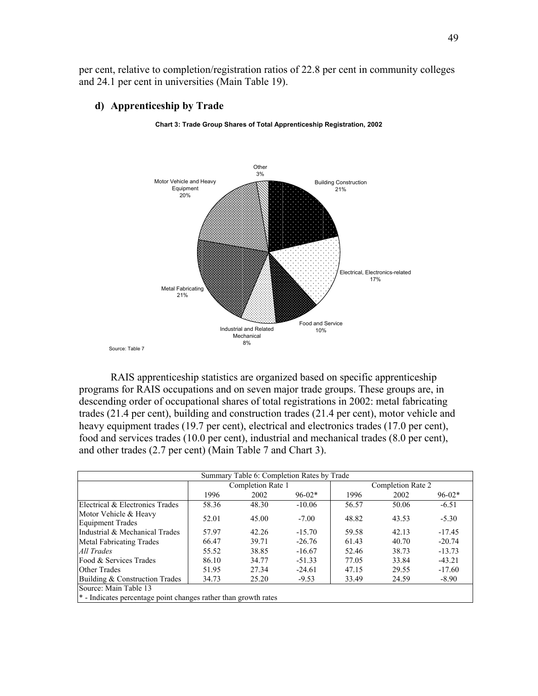per cent, relative to completion/registration ratios of 22.8 per cent in community colleges and 24.1 per cent in universities (Main Table 19).

# d) Apprenticeship by Trade





 RAIS apprenticeship statistics are organized based on specific apprenticeship programs for RAIS occupations and on seven major trade groups. These groups are, in descending order of occupational shares of total registrations in 2002: metal fabricating trades (21.4 per cent), building and construction trades (21.4 per cent), motor vehicle and heavy equipment trades (19.7 per cent), electrical and electronics trades (17.0 per cent), food and services trades (10.0 per cent), industrial and mechanical trades (8.0 per cent), and other trades (2.7 per cent) (Main Table 7 and Chart 3).

|                                                                 |                   |       | Summary Table 6: Completion Rates by Trade |                   |       |          |
|-----------------------------------------------------------------|-------------------|-------|--------------------------------------------|-------------------|-------|----------|
|                                                                 | Completion Rate 1 |       |                                            | Completion Rate 2 |       |          |
|                                                                 | 1996              | 2002  | $96-02*$                                   | 1996              | 2002  | $96-02*$ |
| Electrical & Electronics Trades                                 | 58.36             | 48.30 | $-10.06$                                   | 56.57             | 50.06 | $-6.51$  |
| Motor Vehicle & Heavy<br><b>Equipment Trades</b>                | 52.01             | 45.00 | $-7.00$                                    | 48.82             | 43.53 | $-5.30$  |
| Industrial & Mechanical Trades                                  | 57.97             | 42.26 | $-15.70$                                   | 59.58             | 42.13 | $-17.45$ |
| Metal Fabricating Trades                                        | 66.47             | 39.71 | $-26.76$                                   | 61.43             | 40.70 | $-20.74$ |
| All Trades                                                      | 55.52             | 38.85 | $-16.67$                                   | 52.46             | 38.73 | $-13.73$ |
| Food & Services Trades                                          | 86.10             | 34.77 | $-51.33$                                   | 77.05             | 33.84 | $-43.21$ |
| Other Trades                                                    | 51.95             | 27.34 | $-24.61$                                   | 47.15             | 29.55 | $-17.60$ |
| Building & Construction Trades                                  | 34.73             | 25.20 | $-9.53$                                    | 33.49             | 24.59 | $-8.90$  |
| Source: Main Table 13                                           |                   |       |                                            |                   |       |          |
| * - Indicates percentage point changes rather than growth rates |                   |       |                                            |                   |       |          |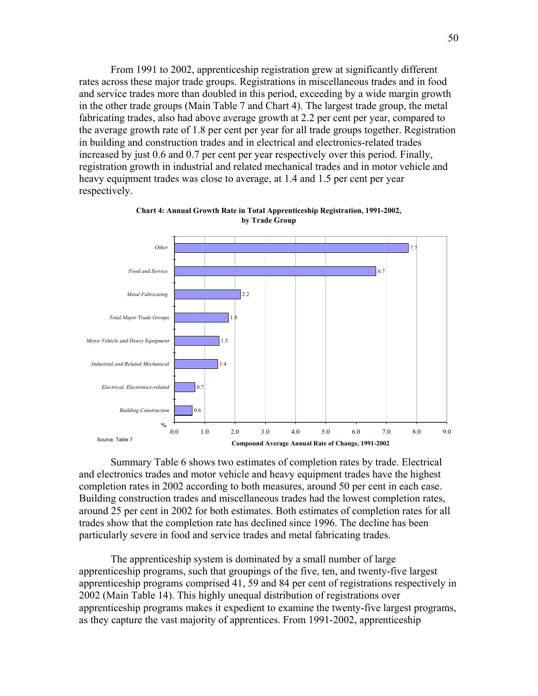From 1991 to 2002, apprenticeship registration grew at significantly different rates across these major trade groups. Registrations in miscellaneous trades and in food and service trades more than doubled in this period, exceeding by a wide margin growth in the other trade groups (Main Table 7 and Chart 4). The largest trade group, the metal fabricating trades, also had above average growth at 2.2 per cent per year, compared to the average growth rate of 1.8 per cent per year for all trade groups together. Registration in building and construction trades and in electrical and electronics-related trades increased by just 0.6 and 0.7 per cent per year respectively over this period. Finally, registration growth in industrial and related mechanical trades and in motor vehicle and heavy equipment trades was close to average, at 1.4 and 1.5 per cent per year respectively.



Chart 4: Annual Growth Rate in Total Apprenticeship Registration, 1991-2002, by Trade Group

 Summary Table 6 shows two estimates of completion rates by trade. Electrical and electronics trades and motor vehicle and heavy equipment trades have the highest completion rates in 2002 according to both measures, around 50 per cent in each case. Building construction trades and miscellaneous trades had the lowest completion rates, around 25 per cent in 2002 for both estimates. Both estimates of completion rates for all trades show that the completion rate has declined since 1996. The decline has been particularly severe in food and service trades and metal fabricating trades.

The apprenticeship system is dominated by a small number of large apprenticeship programs, such that groupings of the five, ten, and twenty-five largest apprenticeship programs comprised 41, 59 and 84 per cent of registrations respectively in 2002 (Main Table 14). This highly unequal distribution of registrations over apprenticeship programs makes it expedient to examine the twenty-five largest programs, as they capture the vast majority of apprentices. From 1991-2002, apprenticeship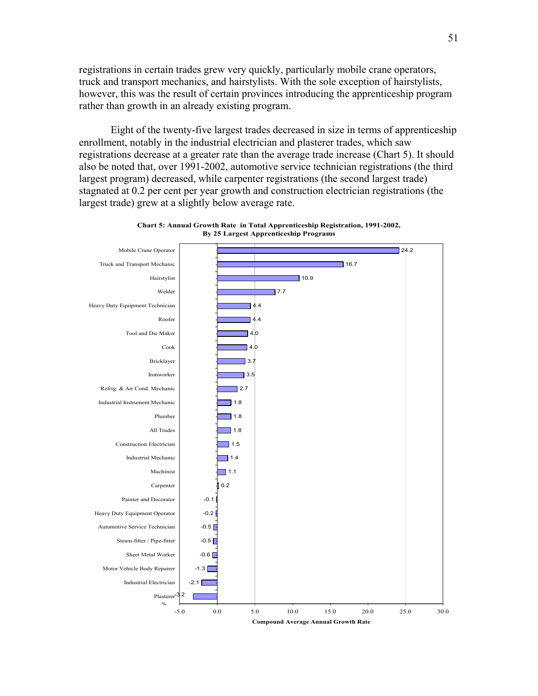registrations in certain trades grew very quickly, particularly mobile crane operators, truck and transport mechanics, and hairstylists. With the sole exception of hairstylists, however, this was the result of certain provinces introducing the apprenticeship program rather than growth in an already existing program.

Eight of the twenty-five largest trades decreased in size in terms of apprenticeship enrollment, notably in the industrial electrician and plasterer trades, which saw registrations decrease at a greater rate than the average trade increase (Chart 5). It should also be noted that, over 1991-2002, automotive service technician registrations (the third largest program) decreased, while carpenter registrations (the second largest trade) stagnated at 0.2 per cent per year growth and construction electrician registrations (the largest trade) grew at a slightly below average rate.



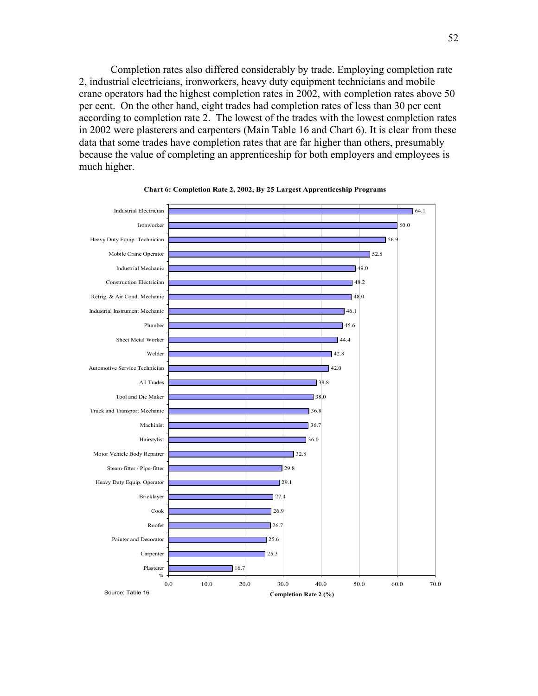Completion rates also differed considerably by trade. Employing completion rate 2, industrial electricians, ironworkers, heavy duty equipment technicians and mobile crane operators had the highest completion rates in 2002, with completion rates above 50 per cent. On the other hand, eight trades had completion rates of less than 30 per cent according to completion rate 2. The lowest of the trades with the lowest completion rates in 2002 were plasterers and carpenters (Main Table 16 and Chart 6). It is clear from these data that some trades have completion rates that are far higher than others, presumably because the value of completing an apprenticeship for both employers and employees is much higher.



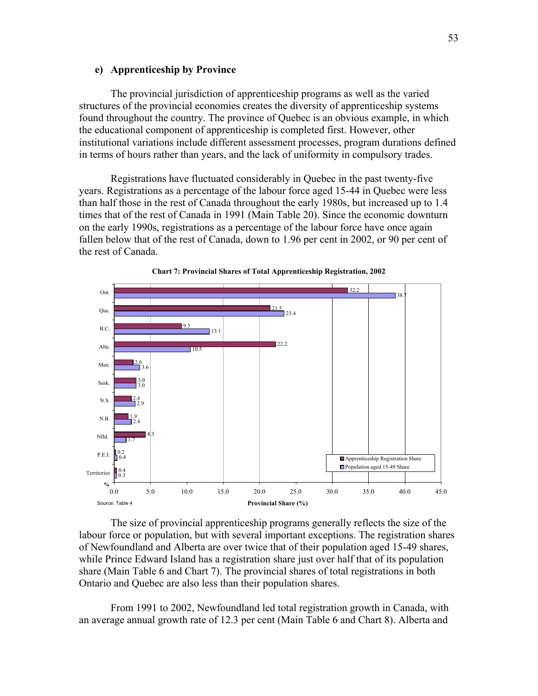# e) Apprenticeship by Province

 The provincial jurisdiction of apprenticeship programs as well as the varied structures of the provincial economies creates the diversity of apprenticeship systems found throughout the country. The province of Quebec is an obvious example, in which the educational component of apprenticeship is completed first. However, other institutional variations include different assessment processes, program durations defined in terms of hours rather than years, and the lack of uniformity in compulsory trades.

 Registrations have fluctuated considerably in Quebec in the past twenty-five years. Registrations as a percentage of the labour force aged 15-44 in Quebec were less than half those in the rest of Canada throughout the early 1980s, but increased up to 1.4 times that of the rest of Canada in 1991 (Main Table 20). Since the economic downturn on the early 1990s, registrations as a percentage of the labour force have once again fallen below that of the rest of Canada, down to 1.96 per cent in 2002, or 90 per cent of the rest of Canada.





 The size of provincial apprenticeship programs generally reflects the size of the labour force or population, but with several important exceptions. The registration shares of Newfoundland and Alberta are over twice that of their population aged 15-49 shares, while Prince Edward Island has a registration share just over half that of its population share (Main Table 6 and Chart 7). The provincial shares of total registrations in both Ontario and Quebec are also less than their population shares.

 From 1991 to 2002, Newfoundland led total registration growth in Canada, with an average annual growth rate of 12.3 per cent (Main Table 6 and Chart 8). Alberta and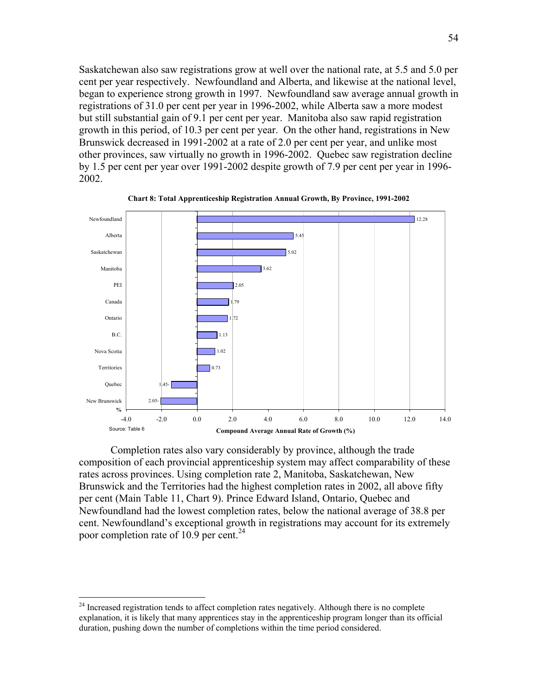Saskatchewan also saw registrations grow at well over the national rate, at 5.5 and 5.0 per cent per year respectively. Newfoundland and Alberta, and likewise at the national level, began to experience strong growth in 1997. Newfoundland saw average annual growth in registrations of 31.0 per cent per year in 1996-2002, while Alberta saw a more modest but still substantial gain of 9.1 per cent per year. Manitoba also saw rapid registration growth in this period, of 10.3 per cent per year. On the other hand, registrations in New Brunswick decreased in 1991-2002 at a rate of 2.0 per cent per year, and unlike most other provinces, saw virtually no growth in 1996-2002. Quebec saw registration decline by 1.5 per cent per year over 1991-2002 despite growth of 7.9 per cent per year in 1996- 2002.



Chart 8: Total Apprenticeship Registration Annual Growth, By Province, 1991-2002

 Completion rates also vary considerably by province, although the trade composition of each provincial apprenticeship system may affect comparability of these rates across provinces. Using completion rate 2, Manitoba, Saskatchewan, New Brunswick and the Territories had the highest completion rates in 2002, all above fifty per cent (Main Table 11, Chart 9). Prince Edward Island, Ontario, Quebec and Newfoundland had the lowest completion rates, below the national average of 38.8 per cent. Newfoundland's exceptional growth in registrations may account for its extremely poor completion rate of 10.9 per cent.<sup>24</sup>

 $\overline{a}$ 

<sup>&</sup>lt;sup>24</sup> Increased registration tends to affect completion rates negatively. Although there is no complete explanation, it is likely that many apprentices stay in the apprenticeship program longer than its official duration, pushing down the number of completions within the time period considered.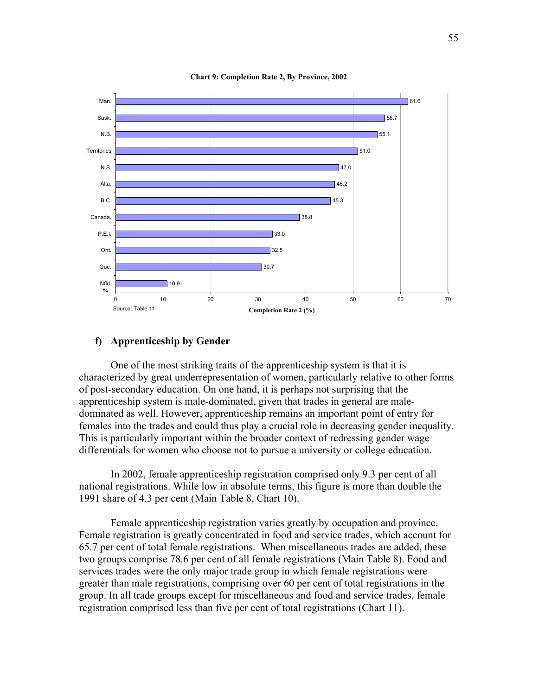

Chart 9: Completion Rate 2, By Province, 2002

## f) Apprenticeship by Gender

 One of the most striking traits of the apprenticeship system is that it is characterized by great underrepresentation of women, particularly relative to other forms of post-secondary education. On one hand, it is perhaps not surprising that the apprenticeship system is male-dominated, given that trades in general are maledominated as well. However, apprenticeship remains an important point of entry for females into the trades and could thus play a crucial role in decreasing gender inequality. This is particularly important within the broader context of redressing gender wage differentials for women who choose not to pursue a university or college education.

 In 2002, female apprenticeship registration comprised only 9.3 per cent of all national registrations. While low in absolute terms, this figure is more than double the 1991 share of 4.3 per cent (Main Table 8, Chart 10).

 Female apprenticeship registration varies greatly by occupation and province. Female registration is greatly concentrated in food and service trades, which account for 65.7 per cent of total female registrations. When miscellaneous trades are added, these two groups comprise 78.6 per cent of all female registrations (Main Table 8). Food and services trades were the only major trade group in which female registrations were greater than male registrations, comprising over 60 per cent of total registrations in the group. In all trade groups except for miscellaneous and food and service trades, female registration comprised less than five per cent of total registrations (Chart 11).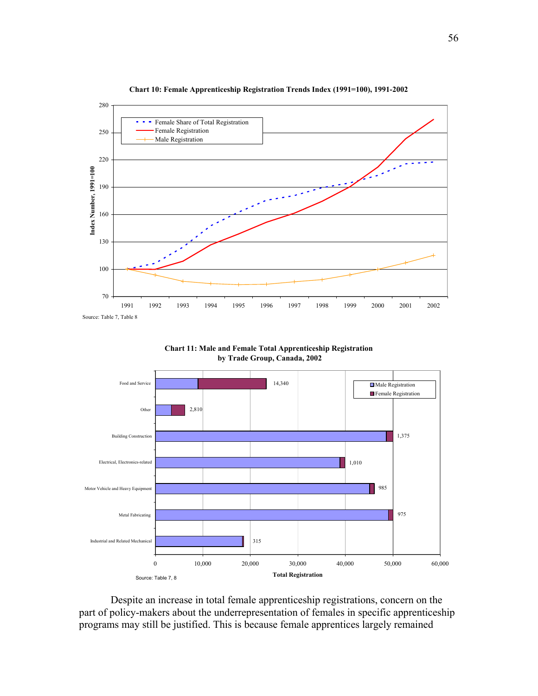

Chart 10: Female Apprenticeship Registration Trends Index (1991=100), 1991-2002





 Despite an increase in total female apprenticeship registrations, concern on the part of policy-makers about the underrepresentation of females in specific apprenticeship programs may still be justified. This is because female apprentices largely remained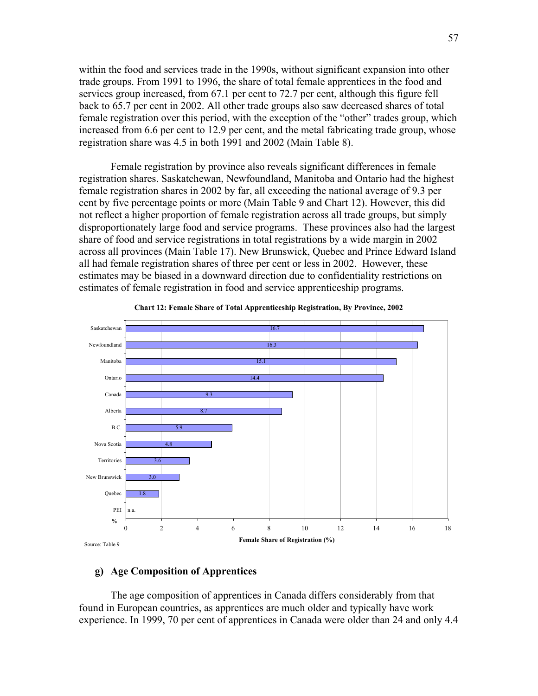within the food and services trade in the 1990s, without significant expansion into other trade groups. From 1991 to 1996, the share of total female apprentices in the food and services group increased, from 67.1 per cent to 72.7 per cent, although this figure fell back to 65.7 per cent in 2002. All other trade groups also saw decreased shares of total female registration over this period, with the exception of the "other" trades group, which increased from 6.6 per cent to 12.9 per cent, and the metal fabricating trade group, whose registration share was 4.5 in both 1991 and 2002 (Main Table 8).

 Female registration by province also reveals significant differences in female registration shares. Saskatchewan, Newfoundland, Manitoba and Ontario had the highest female registration shares in 2002 by far, all exceeding the national average of 9.3 per cent by five percentage points or more (Main Table 9 and Chart 12). However, this did not reflect a higher proportion of female registration across all trade groups, but simply disproportionately large food and service programs. These provinces also had the largest share of food and service registrations in total registrations by a wide margin in 2002 across all provinces (Main Table 17). New Brunswick, Quebec and Prince Edward Island all had female registration shares of three per cent or less in 2002. However, these estimates may be biased in a downward direction due to confidentiality restrictions on estimates of female registration in food and service apprenticeship programs.





# g) Age Composition of Apprentices

The age composition of apprentices in Canada differs considerably from that found in European countries, as apprentices are much older and typically have work experience. In 1999, 70 per cent of apprentices in Canada were older than 24 and only 4.4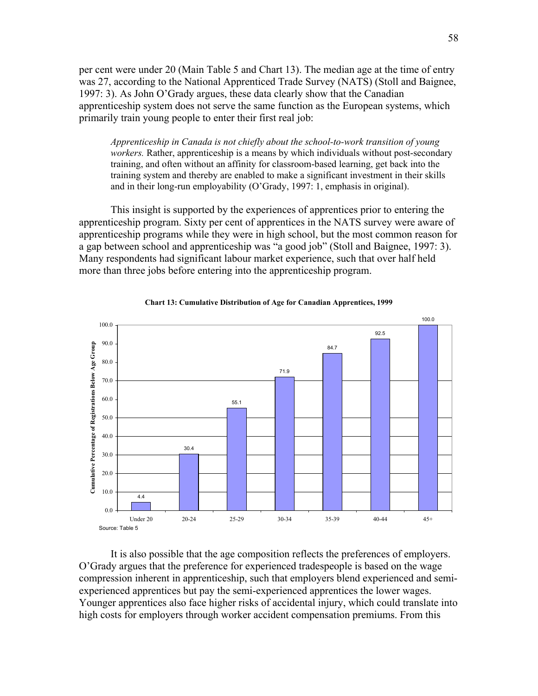per cent were under 20 (Main Table 5 and Chart 13). The median age at the time of entry was 27, according to the National Apprenticed Trade Survey (NATS) (Stoll and Baignee, 1997: 3). As John O'Grady argues, these data clearly show that the Canadian apprenticeship system does not serve the same function as the European systems, which primarily train young people to enter their first real job:

Apprenticeship in Canada is not chiefly about the school-to-work transition of young workers. Rather, apprenticeship is a means by which individuals without post-secondary training, and often without an affinity for classroom-based learning, get back into the training system and thereby are enabled to make a significant investment in their skills and in their long-run employability (O'Grady, 1997: 1, emphasis in original).

 This insight is supported by the experiences of apprentices prior to entering the apprenticeship program. Sixty per cent of apprentices in the NATS survey were aware of apprenticeship programs while they were in high school, but the most common reason for a gap between school and apprenticeship was "a good job" (Stoll and Baignee, 1997: 3). Many respondents had significant labour market experience, such that over half held more than three jobs before entering into the apprenticeship program.





 It is also possible that the age composition reflects the preferences of employers. O'Grady argues that the preference for experienced tradespeople is based on the wage compression inherent in apprenticeship, such that employers blend experienced and semiexperienced apprentices but pay the semi-experienced apprentices the lower wages. Younger apprentices also face higher risks of accidental injury, which could translate into high costs for employers through worker accident compensation premiums. From this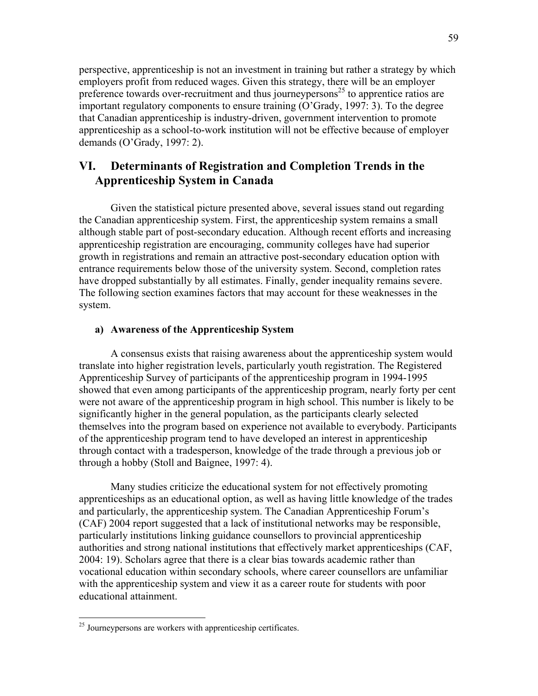perspective, apprenticeship is not an investment in training but rather a strategy by which employers profit from reduced wages. Given this strategy, there will be an employer preference towards over-recruitment and thus journeypersons<sup>25</sup> to apprentice ratios are important regulatory components to ensure training (O'Grady, 1997: 3). To the degree that Canadian apprenticeship is industry-driven, government intervention to promote apprenticeship as a school-to-work institution will not be effective because of employer demands (O'Grady, 1997: 2).

# VI. Determinants of Registration and Completion Trends in the Apprenticeship System in Canada

Given the statistical picture presented above, several issues stand out regarding the Canadian apprenticeship system. First, the apprenticeship system remains a small although stable part of post-secondary education. Although recent efforts and increasing apprenticeship registration are encouraging, community colleges have had superior growth in registrations and remain an attractive post-secondary education option with entrance requirements below those of the university system. Second, completion rates have dropped substantially by all estimates. Finally, gender inequality remains severe. The following section examines factors that may account for these weaknesses in the system.

# a) Awareness of the Apprenticeship System

 A consensus exists that raising awareness about the apprenticeship system would translate into higher registration levels, particularly youth registration. The Registered Apprenticeship Survey of participants of the apprenticeship program in 1994-1995 showed that even among participants of the apprenticeship program, nearly forty per cent were not aware of the apprenticeship program in high school. This number is likely to be significantly higher in the general population, as the participants clearly selected themselves into the program based on experience not available to everybody. Participants of the apprenticeship program tend to have developed an interest in apprenticeship through contact with a tradesperson, knowledge of the trade through a previous job or through a hobby (Stoll and Baignee, 1997: 4).

 Many studies criticize the educational system for not effectively promoting apprenticeships as an educational option, as well as having little knowledge of the trades and particularly, the apprenticeship system. The Canadian Apprenticeship Forum's (CAF) 2004 report suggested that a lack of institutional networks may be responsible, particularly institutions linking guidance counsellors to provincial apprenticeship authorities and strong national institutions that effectively market apprenticeships (CAF, 2004: 19). Scholars agree that there is a clear bias towards academic rather than vocational education within secondary schools, where career counsellors are unfamiliar with the apprenticeship system and view it as a career route for students with poor educational attainment.

-

<sup>&</sup>lt;sup>25</sup> Journeypersons are workers with apprenticeship certificates.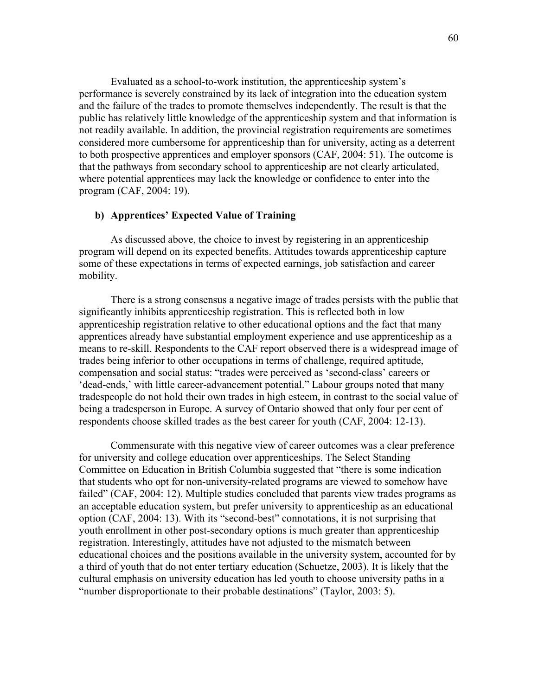Evaluated as a school-to-work institution, the apprenticeship system's performance is severely constrained by its lack of integration into the education system and the failure of the trades to promote themselves independently. The result is that the public has relatively little knowledge of the apprenticeship system and that information is not readily available. In addition, the provincial registration requirements are sometimes considered more cumbersome for apprenticeship than for university, acting as a deterrent to both prospective apprentices and employer sponsors (CAF, 2004: 51). The outcome is that the pathways from secondary school to apprenticeship are not clearly articulated, where potential apprentices may lack the knowledge or confidence to enter into the program (CAF, 2004: 19).

# b) Apprentices' Expected Value of Training

 As discussed above, the choice to invest by registering in an apprenticeship program will depend on its expected benefits. Attitudes towards apprenticeship capture some of these expectations in terms of expected earnings, job satisfaction and career mobility.

 There is a strong consensus a negative image of trades persists with the public that significantly inhibits apprenticeship registration. This is reflected both in low apprenticeship registration relative to other educational options and the fact that many apprentices already have substantial employment experience and use apprenticeship as a means to re-skill. Respondents to the CAF report observed there is a widespread image of trades being inferior to other occupations in terms of challenge, required aptitude, compensation and social status: "trades were perceived as 'second-class' careers or 'dead-ends,' with little career-advancement potential." Labour groups noted that many tradespeople do not hold their own trades in high esteem, in contrast to the social value of being a tradesperson in Europe. A survey of Ontario showed that only four per cent of respondents choose skilled trades as the best career for youth (CAF, 2004: 12-13).

 Commensurate with this negative view of career outcomes was a clear preference for university and college education over apprenticeships. The Select Standing Committee on Education in British Columbia suggested that "there is some indication that students who opt for non-university-related programs are viewed to somehow have failed" (CAF, 2004: 12). Multiple studies concluded that parents view trades programs as an acceptable education system, but prefer university to apprenticeship as an educational option (CAF, 2004: 13). With its "second-best" connotations, it is not surprising that youth enrollment in other post-secondary options is much greater than apprenticeship registration. Interestingly, attitudes have not adjusted to the mismatch between educational choices and the positions available in the university system, accounted for by a third of youth that do not enter tertiary education (Schuetze, 2003). It is likely that the cultural emphasis on university education has led youth to choose university paths in a "number disproportionate to their probable destinations" (Taylor, 2003: 5).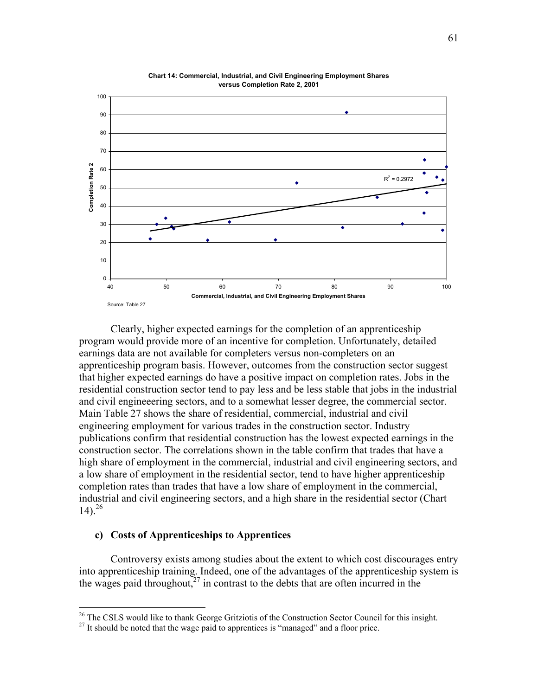

Chart 14: Commercial, Industrial, and Civil Engineering Employment Shares versus Completion Rate 2, 2001

 Clearly, higher expected earnings for the completion of an apprenticeship program would provide more of an incentive for completion. Unfortunately, detailed earnings data are not available for completers versus non-completers on an apprenticeship program basis. However, outcomes from the construction sector suggest that higher expected earnings do have a positive impact on completion rates. Jobs in the residential construction sector tend to pay less and be less stable that jobs in the industrial and civil engineeering sectors, and to a somewhat lesser degree, the commercial sector. Main Table 27 shows the share of residential, commercial, industrial and civil engineering employment for various trades in the construction sector. Industry publications confirm that residential construction has the lowest expected earnings in the construction sector. The correlations shown in the table confirm that trades that have a high share of employment in the commercial, industrial and civil engineering sectors, and a low share of employment in the residential sector, tend to have higher apprenticeship completion rates than trades that have a low share of employment in the commercial, industrial and civil engineering sectors, and a high share in the residential sector (Chart 14).<sup>26</sup>

# c) Costs of Apprenticeships to Apprentices

 $\overline{a}$ 

 Controversy exists among studies about the extent to which cost discourages entry into apprenticeship training. Indeed, one of the advantages of the apprenticeship system is the wages paid throughout, $27$  in contrast to the debts that are often incurred in the

<sup>&</sup>lt;sup>26</sup> The CSLS would like to thank George Gritziotis of the Construction Sector Council for this insight.

 $27$  It should be noted that the wage paid to apprentices is "managed" and a floor price.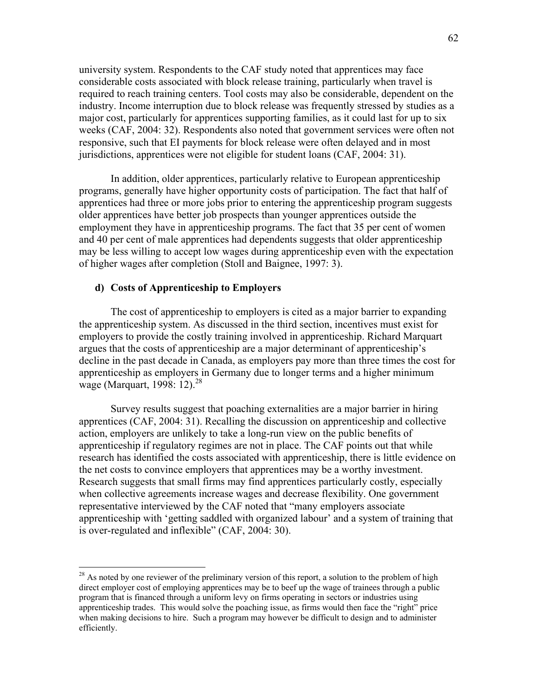university system. Respondents to the CAF study noted that apprentices may face considerable costs associated with block release training, particularly when travel is required to reach training centers. Tool costs may also be considerable, dependent on the industry. Income interruption due to block release was frequently stressed by studies as a major cost, particularly for apprentices supporting families, as it could last for up to six weeks (CAF, 2004: 32). Respondents also noted that government services were often not responsive, such that EI payments for block release were often delayed and in most jurisdictions, apprentices were not eligible for student loans (CAF, 2004: 31).

 In addition, older apprentices, particularly relative to European apprenticeship programs, generally have higher opportunity costs of participation. The fact that half of apprentices had three or more jobs prior to entering the apprenticeship program suggests older apprentices have better job prospects than younger apprentices outside the employment they have in apprenticeship programs. The fact that 35 per cent of women and 40 per cent of male apprentices had dependents suggests that older apprenticeship may be less willing to accept low wages during apprenticeship even with the expectation of higher wages after completion (Stoll and Baignee, 1997: 3).

# d) Costs of Apprenticeship to Employers

 $\overline{a}$ 

The cost of apprenticeship to employers is cited as a major barrier to expanding the apprenticeship system. As discussed in the third section, incentives must exist for employers to provide the costly training involved in apprenticeship. Richard Marquart argues that the costs of apprenticeship are a major determinant of apprenticeship's decline in the past decade in Canada, as employers pay more than three times the cost for apprenticeship as employers in Germany due to longer terms and a higher minimum wage (Marquart, 1998: 12).<sup>28</sup>

 Survey results suggest that poaching externalities are a major barrier in hiring apprentices (CAF, 2004: 31). Recalling the discussion on apprenticeship and collective action, employers are unlikely to take a long-run view on the public benefits of apprenticeship if regulatory regimes are not in place. The CAF points out that while research has identified the costs associated with apprenticeship, there is little evidence on the net costs to convince employers that apprentices may be a worthy investment. Research suggests that small firms may find apprentices particularly costly, especially when collective agreements increase wages and decrease flexibility. One government representative interviewed by the CAF noted that "many employers associate apprenticeship with 'getting saddled with organized labour' and a system of training that is over-regulated and inflexible" (CAF, 2004: 30).

 $28$  As noted by one reviewer of the preliminary version of this report, a solution to the problem of high direct employer cost of employing apprentices may be to beef up the wage of trainees through a public program that is financed through a uniform levy on firms operating in sectors or industries using apprenticeship trades. This would solve the poaching issue, as firms would then face the "right" price when making decisions to hire. Such a program may however be difficult to design and to administer efficiently.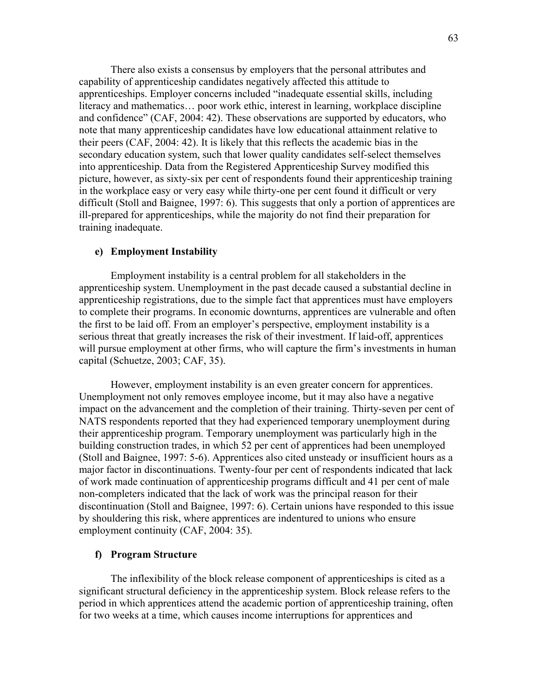There also exists a consensus by employers that the personal attributes and capability of apprenticeship candidates negatively affected this attitude to apprenticeships. Employer concerns included "inadequate essential skills, including literacy and mathematics… poor work ethic, interest in learning, workplace discipline and confidence" (CAF, 2004: 42). These observations are supported by educators, who note that many apprenticeship candidates have low educational attainment relative to their peers (CAF, 2004: 42). It is likely that this reflects the academic bias in the secondary education system, such that lower quality candidates self-select themselves into apprenticeship. Data from the Registered Apprenticeship Survey modified this picture, however, as sixty-six per cent of respondents found their apprenticeship training in the workplace easy or very easy while thirty-one per cent found it difficult or very difficult (Stoll and Baignee, 1997: 6). This suggests that only a portion of apprentices are ill-prepared for apprenticeships, while the majority do not find their preparation for training inadequate.

# e) Employment Instability

 Employment instability is a central problem for all stakeholders in the apprenticeship system. Unemployment in the past decade caused a substantial decline in apprenticeship registrations, due to the simple fact that apprentices must have employers to complete their programs. In economic downturns, apprentices are vulnerable and often the first to be laid off. From an employer's perspective, employment instability is a serious threat that greatly increases the risk of their investment. If laid-off, apprentices will pursue employment at other firms, who will capture the firm's investments in human capital (Schuetze, 2003; CAF, 35).

 However, employment instability is an even greater concern for apprentices. Unemployment not only removes employee income, but it may also have a negative impact on the advancement and the completion of their training. Thirty-seven per cent of NATS respondents reported that they had experienced temporary unemployment during their apprenticeship program. Temporary unemployment was particularly high in the building construction trades, in which 52 per cent of apprentices had been unemployed (Stoll and Baignee, 1997: 5-6). Apprentices also cited unsteady or insufficient hours as a major factor in discontinuations. Twenty-four per cent of respondents indicated that lack of work made continuation of apprenticeship programs difficult and 41 per cent of male non-completers indicated that the lack of work was the principal reason for their discontinuation (Stoll and Baignee, 1997: 6). Certain unions have responded to this issue by shouldering this risk, where apprentices are indentured to unions who ensure employment continuity (CAF, 2004: 35).

#### f) Program Structure

 The inflexibility of the block release component of apprenticeships is cited as a significant structural deficiency in the apprenticeship system. Block release refers to the period in which apprentices attend the academic portion of apprenticeship training, often for two weeks at a time, which causes income interruptions for apprentices and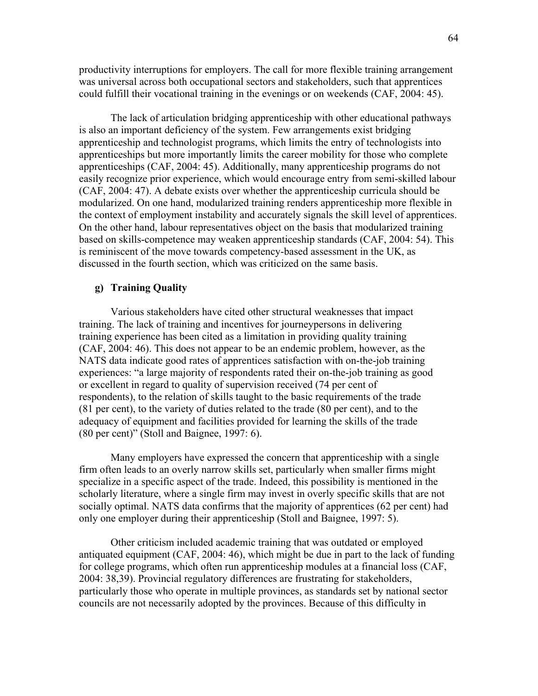productivity interruptions for employers. The call for more flexible training arrangement was universal across both occupational sectors and stakeholders, such that apprentices could fulfill their vocational training in the evenings or on weekends (CAF, 2004: 45).

 The lack of articulation bridging apprenticeship with other educational pathways is also an important deficiency of the system. Few arrangements exist bridging apprenticeship and technologist programs, which limits the entry of technologists into apprenticeships but more importantly limits the career mobility for those who complete apprenticeships (CAF, 2004: 45). Additionally, many apprenticeship programs do not easily recognize prior experience, which would encourage entry from semi-skilled labour (CAF, 2004: 47). A debate exists over whether the apprenticeship curricula should be modularized. On one hand, modularized training renders apprenticeship more flexible in the context of employment instability and accurately signals the skill level of apprentices. On the other hand, labour representatives object on the basis that modularized training based on skills-competence may weaken apprenticeship standards (CAF, 2004: 54). This is reminiscent of the move towards competency-based assessment in the UK, as discussed in the fourth section, which was criticized on the same basis.

#### g) Training Quality

 Various stakeholders have cited other structural weaknesses that impact training. The lack of training and incentives for journeypersons in delivering training experience has been cited as a limitation in providing quality training (CAF, 2004: 46). This does not appear to be an endemic problem, however, as the NATS data indicate good rates of apprentices satisfaction with on-the-job training experiences: "a large majority of respondents rated their on-the-job training as good or excellent in regard to quality of supervision received (74 per cent of respondents), to the relation of skills taught to the basic requirements of the trade (81 per cent), to the variety of duties related to the trade (80 per cent), and to the adequacy of equipment and facilities provided for learning the skills of the trade (80 per cent)" (Stoll and Baignee, 1997: 6).

 Many employers have expressed the concern that apprenticeship with a single firm often leads to an overly narrow skills set, particularly when smaller firms might specialize in a specific aspect of the trade. Indeed, this possibility is mentioned in the scholarly literature, where a single firm may invest in overly specific skills that are not socially optimal. NATS data confirms that the majority of apprentices (62 per cent) had only one employer during their apprenticeship (Stoll and Baignee, 1997: 5).

 Other criticism included academic training that was outdated or employed antiquated equipment (CAF, 2004: 46), which might be due in part to the lack of funding for college programs, which often run apprenticeship modules at a financial loss (CAF, 2004: 38,39). Provincial regulatory differences are frustrating for stakeholders, particularly those who operate in multiple provinces, as standards set by national sector councils are not necessarily adopted by the provinces. Because of this difficulty in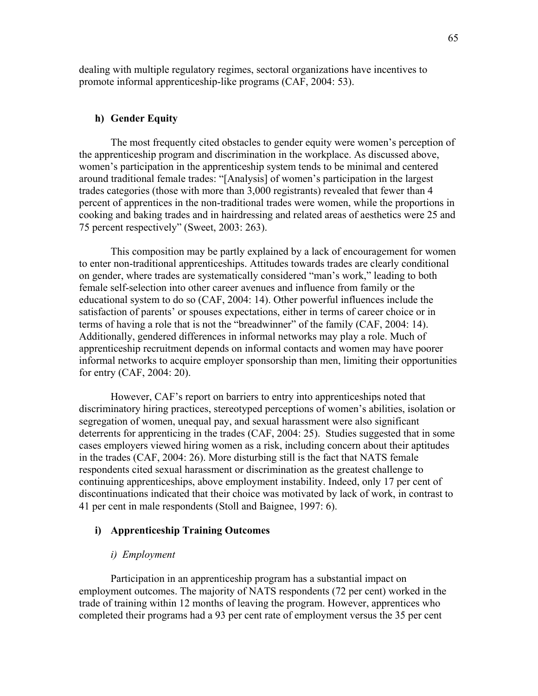dealing with multiple regulatory regimes, sectoral organizations have incentives to promote informal apprenticeship-like programs (CAF, 2004: 53).

# h) Gender Equity

 The most frequently cited obstacles to gender equity were women's perception of the apprenticeship program and discrimination in the workplace. As discussed above, women's participation in the apprenticeship system tends to be minimal and centered around traditional female trades: "[Analysis] of women's participation in the largest trades categories (those with more than 3,000 registrants) revealed that fewer than 4 percent of apprentices in the non-traditional trades were women, while the proportions in cooking and baking trades and in hairdressing and related areas of aesthetics were 25 and 75 percent respectively" (Sweet, 2003: 263).

 This composition may be partly explained by a lack of encouragement for women to enter non-traditional apprenticeships. Attitudes towards trades are clearly conditional on gender, where trades are systematically considered "man's work," leading to both female self-selection into other career avenues and influence from family or the educational system to do so (CAF, 2004: 14). Other powerful influences include the satisfaction of parents' or spouses expectations, either in terms of career choice or in terms of having a role that is not the "breadwinner" of the family (CAF, 2004: 14). Additionally, gendered differences in informal networks may play a role. Much of apprenticeship recruitment depends on informal contacts and women may have poorer informal networks to acquire employer sponsorship than men, limiting their opportunities for entry (CAF, 2004: 20).

 However, CAF's report on barriers to entry into apprenticeships noted that discriminatory hiring practices, stereotyped perceptions of women's abilities, isolation or segregation of women, unequal pay, and sexual harassment were also significant deterrents for apprenticing in the trades (CAF, 2004: 25). Studies suggested that in some cases employers viewed hiring women as a risk, including concern about their aptitudes in the trades (CAF, 2004: 26). More disturbing still is the fact that NATS female respondents cited sexual harassment or discrimination as the greatest challenge to continuing apprenticeships, above employment instability. Indeed, only 17 per cent of discontinuations indicated that their choice was motivated by lack of work, in contrast to 41 per cent in male respondents (Stoll and Baignee, 1997: 6).

## i) Apprenticeship Training Outcomes

#### i) Employment

Participation in an apprenticeship program has a substantial impact on employment outcomes. The majority of NATS respondents (72 per cent) worked in the trade of training within 12 months of leaving the program. However, apprentices who completed their programs had a 93 per cent rate of employment versus the 35 per cent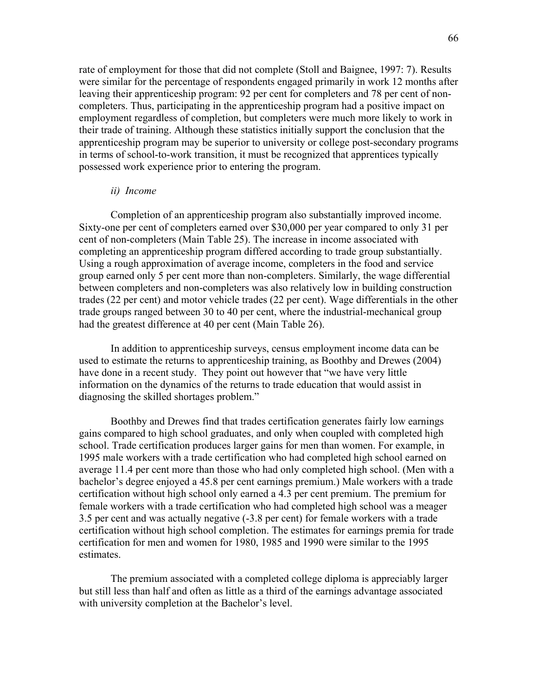rate of employment for those that did not complete (Stoll and Baignee, 1997: 7). Results were similar for the percentage of respondents engaged primarily in work 12 months after leaving their apprenticeship program: 92 per cent for completers and 78 per cent of noncompleters. Thus, participating in the apprenticeship program had a positive impact on employment regardless of completion, but completers were much more likely to work in their trade of training. Although these statistics initially support the conclusion that the apprenticeship program may be superior to university or college post-secondary programs in terms of school-to-work transition, it must be recognized that apprentices typically possessed work experience prior to entering the program.

#### ii) Income

Completion of an apprenticeship program also substantially improved income. Sixty-one per cent of completers earned over \$30,000 per year compared to only 31 per cent of non-completers (Main Table 25). The increase in income associated with completing an apprenticeship program differed according to trade group substantially. Using a rough approximation of average income, completers in the food and service group earned only 5 per cent more than non-completers. Similarly, the wage differential between completers and non-completers was also relatively low in building construction trades (22 per cent) and motor vehicle trades (22 per cent). Wage differentials in the other trade groups ranged between 30 to 40 per cent, where the industrial-mechanical group had the greatest difference at 40 per cent (Main Table 26).

 In addition to apprenticeship surveys, census employment income data can be used to estimate the returns to apprenticeship training, as Boothby and Drewes (2004) have done in a recent study. They point out however that "we have very little information on the dynamics of the returns to trade education that would assist in diagnosing the skilled shortages problem."

 Boothby and Drewes find that trades certification generates fairly low earnings gains compared to high school graduates, and only when coupled with completed high school. Trade certification produces larger gains for men than women. For example, in 1995 male workers with a trade certification who had completed high school earned on average 11.4 per cent more than those who had only completed high school. (Men with a bachelor's degree enjoyed a 45.8 per cent earnings premium.) Male workers with a trade certification without high school only earned a 4.3 per cent premium. The premium for female workers with a trade certification who had completed high school was a meager 3.5 per cent and was actually negative (-3.8 per cent) for female workers with a trade certification without high school completion. The estimates for earnings premia for trade certification for men and women for 1980, 1985 and 1990 were similar to the 1995 estimates.

 The premium associated with a completed college diploma is appreciably larger but still less than half and often as little as a third of the earnings advantage associated with university completion at the Bachelor's level.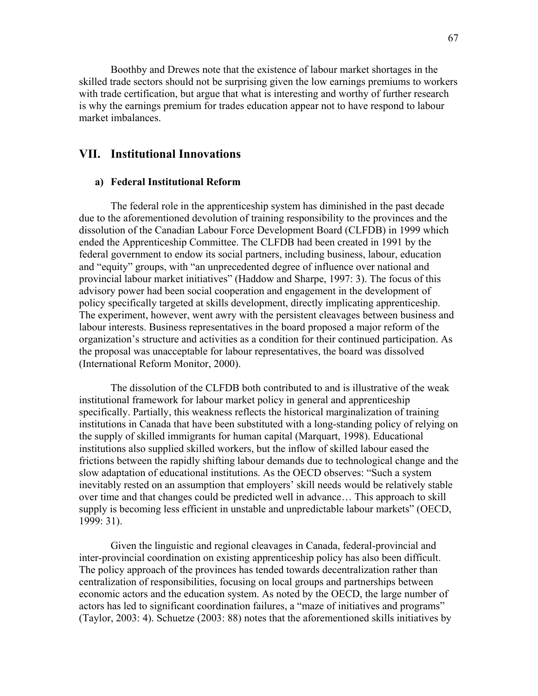Boothby and Drewes note that the existence of labour market shortages in the skilled trade sectors should not be surprising given the low earnings premiums to workers with trade certification, but argue that what is interesting and worthy of further research is why the earnings premium for trades education appear not to have respond to labour market imbalances.

# VII. Institutional Innovations

#### a) Federal Institutional Reform

 The federal role in the apprenticeship system has diminished in the past decade due to the aforementioned devolution of training responsibility to the provinces and the dissolution of the Canadian Labour Force Development Board (CLFDB) in 1999 which ended the Apprenticeship Committee. The CLFDB had been created in 1991 by the federal government to endow its social partners, including business, labour, education and "equity" groups, with "an unprecedented degree of influence over national and provincial labour market initiatives" (Haddow and Sharpe, 1997: 3). The focus of this advisory power had been social cooperation and engagement in the development of policy specifically targeted at skills development, directly implicating apprenticeship. The experiment, however, went awry with the persistent cleavages between business and labour interests. Business representatives in the board proposed a major reform of the organization's structure and activities as a condition for their continued participation. As the proposal was unacceptable for labour representatives, the board was dissolved (International Reform Monitor, 2000).

 The dissolution of the CLFDB both contributed to and is illustrative of the weak institutional framework for labour market policy in general and apprenticeship specifically. Partially, this weakness reflects the historical marginalization of training institutions in Canada that have been substituted with a long-standing policy of relying on the supply of skilled immigrants for human capital (Marquart, 1998). Educational institutions also supplied skilled workers, but the inflow of skilled labour eased the frictions between the rapidly shifting labour demands due to technological change and the slow adaptation of educational institutions. As the OECD observes: "Such a system inevitably rested on an assumption that employers' skill needs would be relatively stable over time and that changes could be predicted well in advance… This approach to skill supply is becoming less efficient in unstable and unpredictable labour markets" (OECD, 1999: 31).

 Given the linguistic and regional cleavages in Canada, federal-provincial and inter-provincial coordination on existing apprenticeship policy has also been difficult. The policy approach of the provinces has tended towards decentralization rather than centralization of responsibilities, focusing on local groups and partnerships between economic actors and the education system. As noted by the OECD, the large number of actors has led to significant coordination failures, a "maze of initiatives and programs" (Taylor, 2003: 4). Schuetze (2003: 88) notes that the aforementioned skills initiatives by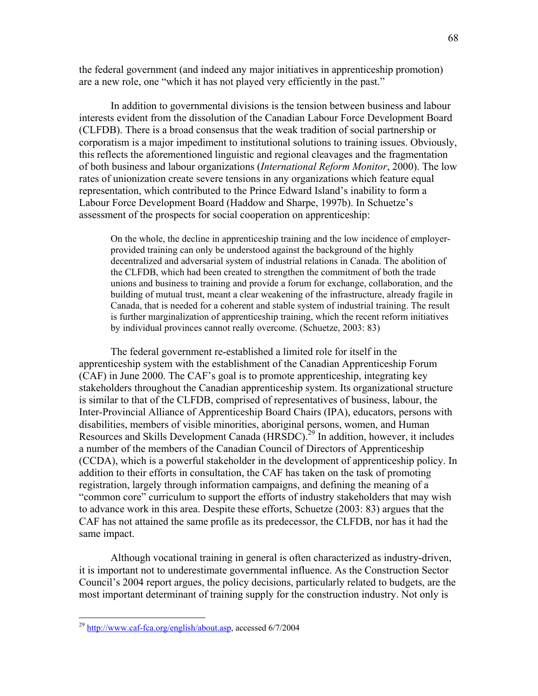the federal government (and indeed any major initiatives in apprenticeship promotion) are a new role, one "which it has not played very efficiently in the past."

 In addition to governmental divisions is the tension between business and labour interests evident from the dissolution of the Canadian Labour Force Development Board (CLFDB). There is a broad consensus that the weak tradition of social partnership or corporatism is a major impediment to institutional solutions to training issues. Obviously, this reflects the aforementioned linguistic and regional cleavages and the fragmentation of both business and labour organizations (International Reform Monitor, 2000). The low rates of unionization create severe tensions in any organizations which feature equal representation, which contributed to the Prince Edward Island's inability to form a Labour Force Development Board (Haddow and Sharpe, 1997b). In Schuetze's assessment of the prospects for social cooperation on apprenticeship:

On the whole, the decline in apprenticeship training and the low incidence of employerprovided training can only be understood against the background of the highly decentralized and adversarial system of industrial relations in Canada. The abolition of the CLFDB, which had been created to strengthen the commitment of both the trade unions and business to training and provide a forum for exchange, collaboration, and the building of mutual trust, meant a clear weakening of the infrastructure, already fragile in Canada, that is needed for a coherent and stable system of industrial training. The result is further marginalization of apprenticeship training, which the recent reform initiatives by individual provinces cannot really overcome. (Schuetze, 2003: 83)

The federal government re-established a limited role for itself in the apprenticeship system with the establishment of the Canadian Apprenticeship Forum (CAF) in June 2000. The CAF's goal is to promote apprenticeship, integrating key stakeholders throughout the Canadian apprenticeship system. Its organizational structure is similar to that of the CLFDB, comprised of representatives of business, labour, the Inter-Provincial Alliance of Apprenticeship Board Chairs (IPA), educators, persons with disabilities, members of visible minorities, aboriginal persons, women, and Human Resources and Skills Development Canada (HRSDC).<sup>29</sup> In addition, however, it includes a number of the members of the Canadian Council of Directors of Apprenticeship (CCDA), which is a powerful stakeholder in the development of apprenticeship policy. In addition to their efforts in consultation, the CAF has taken on the task of promoting registration, largely through information campaigns, and defining the meaning of a "common core" curriculum to support the efforts of industry stakeholders that may wish to advance work in this area. Despite these efforts, Schuetze (2003: 83) argues that the CAF has not attained the same profile as its predecessor, the CLFDB, nor has it had the same impact.

Although vocational training in general is often characterized as industry-driven, it is important not to underestimate governmental influence. As the Construction Sector Council's 2004 report argues, the policy decisions, particularly related to budgets, are the most important determinant of training supply for the construction industry. Not only is

 $\overline{a}$ 

<sup>&</sup>lt;sup>29</sup> http://www.caf-fca.org/english/about.asp, accessed 6/7/2004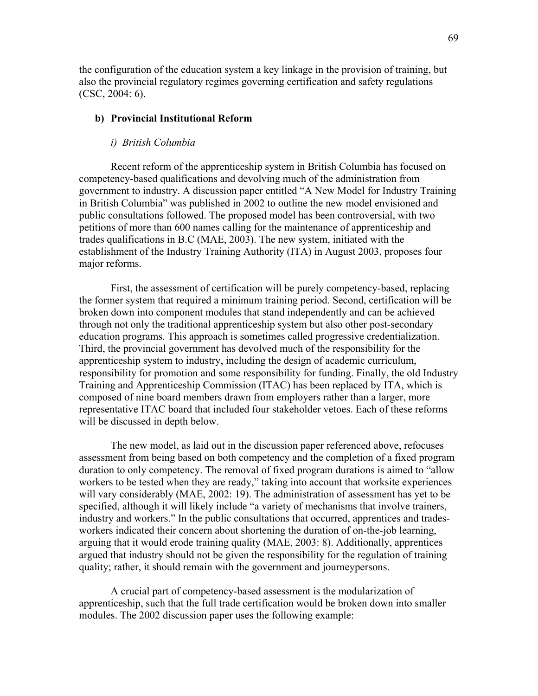the configuration of the education system a key linkage in the provision of training, but also the provincial regulatory regimes governing certification and safety regulations (CSC, 2004: 6).

#### b) Provincial Institutional Reform

#### i) British Columbia

Recent reform of the apprenticeship system in British Columbia has focused on competency-based qualifications and devolving much of the administration from government to industry. A discussion paper entitled "A New Model for Industry Training in British Columbia" was published in 2002 to outline the new model envisioned and public consultations followed. The proposed model has been controversial, with two petitions of more than 600 names calling for the maintenance of apprenticeship and trades qualifications in B.C (MAE, 2003). The new system, initiated with the establishment of the Industry Training Authority (ITA) in August 2003, proposes four major reforms.

First, the assessment of certification will be purely competency-based, replacing the former system that required a minimum training period. Second, certification will be broken down into component modules that stand independently and can be achieved through not only the traditional apprenticeship system but also other post-secondary education programs. This approach is sometimes called progressive credentialization. Third, the provincial government has devolved much of the responsibility for the apprenticeship system to industry, including the design of academic curriculum, responsibility for promotion and some responsibility for funding. Finally, the old Industry Training and Apprenticeship Commission (ITAC) has been replaced by ITA, which is composed of nine board members drawn from employers rather than a larger, more representative ITAC board that included four stakeholder vetoes. Each of these reforms will be discussed in depth below.

The new model, as laid out in the discussion paper referenced above, refocuses assessment from being based on both competency and the completion of a fixed program duration to only competency. The removal of fixed program durations is aimed to "allow workers to be tested when they are ready," taking into account that worksite experiences will vary considerably (MAE, 2002: 19). The administration of assessment has yet to be specified, although it will likely include "a variety of mechanisms that involve trainers, industry and workers." In the public consultations that occurred, apprentices and tradesworkers indicated their concern about shortening the duration of on-the-job learning, arguing that it would erode training quality (MAE, 2003: 8). Additionally, apprentices argued that industry should not be given the responsibility for the regulation of training quality; rather, it should remain with the government and journeypersons.

A crucial part of competency-based assessment is the modularization of apprenticeship, such that the full trade certification would be broken down into smaller modules. The 2002 discussion paper uses the following example: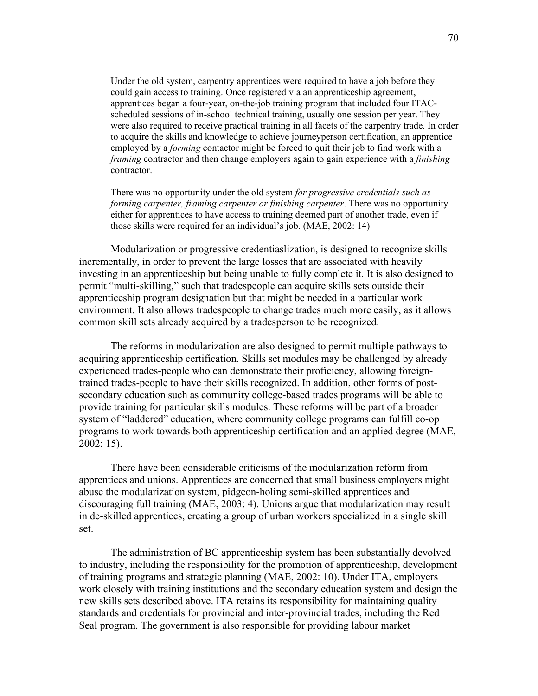Under the old system, carpentry apprentices were required to have a job before they could gain access to training. Once registered via an apprenticeship agreement, apprentices began a four-year, on-the-job training program that included four ITACscheduled sessions of in-school technical training, usually one session per year. They were also required to receive practical training in all facets of the carpentry trade. In order to acquire the skills and knowledge to achieve journeyperson certification, an apprentice employed by a *forming* contactor might be forced to quit their job to find work with a framing contractor and then change employers again to gain experience with a finishing contractor.

There was no opportunity under the old system for progressive credentials such as forming carpenter, framing carpenter or finishing carpenter. There was no opportunity either for apprentices to have access to training deemed part of another trade, even if those skills were required for an individual's job. (MAE, 2002: 14)

Modularization or progressive credentiaslization, is designed to recognize skills incrementally, in order to prevent the large losses that are associated with heavily investing in an apprenticeship but being unable to fully complete it. It is also designed to permit "multi-skilling," such that tradespeople can acquire skills sets outside their apprenticeship program designation but that might be needed in a particular work environment. It also allows tradespeople to change trades much more easily, as it allows common skill sets already acquired by a tradesperson to be recognized.

The reforms in modularization are also designed to permit multiple pathways to acquiring apprenticeship certification. Skills set modules may be challenged by already experienced trades-people who can demonstrate their proficiency, allowing foreigntrained trades-people to have their skills recognized. In addition, other forms of postsecondary education such as community college-based trades programs will be able to provide training for particular skills modules. These reforms will be part of a broader system of "laddered" education, where community college programs can fulfill co-op programs to work towards both apprenticeship certification and an applied degree (MAE, 2002: 15).

There have been considerable criticisms of the modularization reform from apprentices and unions. Apprentices are concerned that small business employers might abuse the modularization system, pidgeon-holing semi-skilled apprentices and discouraging full training (MAE, 2003: 4). Unions argue that modularization may result in de-skilled apprentices, creating a group of urban workers specialized in a single skill set.

The administration of BC apprenticeship system has been substantially devolved to industry, including the responsibility for the promotion of apprenticeship, development of training programs and strategic planning (MAE, 2002: 10). Under ITA, employers work closely with training institutions and the secondary education system and design the new skills sets described above. ITA retains its responsibility for maintaining quality standards and credentials for provincial and inter-provincial trades, including the Red Seal program. The government is also responsible for providing labour market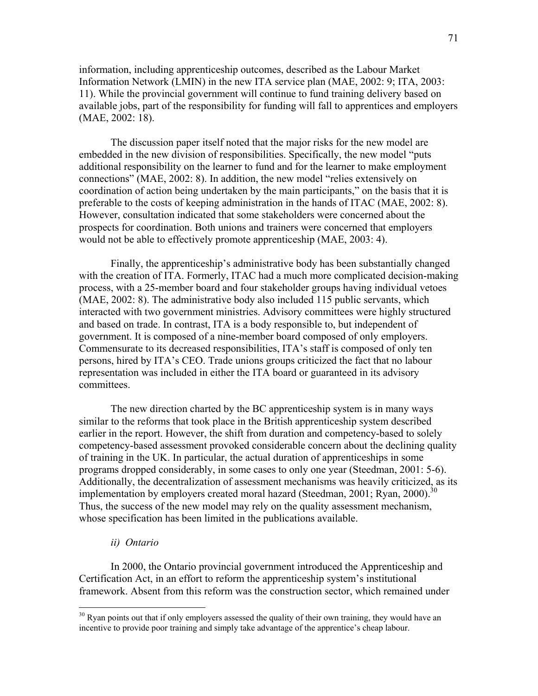information, including apprenticeship outcomes, described as the Labour Market Information Network (LMIN) in the new ITA service plan (MAE, 2002: 9; ITA, 2003: 11). While the provincial government will continue to fund training delivery based on available jobs, part of the responsibility for funding will fall to apprentices and employers (MAE, 2002: 18).

The discussion paper itself noted that the major risks for the new model are embedded in the new division of responsibilities. Specifically, the new model "puts additional responsibility on the learner to fund and for the learner to make employment connections" (MAE, 2002: 8). In addition, the new model "relies extensively on coordination of action being undertaken by the main participants," on the basis that it is preferable to the costs of keeping administration in the hands of ITAC (MAE, 2002: 8). However, consultation indicated that some stakeholders were concerned about the prospects for coordination. Both unions and trainers were concerned that employers would not be able to effectively promote apprenticeship (MAE, 2003: 4).

Finally, the apprenticeship's administrative body has been substantially changed with the creation of ITA. Formerly, ITAC had a much more complicated decision-making process, with a 25-member board and four stakeholder groups having individual vetoes (MAE, 2002: 8). The administrative body also included 115 public servants, which interacted with two government ministries. Advisory committees were highly structured and based on trade. In contrast, ITA is a body responsible to, but independent of government. It is composed of a nine-member board composed of only employers. Commensurate to its decreased responsibilities, ITA's staff is composed of only ten persons, hired by ITA's CEO. Trade unions groups criticized the fact that no labour representation was included in either the ITA board or guaranteed in its advisory committees.

The new direction charted by the BC apprenticeship system is in many ways similar to the reforms that took place in the British apprenticeship system described earlier in the report. However, the shift from duration and competency-based to solely competency-based assessment provoked considerable concern about the declining quality of training in the UK. In particular, the actual duration of apprenticeships in some programs dropped considerably, in some cases to only one year (Steedman, 2001: 5-6). Additionally, the decentralization of assessment mechanisms was heavily criticized, as its implementation by employers created moral hazard (Steedman, 2001; Ryan, 2000).<sup>30</sup> Thus, the success of the new model may rely on the quality assessment mechanism, whose specification has been limited in the publications available.

# ii) Ontario

 $\overline{a}$ 

In 2000, the Ontario provincial government introduced the Apprenticeship and Certification Act, in an effort to reform the apprenticeship system's institutional framework. Absent from this reform was the construction sector, which remained under

<sup>&</sup>lt;sup>30</sup> Ryan points out that if only employers assessed the quality of their own training, they would have an incentive to provide poor training and simply take advantage of the apprentice's cheap labour.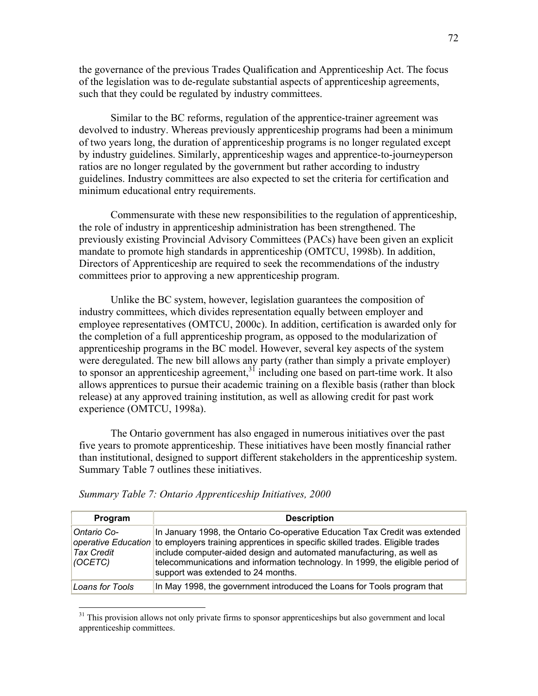the governance of the previous Trades Qualification and Apprenticeship Act. The focus of the legislation was to de-regulate substantial aspects of apprenticeship agreements, such that they could be regulated by industry committees.

Similar to the BC reforms, regulation of the apprentice-trainer agreement was devolved to industry. Whereas previously apprenticeship programs had been a minimum of two years long, the duration of apprenticeship programs is no longer regulated except by industry guidelines. Similarly, apprenticeship wages and apprentice-to-journeyperson ratios are no longer regulated by the government but rather according to industry guidelines. Industry committees are also expected to set the criteria for certification and minimum educational entry requirements.

Commensurate with these new responsibilities to the regulation of apprenticeship, the role of industry in apprenticeship administration has been strengthened. The previously existing Provincial Advisory Committees (PACs) have been given an explicit mandate to promote high standards in apprenticeship (OMTCU, 1998b). In addition, Directors of Apprenticeship are required to seek the recommendations of the industry committees prior to approving a new apprenticeship program.

Unlike the BC system, however, legislation guarantees the composition of industry committees, which divides representation equally between employer and employee representatives (OMTCU, 2000c). In addition, certification is awarded only for the completion of a full apprenticeship program, as opposed to the modularization of apprenticeship programs in the BC model. However, several key aspects of the system were deregulated. The new bill allows any party (rather than simply a private employer) to sponsor an apprenticeship agreement,<sup>31</sup> including one based on part-time work. It also allows apprentices to pursue their academic training on a flexible basis (rather than block release) at any approved training institution, as well as allowing credit for past work experience (OMTCU, 1998a).

The Ontario government has also engaged in numerous initiatives over the past five years to promote apprenticeship. These initiatives have been mostly financial rather than institutional, designed to support different stakeholders in the apprenticeship system. Summary Table 7 outlines these initiatives.

| Program                                            | <b>Description</b>                                                                                                                                                                                                                                                                                                                                                                |
|----------------------------------------------------|-----------------------------------------------------------------------------------------------------------------------------------------------------------------------------------------------------------------------------------------------------------------------------------------------------------------------------------------------------------------------------------|
| <b>Ontario Co-</b><br><b>Tax Credit</b><br>(OCETC) | In January 1998, the Ontario Co-operative Education Tax Credit was extended<br>operative Education to employers training apprentices in specific skilled trades. Eligible trades<br>include computer-aided design and automated manufacturing, as well as<br>telecommunications and information technology. In 1999, the eligible period of<br>support was extended to 24 months. |
| Loans for Tools                                    | In May 1998, the government introduced the Loans for Tools program that                                                                                                                                                                                                                                                                                                           |

Summary Table 7: Ontario Apprenticeship Initiatives, 2000

<u>.</u>

<sup>&</sup>lt;sup>31</sup> This provision allows not only private firms to sponsor apprenticeships but also government and local apprenticeship committees.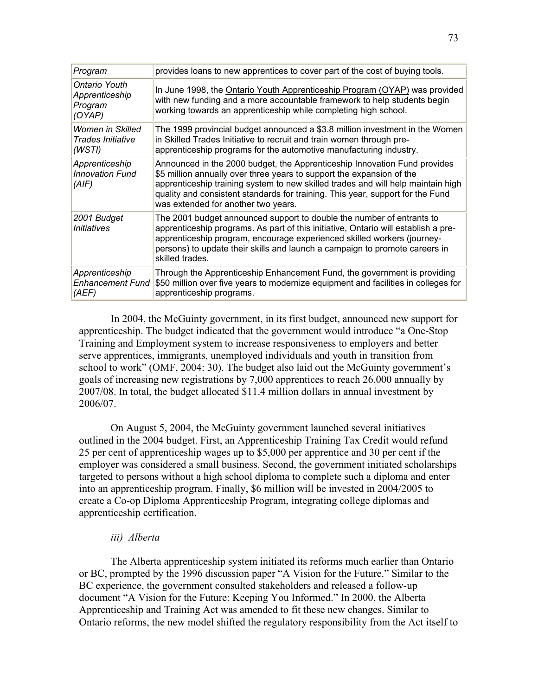| Program                                              | provides loans to new apprentices to cover part of the cost of buying tools.                                                                                                                                                                                                                                                                                    |
|------------------------------------------------------|-----------------------------------------------------------------------------------------------------------------------------------------------------------------------------------------------------------------------------------------------------------------------------------------------------------------------------------------------------------------|
| Ontario Youth<br>Apprenticeship<br>Program<br>(OYAP) | In June 1998, the Ontario Youth Apprenticeship Program (OYAP) was provided<br>with new funding and a more accountable framework to help students begin<br>working towards an apprenticeship while completing high school.                                                                                                                                       |
| Women in Skilled<br>Trades Initiative<br>(WSTI)      | The 1999 provincial budget announced a \$3.8 million investment in the Women<br>in Skilled Trades Initiative to recruit and train women through pre-<br>apprenticeship programs for the automotive manufacturing industry.                                                                                                                                      |
| Apprenticeship<br><b>Innovation Fund</b><br>(AIF)    | Announced in the 2000 budget, the Apprenticeship Innovation Fund provides<br>\$5 million annually over three years to support the expansion of the<br>apprenticeship training system to new skilled trades and will help maintain high<br>quality and consistent standards for training. This year, support for the Fund<br>was extended for another two years. |
| 2001 Budget<br><i>Initiatives</i>                    | The 2001 budget announced support to double the number of entrants to<br>apprenticeship programs. As part of this initiative, Ontario will establish a pre-<br>apprenticeship program, encourage experienced skilled workers (journey-<br>persons) to update their skills and launch a campaign to promote careers in<br>skilled trades.                        |
| Apprenticeship<br><b>Enhancement Fund</b><br>(AEF)   | Through the Apprenticeship Enhancement Fund, the government is providing<br>\$50 million over five years to modernize equipment and facilities in colleges for<br>apprenticeship programs.                                                                                                                                                                      |

In 2004, the McGuinty government, in its first budget, announced new support for apprenticeship. The budget indicated that the government would introduce "a One-Stop Training and Employment system to increase responsiveness to employers and better serve apprentices, immigrants, unemployed individuals and youth in transition from school to work" (OMF, 2004: 30). The budget also laid out the McGuinty government's goals of increasing new registrations by 7,000 apprentices to reach 26,000 annually by 2007/08. In total, the budget allocated \$11.4 million dollars in annual investment by 2006/07.

On August 5, 2004, the McGuinty government launched several initiatives outlined in the 2004 budget. First, an Apprenticeship Training Tax Credit would refund 25 per cent of apprenticeship wages up to \$5,000 per apprentice and 30 per cent if the employer was considered a small business. Second, the government initiated scholarships targeted to persons without a high school diploma to complete such a diploma and enter into an apprenticeship program. Finally, \$6 million will be invested in 2004/2005 to create a Co-op Diploma Apprenticeship Program, integrating college diplomas and apprenticeship certification.

#### iii) Alberta

The Alberta apprenticeship system initiated its reforms much earlier than Ontario or BC, prompted by the 1996 discussion paper "A Vision for the Future." Similar to the BC experience, the government consulted stakeholders and released a follow-up document "A Vision for the Future: Keeping You Informed." In 2000, the Alberta Apprenticeship and Training Act was amended to fit these new changes. Similar to Ontario reforms, the new model shifted the regulatory responsibility from the Act itself to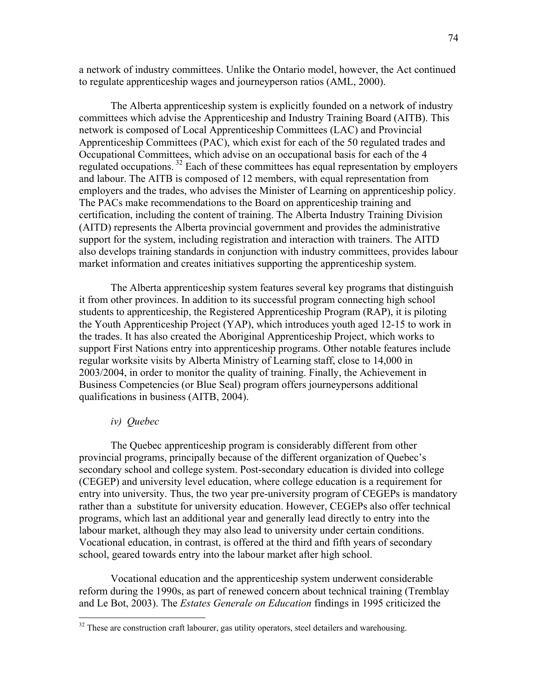a network of industry committees. Unlike the Ontario model, however, the Act continued to regulate apprenticeship wages and journeyperson ratios (AML, 2000).

The Alberta apprenticeship system is explicitly founded on a network of industry committees which advise the Apprenticeship and Industry Training Board (AITB). This network is composed of Local Apprenticeship Committees (LAC) and Provincial Apprenticeship Committees (PAC), which exist for each of the 50 regulated trades and Occupational Committees, which advise on an occupational basis for each of the 4 regulated occupations.<sup>32</sup> Each of these committees has equal representation by employers and labour. The AITB is composed of 12 members, with equal representation from employers and the trades, who advises the Minister of Learning on apprenticeship policy. The PACs make recommendations to the Board on apprenticeship training and certification, including the content of training. The Alberta Industry Training Division (AITD) represents the Alberta provincial government and provides the administrative support for the system, including registration and interaction with trainers. The AITD also develops training standards in conjunction with industry committees, provides labour market information and creates initiatives supporting the apprenticeship system.

The Alberta apprenticeship system features several key programs that distinguish it from other provinces. In addition to its successful program connecting high school students to apprenticeship, the Registered Apprenticeship Program (RAP), it is piloting the Youth Apprenticeship Project (YAP), which introduces youth aged 12-15 to work in the trades. It has also created the Aboriginal Apprenticeship Project, which works to support First Nations entry into apprenticeship programs. Other notable features include regular worksite visits by Alberta Ministry of Learning staff, close to 14,000 in 2003/2004, in order to monitor the quality of training. Finally, the Achievement in Business Competencies (or Blue Seal) program offers journeypersons additional qualifications in business (AITB, 2004).

### iv) Quebec

-

The Quebec apprenticeship program is considerably different from other provincial programs, principally because of the different organization of Quebec's secondary school and college system. Post-secondary education is divided into college (CEGEP) and university level education, where college education is a requirement for entry into university. Thus, the two year pre-university program of CEGEPs is mandatory rather than a substitute for university education. However, CEGEPs also offer technical programs, which last an additional year and generally lead directly to entry into the labour market, although they may also lead to university under certain conditions. Vocational education, in contrast, is offered at the third and fifth years of secondary school, geared towards entry into the labour market after high school.

Vocational education and the apprenticeship system underwent considerable reform during the 1990s, as part of renewed concern about technical training (Tremblay and Le Bot, 2003). The Estates Generale on Education findings in 1995 criticized the

 $32$  These are construction craft labourer, gas utility operators, steel detailers and warehousing.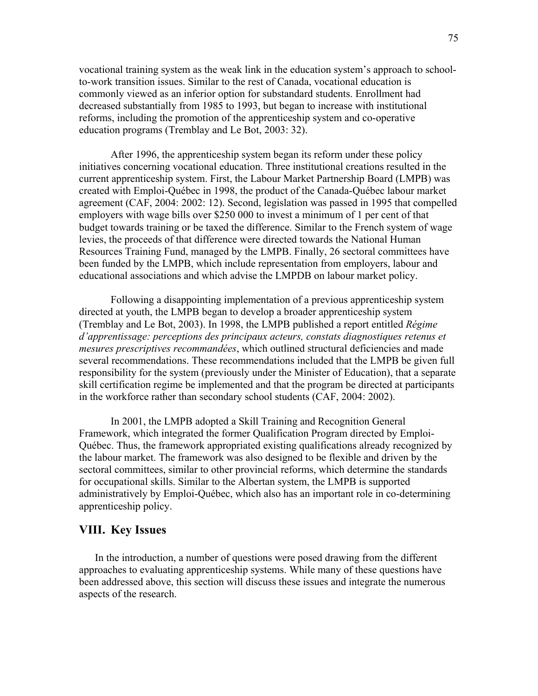vocational training system as the weak link in the education system's approach to schoolto-work transition issues. Similar to the rest of Canada, vocational education is commonly viewed as an inferior option for substandard students. Enrollment had decreased substantially from 1985 to 1993, but began to increase with institutional reforms, including the promotion of the apprenticeship system and co-operative education programs (Tremblay and Le Bot, 2003: 32).

After 1996, the apprenticeship system began its reform under these policy initiatives concerning vocational education. Three institutional creations resulted in the current apprenticeship system. First, the Labour Market Partnership Board (LMPB) was created with Emploi-Québec in 1998, the product of the Canada-Québec labour market agreement (CAF, 2004: 2002: 12). Second, legislation was passed in 1995 that compelled employers with wage bills over \$250 000 to invest a minimum of 1 per cent of that budget towards training or be taxed the difference. Similar to the French system of wage levies, the proceeds of that difference were directed towards the National Human Resources Training Fund, managed by the LMPB. Finally, 26 sectoral committees have been funded by the LMPB, which include representation from employers, labour and educational associations and which advise the LMPDB on labour market policy.

Following a disappointing implementation of a previous apprenticeship system directed at youth, the LMPB began to develop a broader apprenticeship system (Tremblay and Le Bot, 2003). In 1998, the LMPB published a report entitled Régime d'apprentissage: perceptions des principaux acteurs, constats diagnostiques retenus et mesures prescriptives recommandées, which outlined structural deficiencies and made several recommendations. These recommendations included that the LMPB be given full responsibility for the system (previously under the Minister of Education), that a separate skill certification regime be implemented and that the program be directed at participants in the workforce rather than secondary school students (CAF, 2004: 2002).

 In 2001, the LMPB adopted a Skill Training and Recognition General Framework, which integrated the former Qualification Program directed by Emploi-Québec. Thus, the framework appropriated existing qualifications already recognized by the labour market. The framework was also designed to be flexible and driven by the sectoral committees, similar to other provincial reforms, which determine the standards for occupational skills. Similar to the Albertan system, the LMPB is supported administratively by Emploi-Québec, which also has an important role in co-determining apprenticeship policy.

## VIII. Key Issues

In the introduction, a number of questions were posed drawing from the different approaches to evaluating apprenticeship systems. While many of these questions have been addressed above, this section will discuss these issues and integrate the numerous aspects of the research.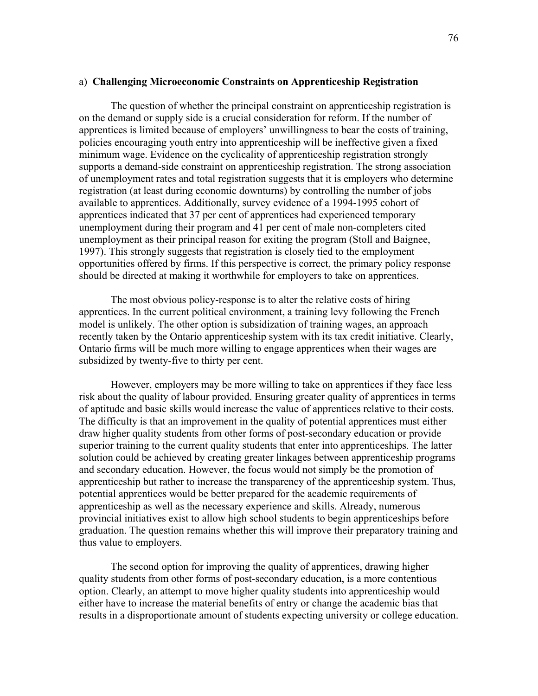#### a) Challenging Microeconomic Constraints on Apprenticeship Registration

The question of whether the principal constraint on apprenticeship registration is on the demand or supply side is a crucial consideration for reform. If the number of apprentices is limited because of employers' unwillingness to bear the costs of training, policies encouraging youth entry into apprenticeship will be ineffective given a fixed minimum wage. Evidence on the cyclicality of apprenticeship registration strongly supports a demand-side constraint on apprenticeship registration. The strong association of unemployment rates and total registration suggests that it is employers who determine registration (at least during economic downturns) by controlling the number of jobs available to apprentices. Additionally, survey evidence of a 1994-1995 cohort of apprentices indicated that 37 per cent of apprentices had experienced temporary unemployment during their program and 41 per cent of male non-completers cited unemployment as their principal reason for exiting the program (Stoll and Baignee, 1997). This strongly suggests that registration is closely tied to the employment opportunities offered by firms. If this perspective is correct, the primary policy response should be directed at making it worthwhile for employers to take on apprentices.

The most obvious policy-response is to alter the relative costs of hiring apprentices. In the current political environment, a training levy following the French model is unlikely. The other option is subsidization of training wages, an approach recently taken by the Ontario apprenticeship system with its tax credit initiative. Clearly, Ontario firms will be much more willing to engage apprentices when their wages are subsidized by twenty-five to thirty per cent.

However, employers may be more willing to take on apprentices if they face less risk about the quality of labour provided. Ensuring greater quality of apprentices in terms of aptitude and basic skills would increase the value of apprentices relative to their costs. The difficulty is that an improvement in the quality of potential apprentices must either draw higher quality students from other forms of post-secondary education or provide superior training to the current quality students that enter into apprenticeships. The latter solution could be achieved by creating greater linkages between apprenticeship programs and secondary education. However, the focus would not simply be the promotion of apprenticeship but rather to increase the transparency of the apprenticeship system. Thus, potential apprentices would be better prepared for the academic requirements of apprenticeship as well as the necessary experience and skills. Already, numerous provincial initiatives exist to allow high school students to begin apprenticeships before graduation. The question remains whether this will improve their preparatory training and thus value to employers.

The second option for improving the quality of apprentices, drawing higher quality students from other forms of post-secondary education, is a more contentious option. Clearly, an attempt to move higher quality students into apprenticeship would either have to increase the material benefits of entry or change the academic bias that results in a disproportionate amount of students expecting university or college education.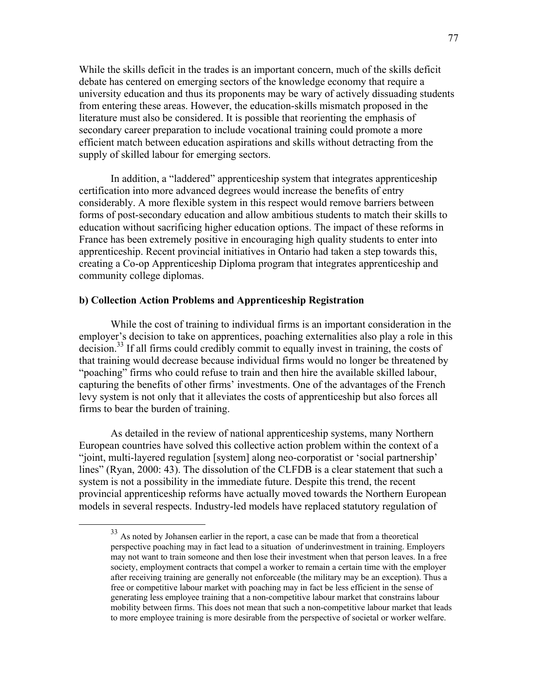While the skills deficit in the trades is an important concern, much of the skills deficit debate has centered on emerging sectors of the knowledge economy that require a university education and thus its proponents may be wary of actively dissuading students from entering these areas. However, the education-skills mismatch proposed in the literature must also be considered. It is possible that reorienting the emphasis of secondary career preparation to include vocational training could promote a more efficient match between education aspirations and skills without detracting from the supply of skilled labour for emerging sectors.

In addition, a "laddered" apprenticeship system that integrates apprenticeship certification into more advanced degrees would increase the benefits of entry considerably. A more flexible system in this respect would remove barriers between forms of post-secondary education and allow ambitious students to match their skills to education without sacrificing higher education options. The impact of these reforms in France has been extremely positive in encouraging high quality students to enter into apprenticeship. Recent provincial initiatives in Ontario had taken a step towards this, creating a Co-op Apprenticeship Diploma program that integrates apprenticeship and community college diplomas.

## b) Collection Action Problems and Apprenticeship Registration

 $\overline{a}$ 

While the cost of training to individual firms is an important consideration in the employer's decision to take on apprentices, poaching externalities also play a role in this decision.<sup>33</sup> If all firms could credibly commit to equally invest in training, the costs of that training would decrease because individual firms would no longer be threatened by "poaching" firms who could refuse to train and then hire the available skilled labour, capturing the benefits of other firms' investments. One of the advantages of the French levy system is not only that it alleviates the costs of apprenticeship but also forces all firms to bear the burden of training.

As detailed in the review of national apprenticeship systems, many Northern European countries have solved this collective action problem within the context of a "joint, multi-layered regulation [system] along neo-corporatist or 'social partnership' lines" (Ryan, 2000: 43). The dissolution of the CLFDB is a clear statement that such a system is not a possibility in the immediate future. Despite this trend, the recent provincial apprenticeship reforms have actually moved towards the Northern European models in several respects. Industry-led models have replaced statutory regulation of

<sup>&</sup>lt;sup>33</sup> As noted by Johansen earlier in the report, a case can be made that from a theoretical perspective poaching may in fact lead to a situation of underinvestment in training. Employers may not want to train someone and then lose their investment when that person leaves. In a free society, employment contracts that compel a worker to remain a certain time with the employer after receiving training are generally not enforceable (the military may be an exception). Thus a free or competitive labour market with poaching may in fact be less efficient in the sense of generating less employee training that a non-competitive labour market that constrains labour mobility between firms. This does not mean that such a non-competitive labour market that leads to more employee training is more desirable from the perspective of societal or worker welfare.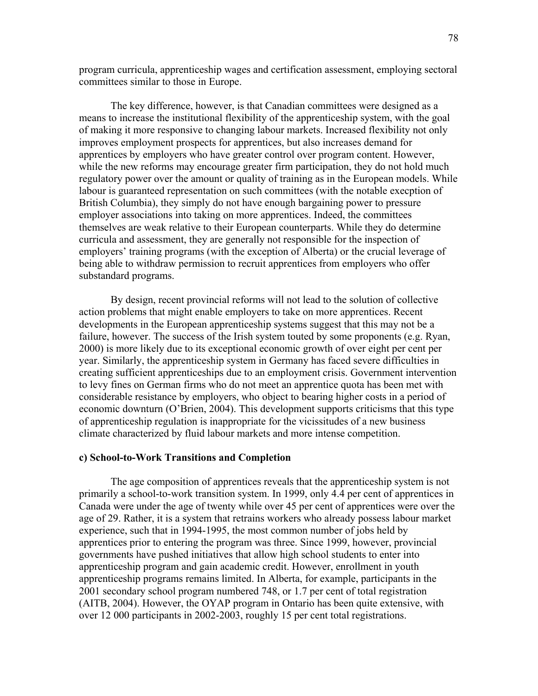program curricula, apprenticeship wages and certification assessment, employing sectoral committees similar to those in Europe.

The key difference, however, is that Canadian committees were designed as a means to increase the institutional flexibility of the apprenticeship system, with the goal of making it more responsive to changing labour markets. Increased flexibility not only improves employment prospects for apprentices, but also increases demand for apprentices by employers who have greater control over program content. However, while the new reforms may encourage greater firm participation, they do not hold much regulatory power over the amount or quality of training as in the European models. While labour is guaranteed representation on such committees (with the notable execption of British Columbia), they simply do not have enough bargaining power to pressure employer associations into taking on more apprentices. Indeed, the committees themselves are weak relative to their European counterparts. While they do determine curricula and assessment, they are generally not responsible for the inspection of employers' training programs (with the exception of Alberta) or the crucial leverage of being able to withdraw permission to recruit apprentices from employers who offer substandard programs.

By design, recent provincial reforms will not lead to the solution of collective action problems that might enable employers to take on more apprentices. Recent developments in the European apprenticeship systems suggest that this may not be a failure, however. The success of the Irish system touted by some proponents (e.g. Ryan, 2000) is more likely due to its exceptional economic growth of over eight per cent per year. Similarly, the apprenticeship system in Germany has faced severe difficulties in creating sufficient apprenticeships due to an employment crisis. Government intervention to levy fines on German firms who do not meet an apprentice quota has been met with considerable resistance by employers, who object to bearing higher costs in a period of economic downturn (O'Brien, 2004). This development supports criticisms that this type of apprenticeship regulation is inappropriate for the vicissitudes of a new business climate characterized by fluid labour markets and more intense competition.

#### c) School-to-Work Transitions and Completion

The age composition of apprentices reveals that the apprenticeship system is not primarily a school-to-work transition system. In 1999, only 4.4 per cent of apprentices in Canada were under the age of twenty while over 45 per cent of apprentices were over the age of 29. Rather, it is a system that retrains workers who already possess labour market experience, such that in 1994-1995, the most common number of jobs held by apprentices prior to entering the program was three. Since 1999, however, provincial governments have pushed initiatives that allow high school students to enter into apprenticeship program and gain academic credit. However, enrollment in youth apprenticeship programs remains limited. In Alberta, for example, participants in the 2001 secondary school program numbered 748, or 1.7 per cent of total registration (AITB, 2004). However, the OYAP program in Ontario has been quite extensive, with over 12 000 participants in 2002-2003, roughly 15 per cent total registrations.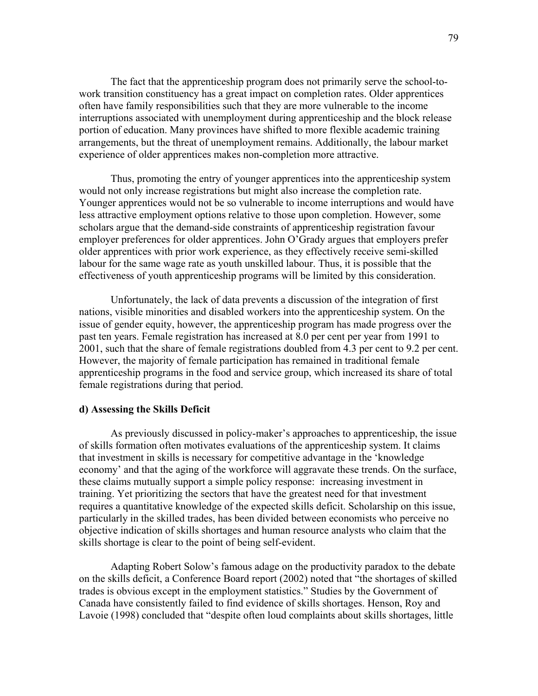The fact that the apprenticeship program does not primarily serve the school-towork transition constituency has a great impact on completion rates. Older apprentices often have family responsibilities such that they are more vulnerable to the income interruptions associated with unemployment during apprenticeship and the block release portion of education. Many provinces have shifted to more flexible academic training arrangements, but the threat of unemployment remains. Additionally, the labour market experience of older apprentices makes non-completion more attractive.

Thus, promoting the entry of younger apprentices into the apprenticeship system would not only increase registrations but might also increase the completion rate. Younger apprentices would not be so vulnerable to income interruptions and would have less attractive employment options relative to those upon completion. However, some scholars argue that the demand-side constraints of apprenticeship registration favour employer preferences for older apprentices. John O'Grady argues that employers prefer older apprentices with prior work experience, as they effectively receive semi-skilled labour for the same wage rate as youth unskilled labour. Thus, it is possible that the effectiveness of youth apprenticeship programs will be limited by this consideration.

Unfortunately, the lack of data prevents a discussion of the integration of first nations, visible minorities and disabled workers into the apprenticeship system. On the issue of gender equity, however, the apprenticeship program has made progress over the past ten years. Female registration has increased at 8.0 per cent per year from 1991 to 2001, such that the share of female registrations doubled from 4.3 per cent to 9.2 per cent. However, the majority of female participation has remained in traditional female apprenticeship programs in the food and service group, which increased its share of total female registrations during that period.

#### d) Assessing the Skills Deficit

As previously discussed in policy-maker's approaches to apprenticeship, the issue of skills formation often motivates evaluations of the apprenticeship system. It claims that investment in skills is necessary for competitive advantage in the 'knowledge economy' and that the aging of the workforce will aggravate these trends. On the surface, these claims mutually support a simple policy response: increasing investment in training. Yet prioritizing the sectors that have the greatest need for that investment requires a quantitative knowledge of the expected skills deficit. Scholarship on this issue, particularly in the skilled trades, has been divided between economists who perceive no objective indication of skills shortages and human resource analysts who claim that the skills shortage is clear to the point of being self-evident.

Adapting Robert Solow's famous adage on the productivity paradox to the debate on the skills deficit, a Conference Board report (2002) noted that "the shortages of skilled trades is obvious except in the employment statistics." Studies by the Government of Canada have consistently failed to find evidence of skills shortages. Henson, Roy and Lavoie (1998) concluded that "despite often loud complaints about skills shortages, little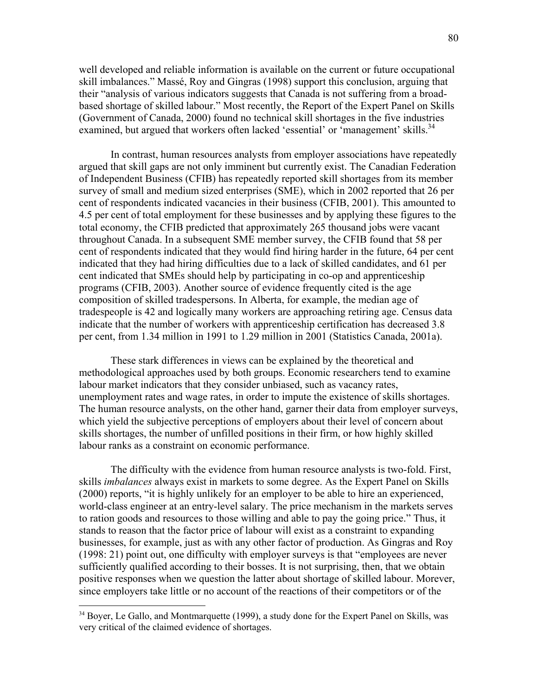well developed and reliable information is available on the current or future occupational skill imbalances." Massé, Roy and Gingras (1998) support this conclusion, arguing that their "analysis of various indicators suggests that Canada is not suffering from a broadbased shortage of skilled labour." Most recently, the Report of the Expert Panel on Skills (Government of Canada, 2000) found no technical skill shortages in the five industries examined, but argued that workers often lacked 'essential' or 'management' skills.<sup>34</sup>

In contrast, human resources analysts from employer associations have repeatedly argued that skill gaps are not only imminent but currently exist. The Canadian Federation of Independent Business (CFIB) has repeatedly reported skill shortages from its member survey of small and medium sized enterprises (SME), which in 2002 reported that 26 per cent of respondents indicated vacancies in their business (CFIB, 2001). This amounted to 4.5 per cent of total employment for these businesses and by applying these figures to the total economy, the CFIB predicted that approximately 265 thousand jobs were vacant throughout Canada. In a subsequent SME member survey, the CFIB found that 58 per cent of respondents indicated that they would find hiring harder in the future, 64 per cent indicated that they had hiring difficulties due to a lack of skilled candidates, and 61 per cent indicated that SMEs should help by participating in co-op and apprenticeship programs (CFIB, 2003). Another source of evidence frequently cited is the age composition of skilled tradespersons. In Alberta, for example, the median age of tradespeople is 42 and logically many workers are approaching retiring age. Census data indicate that the number of workers with apprenticeship certification has decreased 3.8 per cent, from 1.34 million in 1991 to 1.29 million in 2001 (Statistics Canada, 2001a).

These stark differences in views can be explained by the theoretical and methodological approaches used by both groups. Economic researchers tend to examine labour market indicators that they consider unbiased, such as vacancy rates, unemployment rates and wage rates, in order to impute the existence of skills shortages. The human resource analysts, on the other hand, garner their data from employer surveys, which yield the subjective perceptions of employers about their level of concern about skills shortages, the number of unfilled positions in their firm, or how highly skilled labour ranks as a constraint on economic performance.

The difficulty with the evidence from human resource analysts is two-fold. First, skills *imbalances* always exist in markets to some degree. As the Expert Panel on Skills (2000) reports, "it is highly unlikely for an employer to be able to hire an experienced, world-class engineer at an entry-level salary. The price mechanism in the markets serves to ration goods and resources to those willing and able to pay the going price." Thus, it stands to reason that the factor price of labour will exist as a constraint to expanding businesses, for example, just as with any other factor of production. As Gingras and Roy (1998: 21) point out, one difficulty with employer surveys is that "employees are never sufficiently qualified according to their bosses. It is not surprising, then, that we obtain positive responses when we question the latter about shortage of skilled labour. Morever, since employers take little or no account of the reactions of their competitors or of the

 $\overline{a}$ 

<sup>&</sup>lt;sup>34</sup> Bover, Le Gallo, and Montmarquette (1999), a study done for the Expert Panel on Skills, was very critical of the claimed evidence of shortages.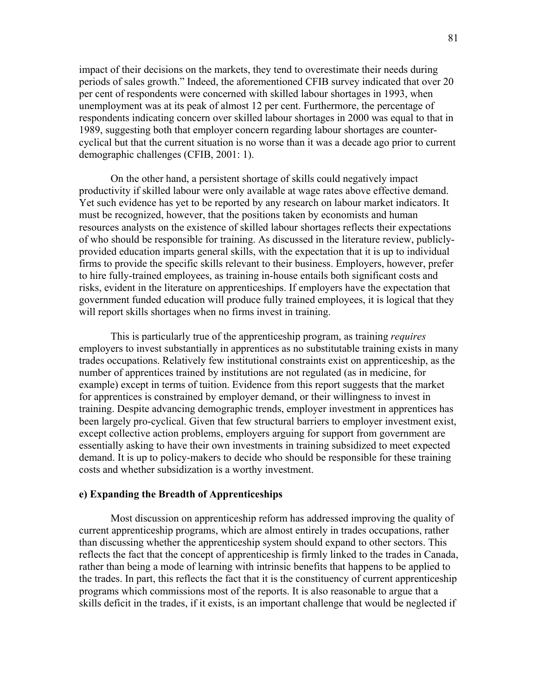impact of their decisions on the markets, they tend to overestimate their needs during periods of sales growth." Indeed, the aforementioned CFIB survey indicated that over 20 per cent of respondents were concerned with skilled labour shortages in 1993, when unemployment was at its peak of almost 12 per cent. Furthermore, the percentage of respondents indicating concern over skilled labour shortages in 2000 was equal to that in 1989, suggesting both that employer concern regarding labour shortages are countercyclical but that the current situation is no worse than it was a decade ago prior to current demographic challenges (CFIB, 2001: 1).

On the other hand, a persistent shortage of skills could negatively impact productivity if skilled labour were only available at wage rates above effective demand. Yet such evidence has yet to be reported by any research on labour market indicators. It must be recognized, however, that the positions taken by economists and human resources analysts on the existence of skilled labour shortages reflects their expectations of who should be responsible for training. As discussed in the literature review, publiclyprovided education imparts general skills, with the expectation that it is up to individual firms to provide the specific skills relevant to their business. Employers, however, prefer to hire fully-trained employees, as training in-house entails both significant costs and risks, evident in the literature on apprenticeships. If employers have the expectation that government funded education will produce fully trained employees, it is logical that they will report skills shortages when no firms invest in training.

This is particularly true of the apprenticeship program, as training *requires* employers to invest substantially in apprentices as no substitutable training exists in many trades occupations. Relatively few institutional constraints exist on apprenticeship, as the number of apprentices trained by institutions are not regulated (as in medicine, for example) except in terms of tuition. Evidence from this report suggests that the market for apprentices is constrained by employer demand, or their willingness to invest in training. Despite advancing demographic trends, employer investment in apprentices has been largely pro-cyclical. Given that few structural barriers to employer investment exist, except collective action problems, employers arguing for support from government are essentially asking to have their own investments in training subsidized to meet expected demand. It is up to policy-makers to decide who should be responsible for these training costs and whether subsidization is a worthy investment.

#### e) Expanding the Breadth of Apprenticeships

Most discussion on apprenticeship reform has addressed improving the quality of current apprenticeship programs, which are almost entirely in trades occupations, rather than discussing whether the apprenticeship system should expand to other sectors. This reflects the fact that the concept of apprenticeship is firmly linked to the trades in Canada, rather than being a mode of learning with intrinsic benefits that happens to be applied to the trades. In part, this reflects the fact that it is the constituency of current apprenticeship programs which commissions most of the reports. It is also reasonable to argue that a skills deficit in the trades, if it exists, is an important challenge that would be neglected if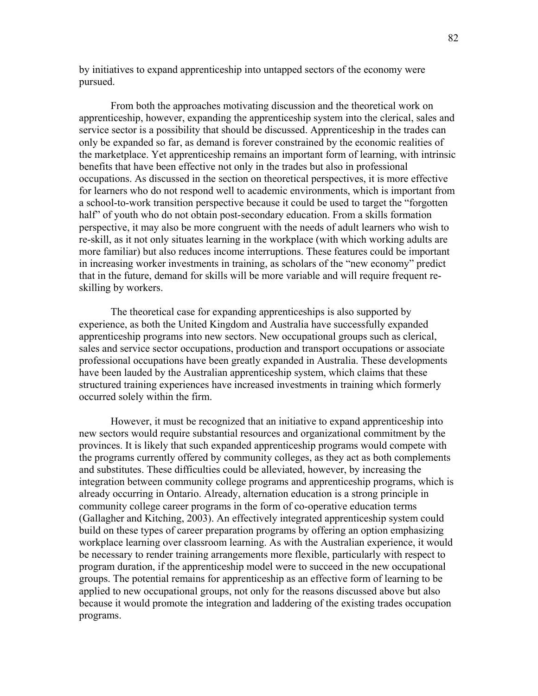by initiatives to expand apprenticeship into untapped sectors of the economy were pursued.

From both the approaches motivating discussion and the theoretical work on apprenticeship, however, expanding the apprenticeship system into the clerical, sales and service sector is a possibility that should be discussed. Apprenticeship in the trades can only be expanded so far, as demand is forever constrained by the economic realities of the marketplace. Yet apprenticeship remains an important form of learning, with intrinsic benefits that have been effective not only in the trades but also in professional occupations. As discussed in the section on theoretical perspectives, it is more effective for learners who do not respond well to academic environments, which is important from a school-to-work transition perspective because it could be used to target the "forgotten half" of youth who do not obtain post-secondary education. From a skills formation perspective, it may also be more congruent with the needs of adult learners who wish to re-skill, as it not only situates learning in the workplace (with which working adults are more familiar) but also reduces income interruptions. These features could be important in increasing worker investments in training, as scholars of the "new economy" predict that in the future, demand for skills will be more variable and will require frequent reskilling by workers.

The theoretical case for expanding apprenticeships is also supported by experience, as both the United Kingdom and Australia have successfully expanded apprenticeship programs into new sectors. New occupational groups such as clerical, sales and service sector occupations, production and transport occupations or associate professional occupations have been greatly expanded in Australia. These developments have been lauded by the Australian apprenticeship system, which claims that these structured training experiences have increased investments in training which formerly occurred solely within the firm.

However, it must be recognized that an initiative to expand apprenticeship into new sectors would require substantial resources and organizational commitment by the provinces. It is likely that such expanded apprenticeship programs would compete with the programs currently offered by community colleges, as they act as both complements and substitutes. These difficulties could be alleviated, however, by increasing the integration between community college programs and apprenticeship programs, which is already occurring in Ontario. Already, alternation education is a strong principle in community college career programs in the form of co-operative education terms (Gallagher and Kitching, 2003). An effectively integrated apprenticeship system could build on these types of career preparation programs by offering an option emphasizing workplace learning over classroom learning. As with the Australian experience, it would be necessary to render training arrangements more flexible, particularly with respect to program duration, if the apprenticeship model were to succeed in the new occupational groups. The potential remains for apprenticeship as an effective form of learning to be applied to new occupational groups, not only for the reasons discussed above but also because it would promote the integration and laddering of the existing trades occupation programs.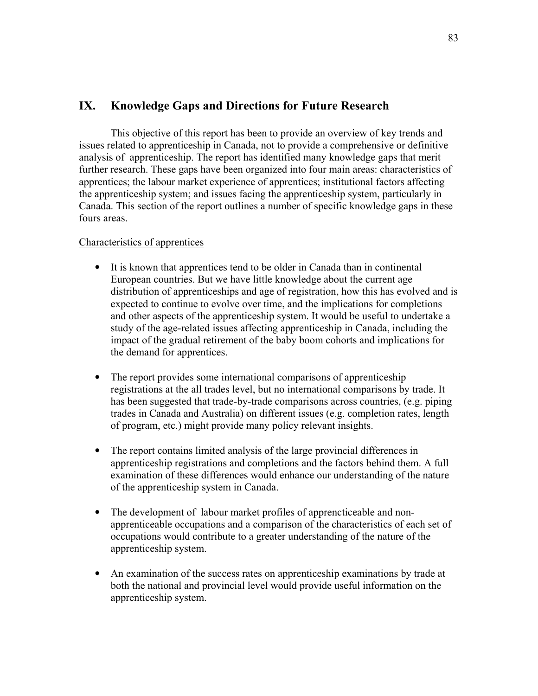# IX. Knowledge Gaps and Directions for Future Research

 This objective of this report has been to provide an overview of key trends and issues related to apprenticeship in Canada, not to provide a comprehensive or definitive analysis of apprenticeship. The report has identified many knowledge gaps that merit further research. These gaps have been organized into four main areas: characteristics of apprentices; the labour market experience of apprentices; institutional factors affecting the apprenticeship system; and issues facing the apprenticeship system, particularly in Canada. This section of the report outlines a number of specific knowledge gaps in these fours areas.

## Characteristics of apprentices

- It is known that apprentices tend to be older in Canada than in continental European countries. But we have little knowledge about the current age distribution of apprenticeships and age of registration, how this has evolved and is expected to continue to evolve over time, and the implications for completions and other aspects of the apprenticeship system. It would be useful to undertake a study of the age-related issues affecting apprenticeship in Canada, including the impact of the gradual retirement of the baby boom cohorts and implications for the demand for apprentices.
- The report provides some international comparisons of apprenticeship registrations at the all trades level, but no international comparisons by trade. It has been suggested that trade-by-trade comparisons across countries, (e.g. piping trades in Canada and Australia) on different issues (e.g. completion rates, length of program, etc.) might provide many policy relevant insights.
- The report contains limited analysis of the large provincial differences in apprenticeship registrations and completions and the factors behind them. A full examination of these differences would enhance our understanding of the nature of the apprenticeship system in Canada.
- The development of labour market profiles of apprencticeable and nonapprenticeable occupations and a comparison of the characteristics of each set of occupations would contribute to a greater understanding of the nature of the apprenticeship system.
- An examination of the success rates on apprenticeship examinations by trade at both the national and provincial level would provide useful information on the apprenticeship system.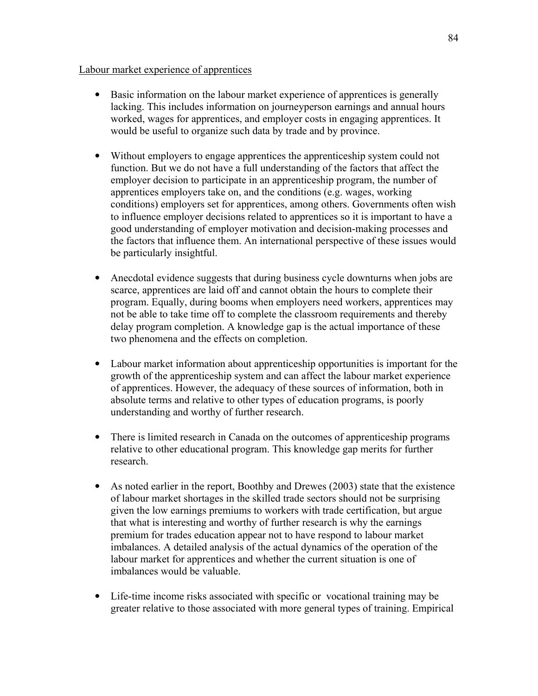## Labour market experience of apprentices

- Basic information on the labour market experience of apprentices is generally lacking. This includes information on journeyperson earnings and annual hours worked, wages for apprentices, and employer costs in engaging apprentices. It would be useful to organize such data by trade and by province.
- Without employers to engage apprentices the apprenticeship system could not function. But we do not have a full understanding of the factors that affect the employer decision to participate in an apprenticeship program, the number of apprentices employers take on, and the conditions (e.g. wages, working conditions) employers set for apprentices, among others. Governments often wish to influence employer decisions related to apprentices so it is important to have a good understanding of employer motivation and decision-making processes and the factors that influence them. An international perspective of these issues would be particularly insightful.
- Anecdotal evidence suggests that during business cycle downturns when jobs are scarce, apprentices are laid off and cannot obtain the hours to complete their program. Equally, during booms when employers need workers, apprentices may not be able to take time off to complete the classroom requirements and thereby delay program completion. A knowledge gap is the actual importance of these two phenomena and the effects on completion.
- Labour market information about apprenticeship opportunities is important for the growth of the apprenticeship system and can affect the labour market experience of apprentices. However, the adequacy of these sources of information, both in absolute terms and relative to other types of education programs, is poorly understanding and worthy of further research.
- There is limited research in Canada on the outcomes of apprenticeship programs relative to other educational program. This knowledge gap merits for further research.
- As noted earlier in the report, Boothby and Drewes (2003) state that the existence of labour market shortages in the skilled trade sectors should not be surprising given the low earnings premiums to workers with trade certification, but argue that what is interesting and worthy of further research is why the earnings premium for trades education appear not to have respond to labour market imbalances. A detailed analysis of the actual dynamics of the operation of the labour market for apprentices and whether the current situation is one of imbalances would be valuable.
- Life-time income risks associated with specific or vocational training may be greater relative to those associated with more general types of training. Empirical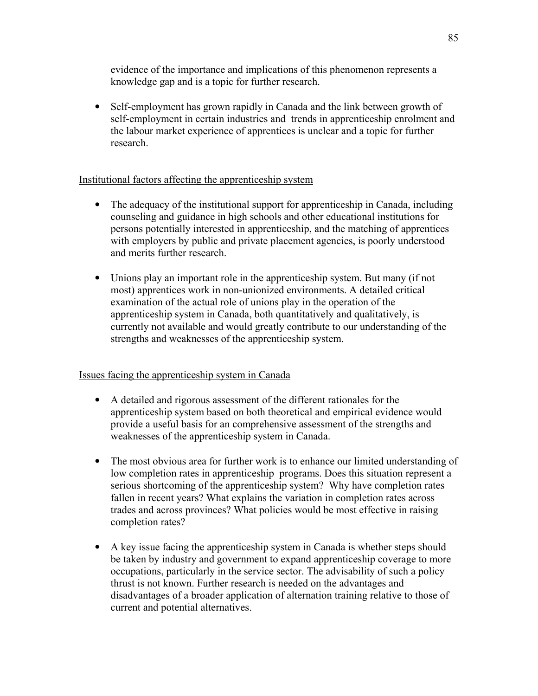evidence of the importance and implications of this phenomenon represents a knowledge gap and is a topic for further research.

• Self-employment has grown rapidly in Canada and the link between growth of self-employment in certain industries and trends in apprenticeship enrolment and the labour market experience of apprentices is unclear and a topic for further research.

## Institutional factors affecting the apprenticeship system

- The adequacy of the institutional support for apprenticeship in Canada, including counseling and guidance in high schools and other educational institutions for persons potentially interested in apprenticeship, and the matching of apprentices with employers by public and private placement agencies, is poorly understood and merits further research.
- Unions play an important role in the apprenticeship system. But many (if not most) apprentices work in non-unionized environments. A detailed critical examination of the actual role of unions play in the operation of the apprenticeship system in Canada, both quantitatively and qualitatively, is currently not available and would greatly contribute to our understanding of the strengths and weaknesses of the apprenticeship system.

## Issues facing the apprenticeship system in Canada

- A detailed and rigorous assessment of the different rationales for the apprenticeship system based on both theoretical and empirical evidence would provide a useful basis for an comprehensive assessment of the strengths and weaknesses of the apprenticeship system in Canada.
- The most obvious area for further work is to enhance our limited understanding of low completion rates in apprenticeship programs. Does this situation represent a serious shortcoming of the apprenticeship system? Why have completion rates fallen in recent years? What explains the variation in completion rates across trades and across provinces? What policies would be most effective in raising completion rates?
- A key issue facing the apprenticeship system in Canada is whether steps should be taken by industry and government to expand apprenticeship coverage to more occupations, particularly in the service sector. The advisability of such a policy thrust is not known. Further research is needed on the advantages and disadvantages of a broader application of alternation training relative to those of current and potential alternatives.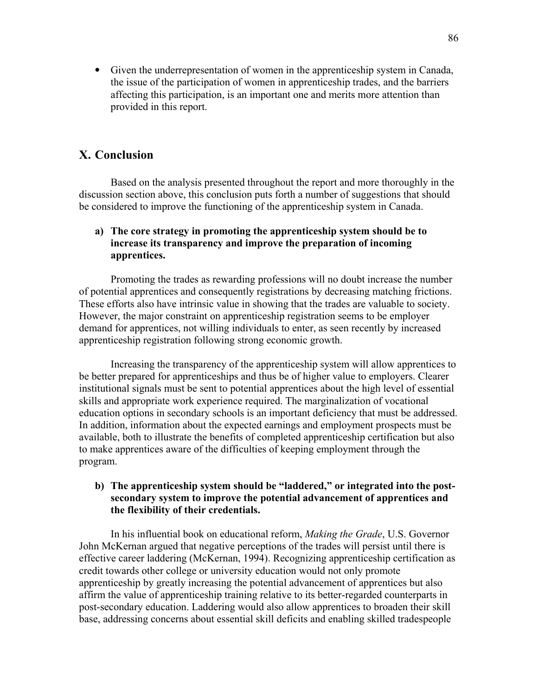• Given the underrepresentation of women in the apprenticeship system in Canada, the issue of the participation of women in apprenticeship trades, and the barriers affecting this participation, is an important one and merits more attention than provided in this report.

## X. Conclusion

Based on the analysis presented throughout the report and more thoroughly in the discussion section above, this conclusion puts forth a number of suggestions that should be considered to improve the functioning of the apprenticeship system in Canada.

## a) The core strategy in promoting the apprenticeship system should be to increase its transparency and improve the preparation of incoming apprentices.

Promoting the trades as rewarding professions will no doubt increase the number of potential apprentices and consequently registrations by decreasing matching frictions. These efforts also have intrinsic value in showing that the trades are valuable to society. However, the major constraint on apprenticeship registration seems to be employer demand for apprentices, not willing individuals to enter, as seen recently by increased apprenticeship registration following strong economic growth.

Increasing the transparency of the apprenticeship system will allow apprentices to be better prepared for apprenticeships and thus be of higher value to employers. Clearer institutional signals must be sent to potential apprentices about the high level of essential skills and appropriate work experience required. The marginalization of vocational education options in secondary schools is an important deficiency that must be addressed. In addition, information about the expected earnings and employment prospects must be available, both to illustrate the benefits of completed apprenticeship certification but also to make apprentices aware of the difficulties of keeping employment through the program.

## b) The apprenticeship system should be "laddered," or integrated into the postsecondary system to improve the potential advancement of apprentices and the flexibility of their credentials.

In his influential book on educational reform, Making the Grade, U.S. Governor John McKernan argued that negative perceptions of the trades will persist until there is effective career laddering (McKernan, 1994). Recognizing apprenticeship certification as credit towards other college or university education would not only promote apprenticeship by greatly increasing the potential advancement of apprentices but also affirm the value of apprenticeship training relative to its better-regarded counterparts in post-secondary education. Laddering would also allow apprentices to broaden their skill base, addressing concerns about essential skill deficits and enabling skilled tradespeople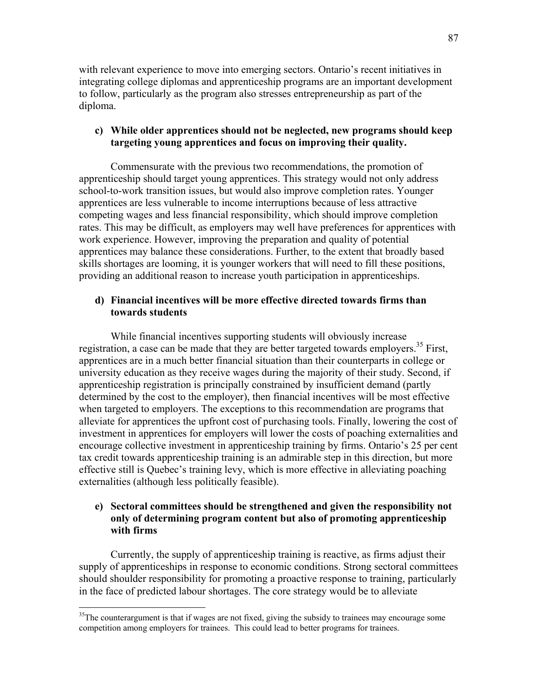with relevant experience to move into emerging sectors. Ontario's recent initiatives in integrating college diplomas and apprenticeship programs are an important development to follow, particularly as the program also stresses entrepreneurship as part of the diploma.

## c) While older apprentices should not be neglected, new programs should keep targeting young apprentices and focus on improving their quality.

Commensurate with the previous two recommendations, the promotion of apprenticeship should target young apprentices. This strategy would not only address school-to-work transition issues, but would also improve completion rates. Younger apprentices are less vulnerable to income interruptions because of less attractive competing wages and less financial responsibility, which should improve completion rates. This may be difficult, as employers may well have preferences for apprentices with work experience. However, improving the preparation and quality of potential apprentices may balance these considerations. Further, to the extent that broadly based skills shortages are looming, it is younger workers that will need to fill these positions, providing an additional reason to increase youth participation in apprenticeships.

## d) Financial incentives will be more effective directed towards firms than towards students

While financial incentives supporting students will obviously increase registration, a case can be made that they are better targeted towards employers.<sup>35</sup> First, apprentices are in a much better financial situation than their counterparts in college or university education as they receive wages during the majority of their study. Second, if apprenticeship registration is principally constrained by insufficient demand (partly determined by the cost to the employer), then financial incentives will be most effective when targeted to employers. The exceptions to this recommendation are programs that alleviate for apprentices the upfront cost of purchasing tools. Finally, lowering the cost of investment in apprentices for employers will lower the costs of poaching externalities and encourage collective investment in apprenticeship training by firms. Ontario's 25 per cent tax credit towards apprenticeship training is an admirable step in this direction, but more effective still is Quebec's training levy, which is more effective in alleviating poaching externalities (although less politically feasible).

## e) Sectoral committees should be strengthened and given the responsibility not only of determining program content but also of promoting apprenticeship with firms

Currently, the supply of apprenticeship training is reactive, as firms adjust their supply of apprenticeships in response to economic conditions. Strong sectoral committees should shoulder responsibility for promoting a proactive response to training, particularly in the face of predicted labour shortages. The core strategy would be to alleviate

 $\overline{a}$ 

<sup>&</sup>lt;sup>35</sup>The counterargument is that if wages are not fixed, giving the subsidy to trainees may encourage some competition among employers for trainees. This could lead to better programs for trainees.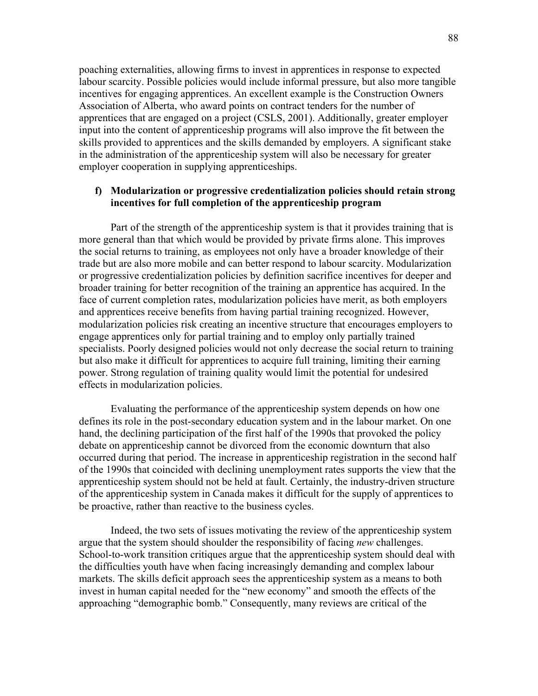poaching externalities, allowing firms to invest in apprentices in response to expected labour scarcity. Possible policies would include informal pressure, but also more tangible incentives for engaging apprentices. An excellent example is the Construction Owners Association of Alberta, who award points on contract tenders for the number of apprentices that are engaged on a project (CSLS, 2001). Additionally, greater employer input into the content of apprenticeship programs will also improve the fit between the skills provided to apprentices and the skills demanded by employers. A significant stake in the administration of the apprenticeship system will also be necessary for greater employer cooperation in supplying apprenticeships.

### f) Modularization or progressive credentialization policies should retain strong incentives for full completion of the apprenticeship program

Part of the strength of the apprenticeship system is that it provides training that is more general than that which would be provided by private firms alone. This improves the social returns to training, as employees not only have a broader knowledge of their trade but are also more mobile and can better respond to labour scarcity. Modularization or progressive credentialization policies by definition sacrifice incentives for deeper and broader training for better recognition of the training an apprentice has acquired. In the face of current completion rates, modularization policies have merit, as both employers and apprentices receive benefits from having partial training recognized. However, modularization policies risk creating an incentive structure that encourages employers to engage apprentices only for partial training and to employ only partially trained specialists. Poorly designed policies would not only decrease the social return to training but also make it difficult for apprentices to acquire full training, limiting their earning power. Strong regulation of training quality would limit the potential for undesired effects in modularization policies.

Evaluating the performance of the apprenticeship system depends on how one defines its role in the post-secondary education system and in the labour market. On one hand, the declining participation of the first half of the 1990s that provoked the policy debate on apprenticeship cannot be divorced from the economic downturn that also occurred during that period. The increase in apprenticeship registration in the second half of the 1990s that coincided with declining unemployment rates supports the view that the apprenticeship system should not be held at fault. Certainly, the industry-driven structure of the apprenticeship system in Canada makes it difficult for the supply of apprentices to be proactive, rather than reactive to the business cycles.

Indeed, the two sets of issues motivating the review of the apprenticeship system argue that the system should shoulder the responsibility of facing *new* challenges. School-to-work transition critiques argue that the apprenticeship system should deal with the difficulties youth have when facing increasingly demanding and complex labour markets. The skills deficit approach sees the apprenticeship system as a means to both invest in human capital needed for the "new economy" and smooth the effects of the approaching "demographic bomb." Consequently, many reviews are critical of the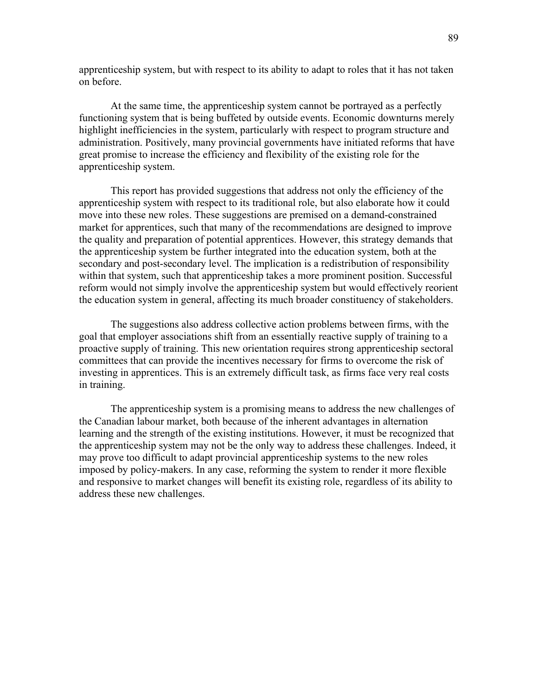apprenticeship system, but with respect to its ability to adapt to roles that it has not taken on before.

At the same time, the apprenticeship system cannot be portrayed as a perfectly functioning system that is being buffeted by outside events. Economic downturns merely highlight inefficiencies in the system, particularly with respect to program structure and administration. Positively, many provincial governments have initiated reforms that have great promise to increase the efficiency and flexibility of the existing role for the apprenticeship system.

This report has provided suggestions that address not only the efficiency of the apprenticeship system with respect to its traditional role, but also elaborate how it could move into these new roles. These suggestions are premised on a demand-constrained market for apprentices, such that many of the recommendations are designed to improve the quality and preparation of potential apprentices. However, this strategy demands that the apprenticeship system be further integrated into the education system, both at the secondary and post-secondary level. The implication is a redistribution of responsibility within that system, such that apprenticeship takes a more prominent position. Successful reform would not simply involve the apprenticeship system but would effectively reorient the education system in general, affecting its much broader constituency of stakeholders.

The suggestions also address collective action problems between firms, with the goal that employer associations shift from an essentially reactive supply of training to a proactive supply of training. This new orientation requires strong apprenticeship sectoral committees that can provide the incentives necessary for firms to overcome the risk of investing in apprentices. This is an extremely difficult task, as firms face very real costs in training.

The apprenticeship system is a promising means to address the new challenges of the Canadian labour market, both because of the inherent advantages in alternation learning and the strength of the existing institutions. However, it must be recognized that the apprenticeship system may not be the only way to address these challenges. Indeed, it may prove too difficult to adapt provincial apprenticeship systems to the new roles imposed by policy-makers. In any case, reforming the system to render it more flexible and responsive to market changes will benefit its existing role, regardless of its ability to address these new challenges.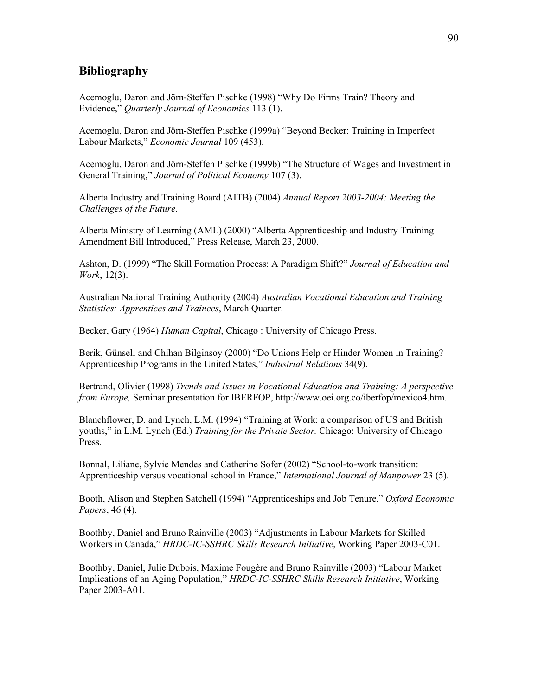## Bibliography

Acemoglu, Daron and Jörn-Steffen Pischke (1998) "Why Do Firms Train? Theory and Evidence," Quarterly Journal of Economics 113 (1).

Acemoglu, Daron and Jörn-Steffen Pischke (1999a) "Beyond Becker: Training in Imperfect Labour Markets," Economic Journal 109 (453).

Acemoglu, Daron and Jörn-Steffen Pischke (1999b) "The Structure of Wages and Investment in General Training," Journal of Political Economy 107 (3).

Alberta Industry and Training Board (AITB) (2004) Annual Report 2003-2004: Meeting the Challenges of the Future.

Alberta Ministry of Learning (AML) (2000) "Alberta Apprenticeship and Industry Training Amendment Bill Introduced," Press Release, March 23, 2000.

Ashton, D. (1999) "The Skill Formation Process: A Paradigm Shift?" Journal of Education and Work, 12(3).

Australian National Training Authority (2004) Australian Vocational Education and Training Statistics: Apprentices and Trainees, March Quarter.

Becker, Gary (1964) *Human Capital*, Chicago : University of Chicago Press.

Berik, Günseli and Chihan Bilginsoy (2000) "Do Unions Help or Hinder Women in Training? Apprenticeship Programs in the United States," Industrial Relations 34(9).

Bertrand, Olivier (1998) Trends and Issues in Vocational Education and Training: A perspective from Europe, Seminar presentation for IBERFOP, http://www.oei.org.co/iberfop/mexico4.htm.

Blanchflower, D. and Lynch, L.M. (1994) "Training at Work: a comparison of US and British youths," in L.M. Lynch (Ed.) Training for the Private Sector. Chicago: University of Chicago Press.

Bonnal, Liliane, Sylvie Mendes and Catherine Sofer (2002) "School-to-work transition: Apprenticeship versus vocational school in France," *International Journal of Manpower* 23 (5).

Booth, Alison and Stephen Satchell (1994) "Apprenticeships and Job Tenure," Oxford Economic Papers, 46 (4).

Boothby, Daniel and Bruno Rainville (2003) "Adjustments in Labour Markets for Skilled Workers in Canada," HRDC-IC-SSHRC Skills Research Initiative, Working Paper 2003-C01.

Boothby, Daniel, Julie Dubois, Maxime Fougère and Bruno Rainville (2003) "Labour Market Implications of an Aging Population," HRDC-IC-SSHRC Skills Research Initiative, Working Paper 2003-A01.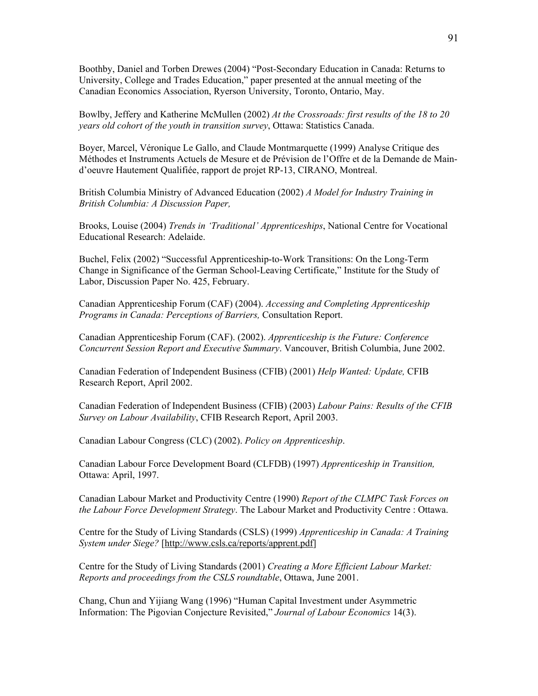Boothby, Daniel and Torben Drewes (2004) "Post-Secondary Education in Canada: Returns to University, College and Trades Education," paper presented at the annual meeting of the Canadian Economics Association, Ryerson University, Toronto, Ontario, May.

Bowlby, Jeffery and Katherine McMullen (2002) At the Crossroads: first results of the 18 to 20 years old cohort of the youth in transition survey, Ottawa: Statistics Canada.

Boyer, Marcel, Véronique Le Gallo, and Claude Montmarquette (1999) Analyse Critique des Méthodes et Instruments Actuels de Mesure et de Prévision de l'Offre et de la Demande de Maind'oeuvre Hautement Qualifiée, rapport de projet RP-13, CIRANO, Montreal.

British Columbia Ministry of Advanced Education (2002) A Model for Industry Training in British Columbia: A Discussion Paper,

Brooks, Louise (2004) Trends in 'Traditional' Apprenticeships, National Centre for Vocational Educational Research: Adelaide.

Buchel, Felix (2002) "Successful Apprenticeship-to-Work Transitions: On the Long-Term Change in Significance of the German School-Leaving Certificate," Institute for the Study of Labor, Discussion Paper No. 425, February.

Canadian Apprenticeship Forum (CAF) (2004). Accessing and Completing Apprenticeship Programs in Canada: Perceptions of Barriers, Consultation Report.

Canadian Apprenticeship Forum (CAF). (2002). Apprenticeship is the Future: Conference Concurrent Session Report and Executive Summary. Vancouver, British Columbia, June 2002.

Canadian Federation of Independent Business (CFIB) (2001) Help Wanted: Update, CFIB Research Report, April 2002.

Canadian Federation of Independent Business (CFIB) (2003) Labour Pains: Results of the CFIB Survey on Labour Availability, CFIB Research Report, April 2003.

Canadian Labour Congress (CLC) (2002). Policy on Apprenticeship.

Canadian Labour Force Development Board (CLFDB) (1997) Apprenticeship in Transition, Ottawa: April, 1997.

Canadian Labour Market and Productivity Centre (1990) Report of the CLMPC Task Forces on the Labour Force Development Strategy. The Labour Market and Productivity Centre : Ottawa.

Centre for the Study of Living Standards (CSLS) (1999) Apprenticeship in Canada: A Training System under Siege? [http://www.csls.ca/reports/apprent.pdf]

Centre for the Study of Living Standards (2001) Creating a More Efficient Labour Market: Reports and proceedings from the CSLS roundtable, Ottawa, June 2001.

Chang, Chun and Yijiang Wang (1996) "Human Capital Investment under Asymmetric Information: The Pigovian Conjecture Revisited," Journal of Labour Economics 14(3).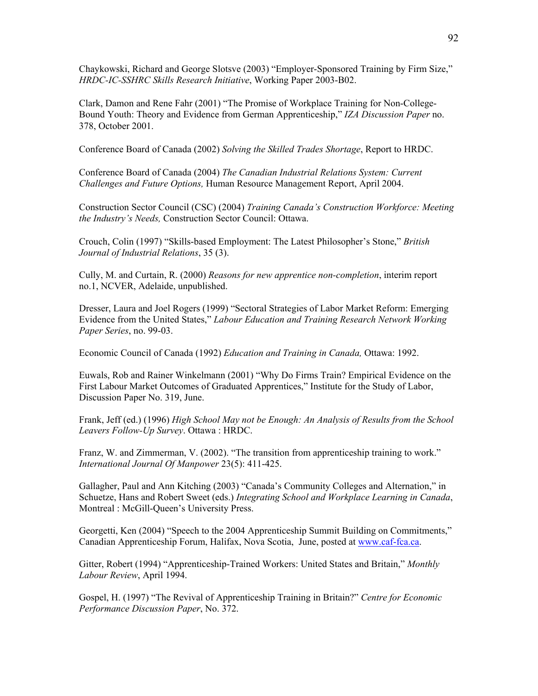Chaykowski, Richard and George Slotsve (2003) "Employer-Sponsored Training by Firm Size," HRDC-IC-SSHRC Skills Research Initiative, Working Paper 2003-B02.

Clark, Damon and Rene Fahr (2001) "The Promise of Workplace Training for Non-College-Bound Youth: Theory and Evidence from German Apprenticeship," IZA Discussion Paper no. 378, October 2001.

Conference Board of Canada (2002) Solving the Skilled Trades Shortage, Report to HRDC.

Conference Board of Canada (2004) The Canadian Industrial Relations System: Current Challenges and Future Options, Human Resource Management Report, April 2004.

Construction Sector Council (CSC) (2004) Training Canada's Construction Workforce: Meeting the Industry's Needs, Construction Sector Council: Ottawa.

Crouch, Colin (1997) "Skills-based Employment: The Latest Philosopher's Stone," British Journal of Industrial Relations, 35 (3).

Cully, M. and Curtain, R. (2000) Reasons for new apprentice non-completion, interim report no.1, NCVER, Adelaide, unpublished.

Dresser, Laura and Joel Rogers (1999) "Sectoral Strategies of Labor Market Reform: Emerging Evidence from the United States," Labour Education and Training Research Network Working Paper Series, no. 99-03.

Economic Council of Canada (1992) Education and Training in Canada, Ottawa: 1992.

Euwals, Rob and Rainer Winkelmann (2001) "Why Do Firms Train? Empirical Evidence on the First Labour Market Outcomes of Graduated Apprentices," Institute for the Study of Labor, Discussion Paper No. 319, June.

Frank, Jeff (ed.) (1996) High School May not be Enough: An Analysis of Results from the School Leavers Follow-Up Survey. Ottawa : HRDC.

Franz, W. and Zimmerman, V. (2002). "The transition from apprenticeship training to work." International Journal Of Manpower 23(5): 411-425.

Gallagher, Paul and Ann Kitching (2003) "Canada's Community Colleges and Alternation," in Schuetze, Hans and Robert Sweet (eds.) Integrating School and Workplace Learning in Canada, Montreal : McGill-Queen's University Press.

Georgetti, Ken (2004) "Speech to the 2004 Apprenticeship Summit Building on Commitments," Canadian Apprenticeship Forum, Halifax, Nova Scotia, June, posted at www.caf-fca.ca.

Gitter, Robert (1994) "Apprenticeship-Trained Workers: United States and Britain," Monthly Labour Review, April 1994.

Gospel, H. (1997) "The Revival of Apprenticeship Training in Britain?" Centre for Economic Performance Discussion Paper, No. 372.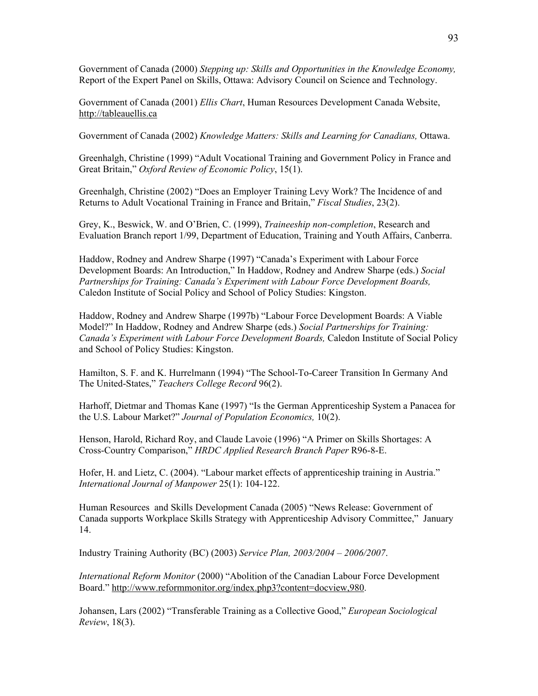Government of Canada (2000) Stepping up: Skills and Opportunities in the Knowledge Economy, Report of the Expert Panel on Skills, Ottawa: Advisory Council on Science and Technology.

Government of Canada (2001) Ellis Chart, Human Resources Development Canada Website, http://tableauellis.ca

Government of Canada (2002) Knowledge Matters: Skills and Learning for Canadians, Ottawa.

Greenhalgh, Christine (1999) "Adult Vocational Training and Government Policy in France and Great Britain," Oxford Review of Economic Policy, 15(1).

Greenhalgh, Christine (2002) "Does an Employer Training Levy Work? The Incidence of and Returns to Adult Vocational Training in France and Britain," Fiscal Studies, 23(2).

Grey, K., Beswick, W. and O'Brien, C. (1999), Traineeship non-completion, Research and Evaluation Branch report 1/99, Department of Education, Training and Youth Affairs, Canberra.

Haddow, Rodney and Andrew Sharpe (1997) "Canada's Experiment with Labour Force Development Boards: An Introduction," In Haddow, Rodney and Andrew Sharpe (eds.) Social Partnerships for Training: Canada's Experiment with Labour Force Development Boards, Caledon Institute of Social Policy and School of Policy Studies: Kingston.

Haddow, Rodney and Andrew Sharpe (1997b) "Labour Force Development Boards: A Viable Model?" In Haddow, Rodney and Andrew Sharpe (eds.) Social Partnerships for Training: Canada's Experiment with Labour Force Development Boards, Caledon Institute of Social Policy and School of Policy Studies: Kingston.

Hamilton, S. F. and K. Hurrelmann (1994) "The School-To-Career Transition In Germany And The United-States," Teachers College Record 96(2).

Harhoff, Dietmar and Thomas Kane (1997) "Is the German Apprenticeship System a Panacea for the U.S. Labour Market?" Journal of Population Economics, 10(2).

Henson, Harold, Richard Roy, and Claude Lavoie (1996) "A Primer on Skills Shortages: A Cross-Country Comparison," HRDC Applied Research Branch Paper R96-8-E.

Hofer, H. and Lietz, C. (2004). "Labour market effects of apprenticeship training in Austria." International Journal of Manpower 25(1): 104-122.

Human Resources and Skills Development Canada (2005) "News Release: Government of Canada supports Workplace Skills Strategy with Apprenticeship Advisory Committee," January 14.

Industry Training Authority (BC) (2003) Service Plan, 2003/2004 – 2006/2007.

International Reform Monitor (2000) "Abolition of the Canadian Labour Force Development Board." http://www.reformmonitor.org/index.php3?content=docview,980.

Johansen, Lars (2002) "Transferable Training as a Collective Good," European Sociological Review, 18(3).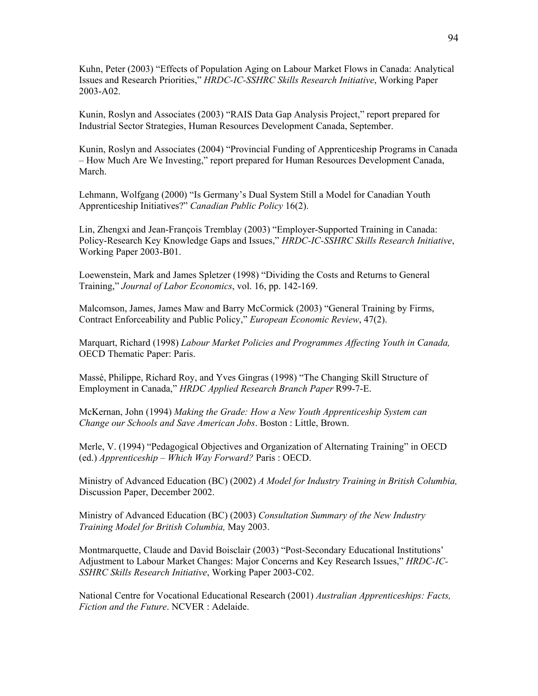Kuhn, Peter (2003) "Effects of Population Aging on Labour Market Flows in Canada: Analytical Issues and Research Priorities," HRDC-IC-SSHRC Skills Research Initiative, Working Paper 2003-A02.

Kunin, Roslyn and Associates (2003) "RAIS Data Gap Analysis Project," report prepared for Industrial Sector Strategies, Human Resources Development Canada, September.

Kunin, Roslyn and Associates (2004) "Provincial Funding of Apprenticeship Programs in Canada – How Much Are We Investing," report prepared for Human Resources Development Canada, March.

Lehmann, Wolfgang (2000) "Is Germany's Dual System Still a Model for Canadian Youth Apprenticeship Initiatives?" Canadian Public Policy 16(2).

Lin, Zhengxi and Jean-François Tremblay (2003) "Employer-Supported Training in Canada: Policy-Research Key Knowledge Gaps and Issues," HRDC-IC-SSHRC Skills Research Initiative, Working Paper 2003-B01.

Loewenstein, Mark and James Spletzer (1998) "Dividing the Costs and Returns to General Training," Journal of Labor Economics, vol. 16, pp. 142-169.

Malcomson, James, James Maw and Barry McCormick (2003) "General Training by Firms, Contract Enforceability and Public Policy," European Economic Review, 47(2).

Marquart, Richard (1998) Labour Market Policies and Programmes Affecting Youth in Canada, OECD Thematic Paper: Paris.

Massé, Philippe, Richard Roy, and Yves Gingras (1998) "The Changing Skill Structure of Employment in Canada," HRDC Applied Research Branch Paper R99-7-E.

McKernan, John (1994) Making the Grade: How a New Youth Apprenticeship System can Change our Schools and Save American Jobs. Boston : Little, Brown.

Merle, V. (1994) "Pedagogical Objectives and Organization of Alternating Training" in OECD (ed.) Apprenticeship – Which Way Forward? Paris : OECD.

Ministry of Advanced Education (BC) (2002) A Model for Industry Training in British Columbia, Discussion Paper, December 2002.

Ministry of Advanced Education (BC) (2003) Consultation Summary of the New Industry Training Model for British Columbia, May 2003.

Montmarquette, Claude and David Boisclair (2003) "Post-Secondary Educational Institutions' Adjustment to Labour Market Changes: Major Concerns and Key Research Issues," HRDC-IC-SSHRC Skills Research Initiative, Working Paper 2003-C02.

National Centre for Vocational Educational Research (2001) Australian Apprenticeships: Facts, Fiction and the Future. NCVER : Adelaide.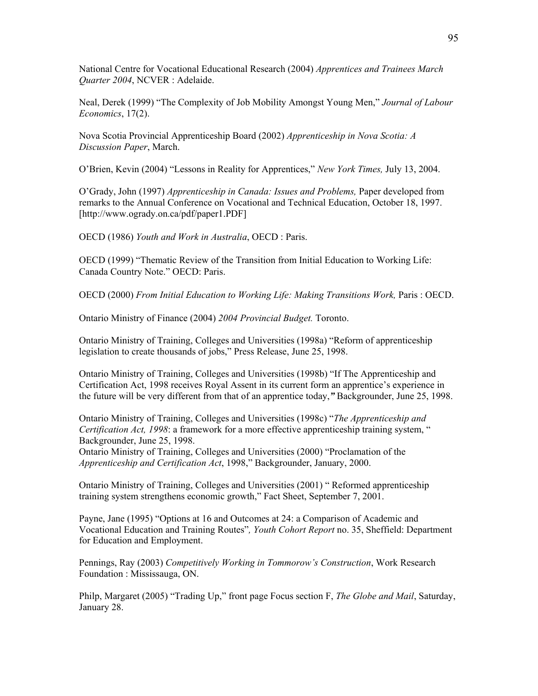National Centre for Vocational Educational Research (2004) Apprentices and Trainees March Quarter 2004, NCVER : Adelaide.

Neal, Derek (1999) "The Complexity of Job Mobility Amongst Young Men," Journal of Labour Economics, 17(2).

Nova Scotia Provincial Apprenticeship Board (2002) Apprenticeship in Nova Scotia: A Discussion Paper, March.

O'Brien, Kevin (2004) "Lessons in Reality for Apprentices," New York Times, July 13, 2004.

O'Grady, John (1997) Apprenticeship in Canada: Issues and Problems, Paper developed from remarks to the Annual Conference on Vocational and Technical Education, October 18, 1997. [http://www.ogrady.on.ca/pdf/paper1.PDF]

OECD (1986) Youth and Work in Australia, OECD : Paris.

OECD (1999) "Thematic Review of the Transition from Initial Education to Working Life: Canada Country Note." OECD: Paris.

OECD (2000) From Initial Education to Working Life: Making Transitions Work, Paris : OECD.

Ontario Ministry of Finance (2004) 2004 Provincial Budget. Toronto.

Ontario Ministry of Training, Colleges and Universities (1998a) "Reform of apprenticeship legislation to create thousands of jobs," Press Release, June 25, 1998.

Ontario Ministry of Training, Colleges and Universities (1998b) "If The Apprenticeship and Certification Act, 1998 receives Royal Assent in its current form an apprentice's experience in the future will be very different from that of an apprentice today," Backgrounder, June 25, 1998.

Ontario Ministry of Training, Colleges and Universities (1998c) "The Apprenticeship and Certification Act, 1998: a framework for a more effective apprenticeship training system, " Backgrounder, June 25, 1998.

Ontario Ministry of Training, Colleges and Universities (2000) "Proclamation of the Apprenticeship and Certification Act, 1998," Backgrounder, January, 2000.

Ontario Ministry of Training, Colleges and Universities (2001) " Reformed apprenticeship training system strengthens economic growth," Fact Sheet, September 7, 2001.

Payne, Jane (1995) "Options at 16 and Outcomes at 24: a Comparison of Academic and Vocational Education and Training Routes", Youth Cohort Report no. 35, Sheffield: Department for Education and Employment.

Pennings, Ray (2003) Competitively Working in Tommorow's Construction, Work Research Foundation : Mississauga, ON.

Philp, Margaret (2005) "Trading Up," front page Focus section F, *The Globe and Mail*, Saturday, January 28.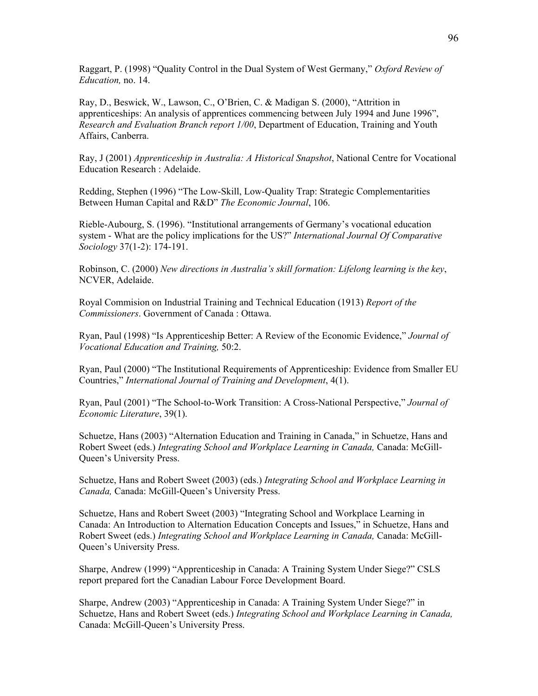Raggart, P. (1998) "Quality Control in the Dual System of West Germany," Oxford Review of Education, no. 14.

Ray, D., Beswick, W., Lawson, C., O'Brien, C. & Madigan S. (2000), "Attrition in apprenticeships: An analysis of apprentices commencing between July 1994 and June 1996", Research and Evaluation Branch report 1/00, Department of Education, Training and Youth Affairs, Canberra.

Ray, J (2001) Apprenticeship in Australia: A Historical Snapshot, National Centre for Vocational Education Research : Adelaide.

Redding, Stephen (1996) "The Low-Skill, Low-Quality Trap: Strategic Complementarities Between Human Capital and R&D" The Economic Journal, 106.

Rieble-Aubourg, S. (1996). "Institutional arrangements of Germany's vocational education system - What are the policy implications for the US?" International Journal Of Comparative Sociology 37(1-2): 174-191.

Robinson, C. (2000) New directions in Australia's skill formation: Lifelong learning is the key, NCVER, Adelaide.

Royal Commision on Industrial Training and Technical Education (1913) Report of the Commissioners. Government of Canada : Ottawa.

Ryan, Paul (1998) "Is Apprenticeship Better: A Review of the Economic Evidence," Journal of Vocational Education and Training, 50:2.

Ryan, Paul (2000) "The Institutional Requirements of Apprenticeship: Evidence from Smaller EU Countries," International Journal of Training and Development, 4(1).

Ryan, Paul (2001) "The School-to-Work Transition: A Cross-National Perspective," Journal of Economic Literature, 39(1).

Schuetze, Hans (2003) "Alternation Education and Training in Canada," in Schuetze, Hans and Robert Sweet (eds.) Integrating School and Workplace Learning in Canada, Canada: McGill-Queen's University Press.

Schuetze, Hans and Robert Sweet (2003) (eds.) Integrating School and Workplace Learning in Canada, Canada: McGill-Queen's University Press.

Schuetze, Hans and Robert Sweet (2003) "Integrating School and Workplace Learning in Canada: An Introduction to Alternation Education Concepts and Issues," in Schuetze, Hans and Robert Sweet (eds.) Integrating School and Workplace Learning in Canada, Canada: McGill-Queen's University Press.

Sharpe, Andrew (1999) "Apprenticeship in Canada: A Training System Under Siege?" CSLS report prepared fort the Canadian Labour Force Development Board.

Sharpe, Andrew (2003) "Apprenticeship in Canada: A Training System Under Siege?" in Schuetze, Hans and Robert Sweet (eds.) Integrating School and Workplace Learning in Canada, Canada: McGill-Queen's University Press.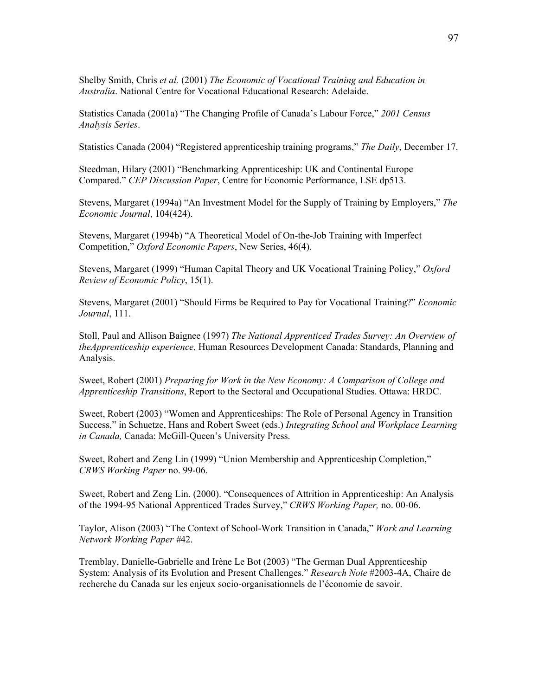Shelby Smith, Chris et al. (2001) The Economic of Vocational Training and Education in Australia. National Centre for Vocational Educational Research: Adelaide.

Statistics Canada (2001a) "The Changing Profile of Canada's Labour Force," 2001 Census Analysis Series.

Statistics Canada (2004) "Registered apprenticeship training programs," The Daily, December 17.

Steedman, Hilary (2001) "Benchmarking Apprenticeship: UK and Continental Europe Compared." CEP Discussion Paper, Centre for Economic Performance, LSE dp513.

Stevens, Margaret (1994a) "An Investment Model for the Supply of Training by Employers," The Economic Journal, 104(424).

Stevens, Margaret (1994b) "A Theoretical Model of On-the-Job Training with Imperfect Competition," Oxford Economic Papers, New Series, 46(4).

Stevens, Margaret (1999) "Human Capital Theory and UK Vocational Training Policy," Oxford Review of Economic Policy, 15(1).

Stevens, Margaret (2001) "Should Firms be Required to Pay for Vocational Training?" Economic Journal, 111.

Stoll, Paul and Allison Baignee (1997) The National Apprenticed Trades Survey: An Overview of theApprenticeship experience, Human Resources Development Canada: Standards, Planning and Analysis.

Sweet, Robert (2001) Preparing for Work in the New Economy: A Comparison of College and Apprenticeship Transitions, Report to the Sectoral and Occupational Studies. Ottawa: HRDC.

Sweet, Robert (2003) "Women and Apprenticeships: The Role of Personal Agency in Transition Success," in Schuetze, Hans and Robert Sweet (eds.) Integrating School and Workplace Learning in Canada, Canada: McGill-Queen's University Press.

Sweet, Robert and Zeng Lin (1999) "Union Membership and Apprenticeship Completion," CRWS Working Paper no. 99-06.

Sweet, Robert and Zeng Lin. (2000). "Consequences of Attrition in Apprenticeship: An Analysis of the 1994-95 National Apprenticed Trades Survey," CRWS Working Paper, no. 00-06.

Taylor, Alison (2003) "The Context of School-Work Transition in Canada," Work and Learning Network Working Paper #42.

Tremblay, Danielle-Gabrielle and Irène Le Bot (2003) "The German Dual Apprenticeship System: Analysis of its Evolution and Present Challenges." Research Note #2003-4A, Chaire de recherche du Canada sur les enjeux socio-organisationnels de l'économie de savoir.